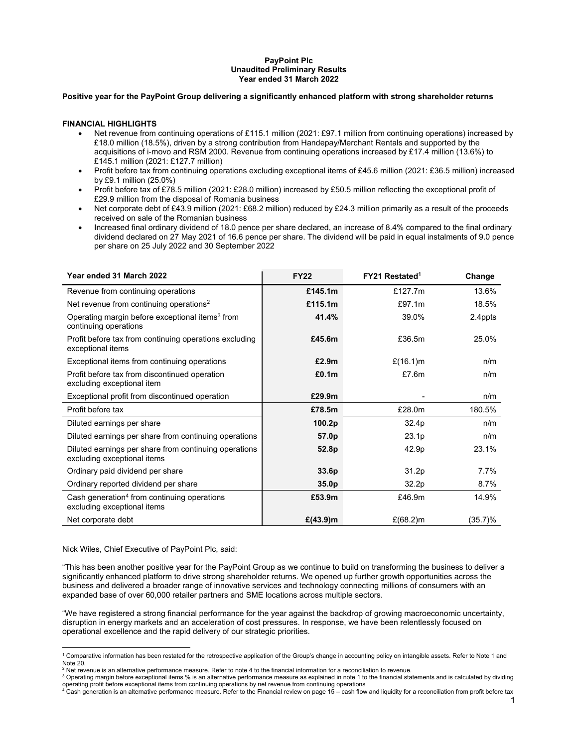# **PayPoint Plc Unaudited Preliminary Results Year ended 31 March 2022**

#### **Positive year for the PayPoint Group delivering a significantly enhanced platform with strong shareholder returns**

## **FINANCIAL HIGHLIGHTS**

- Net revenue from continuing operations of £115.1 million (2021: £97.1 million from continuing operations) increased by £18.0 million (18.5%), driven by a strong contribution from Handepay/Merchant Rentals and supported by the acquisitions of i-movo and RSM 2000. Revenue from continuing operations increased by £17.4 million (13.6%) to £145.1 million (2021: £127.7 million)
- Profit before tax from continuing operations excluding exceptional items of £45.6 million (2021: £36.5 million) increased by £9.1 million (25.0%)
- Profit before tax of £78.5 million (2021: £28.0 million) increased by £50.5 million reflecting the exceptional profit of £29.9 million from the disposal of Romania business
- Net corporate debt of £43.9 million (2021: £68.2 million) reduced by £24.3 million primarily as a result of the proceeds received on sale of the Romanian business
- Increased final ordinary dividend of 18.0 pence per share declared, an increase of 8.4% compared to the final ordinary dividend declared on 27 May 2021 of 16.6 pence per share. The dividend will be paid in equal instalments of 9.0 pence per share on 25 July 2022 and 30 September 2022

| Year ended 31 March 2022                                                               | <b>FY22</b>       | FY21 Restated <sup>1</sup> | Change     |
|----------------------------------------------------------------------------------------|-------------------|----------------------------|------------|
| Revenue from continuing operations                                                     | £145.1m           | £127.7m                    | 13.6%      |
| Net revenue from continuing operations <sup>2</sup>                                    | £115.1m           | £97.1m                     | 18.5%      |
| Operating margin before exceptional items <sup>3</sup> from<br>continuing operations   | 41.4%             | 39.0%                      | 2.4ppts    |
| Profit before tax from continuing operations excluding<br>exceptional items            | £45.6m            | £36.5m                     | 25.0%      |
| Exceptional items from continuing operations                                           | £2.9m             | £ $(16.1)$ m               | n/m        |
| Profit before tax from discontinued operation<br>excluding exceptional item            | £0.1m             | £7.6m                      | n/m        |
| Exceptional profit from discontinued operation                                         | £29.9m            |                            | n/m        |
| Profit before tax                                                                      | £78.5m            | £28.0m                     | 180.5%     |
| Diluted earnings per share                                                             | 100.2p            | 32.4p                      | n/m        |
| Diluted earnings per share from continuing operations                                  | 57.0p             | 23.1 <sub>p</sub>          | n/m        |
| Diluted earnings per share from continuing operations<br>excluding exceptional items   | 52.8p             | 42.9p                      | 23.1%      |
| Ordinary paid dividend per share                                                       | 33.6p             | 31.2p                      | 7.7%       |
| Ordinary reported dividend per share                                                   | 35.0 <sub>p</sub> | 32.2p                      | 8.7%       |
| Cash generation <sup>4</sup> from continuing operations<br>excluding exceptional items | £53.9m            | £46.9m                     | 14.9%      |
| Net corporate debt                                                                     | £ $(43.9)$ m      | £ $(68.2)$ m               | $(35.7)\%$ |

Nick Wiles, Chief Executive of PayPoint Plc, said:

"This has been another positive year for the PayPoint Group as we continue to build on transforming the business to deliver a significantly enhanced platform to drive strong shareholder returns. We opened up further growth opportunities across the business and delivered a broader range of innovative services and technology connecting millions of consumers with an expanded base of over 60,000 retailer partners and SME locations across multiple sectors.

"We have registered a strong financial performance for the year against the backdrop of growing macroeconomic uncertainty, disruption in energy markets and an acceleration of cost pressures. In response, we have been relentlessly focused on operational excellence and the rapid delivery of our strategic priorities.

 1 Comparative information has been restated for the retrospective application of the Group's change in accounting policy on intangible assets. Refer to Note 1 and

Note 20.<br><sup>2</sup> Net revenue is an alternative performance measure. Refer to note 4 to the financial information for a reconciliation to revenue.<br><sup>3</sup> Operating margin before exceptional items % is an alternative performance m

<sup>&</sup>lt;sup>3</sup> Operating margin before exceptional items % is an alternative performance measure as explained in note 1 to the financial statements and is calculated by dividing

operating profit before exceptional items from continuing operations by net revenue from continuing operations<br><sup>4</sup> Cash generation is an alternative performance measure. Refer to the Financial review on page 15 – cash flow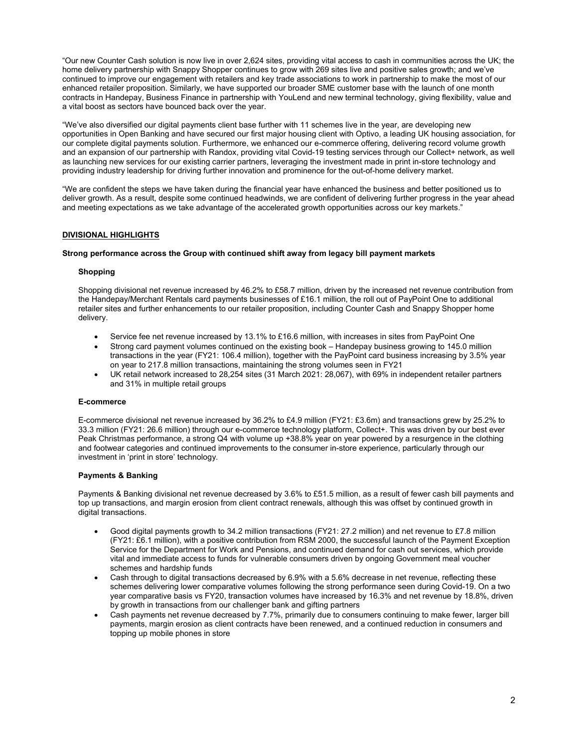"Our new Counter Cash solution is now live in over 2,624 sites, providing vital access to cash in communities across the UK; the home delivery partnership with Snappy Shopper continues to grow with 269 sites live and positive sales growth; and we've continued to improve our engagement with retailers and key trade associations to work in partnership to make the most of our enhanced retailer proposition. Similarly, we have supported our broader SME customer base with the launch of one month contracts in Handepay, Business Finance in partnership with YouLend and new terminal technology, giving flexibility, value and a vital boost as sectors have bounced back over the year.

"We've also diversified our digital payments client base further with 11 schemes live in the year, are developing new opportunities in Open Banking and have secured our first major housing client with Optivo, a leading UK housing association, for our complete digital payments solution. Furthermore, we enhanced our e-commerce offering, delivering record volume growth and an expansion of our partnership with Randox, providing vital Covid-19 testing services through our Collect+ network, as well as launching new services for our existing carrier partners, leveraging the investment made in print in-store technology and providing industry leadership for driving further innovation and prominence for the out-of-home delivery market.

"We are confident the steps we have taken during the financial year have enhanced the business and better positioned us to deliver growth. As a result, despite some continued headwinds, we are confident of delivering further progress in the year ahead and meeting expectations as we take advantage of the accelerated growth opportunities across our key markets."

# **DIVISIONAL HIGHLIGHTS**

## **Strong performance across the Group with continued shift away from legacy bill payment markets**

#### **Shopping**

Shopping divisional net revenue increased by 46.2% to £58.7 million, driven by the increased net revenue contribution from the Handepay/Merchant Rentals card payments businesses of £16.1 million, the roll out of PayPoint One to additional retailer sites and further enhancements to our retailer proposition, including Counter Cash and Snappy Shopper home delivery.

- Service fee net revenue increased by 13.1% to £16.6 million, with increases in sites from PayPoint One
- Strong card payment volumes continued on the existing book Handepay business growing to 145.0 million transactions in the year (FY21: 106.4 million), together with the PayPoint card business increasing by 3.5% year on year to 217.8 million transactions, maintaining the strong volumes seen in FY21
- UK retail network increased to 28,254 sites (31 March 2021: 28,067), with 69% in independent retailer partners and 31% in multiple retail groups

#### **E-commerce**

E-commerce divisional net revenue increased by 36.2% to £4.9 million (FY21: £3.6m) and transactions grew by 25.2% to 33.3 million (FY21: 26.6 million) through our e-commerce technology platform, Collect+. This was driven by our best ever Peak Christmas performance, a strong Q4 with volume up +38.8% year on year powered by a resurgence in the clothing and footwear categories and continued improvements to the consumer in-store experience, particularly through our investment in 'print in store' technology.

## **Payments & Banking**

Payments & Banking divisional net revenue decreased by 3.6% to £51.5 million, as a result of fewer cash bill payments and top up transactions, and margin erosion from client contract renewals, although this was offset by continued growth in digital transactions.

- Good digital payments growth to 34.2 million transactions (FY21: 27.2 million) and net revenue to £7.8 million (FY21: £6.1 million), with a positive contribution from RSM 2000, the successful launch of the Payment Exception Service for the Department for Work and Pensions, and continued demand for cash out services, which provide vital and immediate access to funds for vulnerable consumers driven by ongoing Government meal voucher schemes and hardship funds
- Cash through to digital transactions decreased by 6.9% with a 5.6% decrease in net revenue, reflecting these schemes delivering lower comparative volumes following the strong performance seen during Covid-19. On a two year comparative basis vs FY20, transaction volumes have increased by 16.3% and net revenue by 18.8%, driven by growth in transactions from our challenger bank and gifting partners
- Cash payments net revenue decreased by 7.7%, primarily due to consumers continuing to make fewer, larger bill payments, margin erosion as client contracts have been renewed, and a continued reduction in consumers and topping up mobile phones in store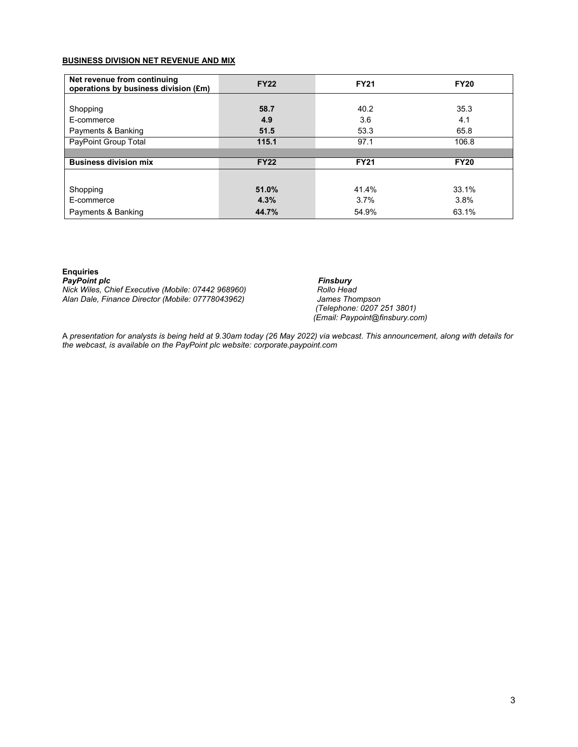# **BUSINESS DIVISION NET REVENUE AND MIX**

| Net revenue from continuing<br>operations by business division (£m) | <b>FY22</b> | <b>FY21</b> | <b>FY20</b> |
|---------------------------------------------------------------------|-------------|-------------|-------------|
|                                                                     |             |             |             |
| Shopping                                                            | 58.7        | 40.2        | 35.3        |
| E-commerce                                                          | 4.9         | 3.6         | 4.1         |
| Payments & Banking                                                  | 51.5        | 53.3        | 65.8        |
| PayPoint Group Total                                                | 115.1       | 97.1        | 106.8       |
|                                                                     |             |             |             |
| <b>Business division mix</b>                                        | <b>FY22</b> | <b>FY21</b> | <b>FY20</b> |
|                                                                     |             |             |             |
| Shopping                                                            | 51.0%       | 41.4%       | 33.1%       |
| E-commerce                                                          | 4.3%        | 3.7%        | 3.8%        |
| Payments & Banking                                                  | 44.7%       | 54.9%       | 63.1%       |

# **Enquiries**

PayPoint plc<br>Nick Wiles, Chief Executive (Mobile: 07442 968960) **Finsbury**<br>Rollo Head *Nick Wiles, Chief Executive (Mobile: 07442 968960)* Alan Dale, Finance Director (Mobile: 07778043962)

 *(Telephone: 0207 251 3801) (Email: Paypoint@finsbury.com)* 

A *presentation for analysts is being held at 9.30am today (26 May 2022) via webcast. This announcement, along with details for the webcast, is available on the PayPoint plc website: corporate.paypoint.com*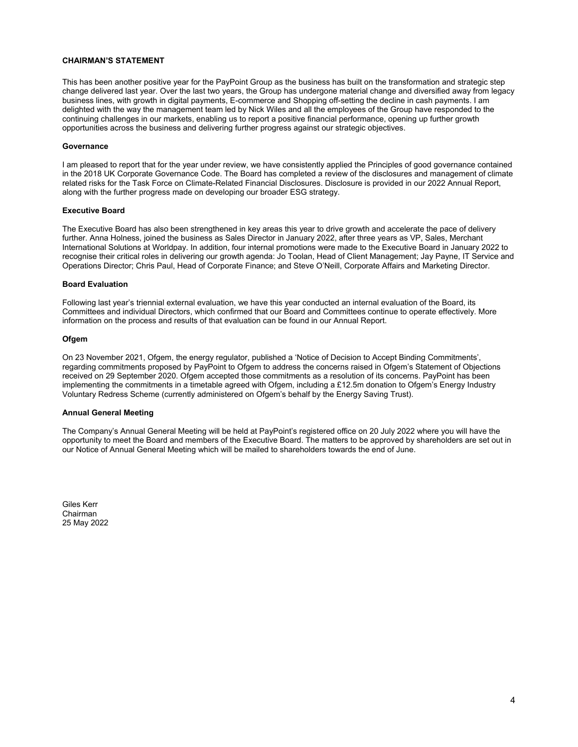## **CHAIRMAN'S STATEMENT**

This has been another positive year for the PayPoint Group as the business has built on the transformation and strategic step change delivered last year. Over the last two years, the Group has undergone material change and diversified away from legacy business lines, with growth in digital payments, E-commerce and Shopping off-setting the decline in cash payments. I am delighted with the way the management team led by Nick Wiles and all the employees of the Group have responded to the continuing challenges in our markets, enabling us to report a positive financial performance, opening up further growth opportunities across the business and delivering further progress against our strategic objectives.

#### **Governance**

I am pleased to report that for the year under review, we have consistently applied the Principles of good governance contained in the 2018 UK Corporate Governance Code. The Board has completed a review of the disclosures and management of climate related risks for the Task Force on Climate-Related Financial Disclosures. Disclosure is provided in our 2022 Annual Report, along with the further progress made on developing our broader ESG strategy.

#### **Executive Board**

The Executive Board has also been strengthened in key areas this year to drive growth and accelerate the pace of delivery further. Anna Holness, joined the business as Sales Director in January 2022, after three years as VP, Sales, Merchant International Solutions at Worldpay. In addition, four internal promotions were made to the Executive Board in January 2022 to recognise their critical roles in delivering our growth agenda: Jo Toolan, Head of Client Management; Jay Payne, IT Service and Operations Director; Chris Paul, Head of Corporate Finance; and Steve O'Neill, Corporate Affairs and Marketing Director.

#### **Board Evaluation**

Following last year's triennial external evaluation, we have this year conducted an internal evaluation of the Board, its Committees and individual Directors, which confirmed that our Board and Committees continue to operate effectively. More information on the process and results of that evaluation can be found in our Annual Report.

#### **Ofgem**

On 23 November 2021, Ofgem, the energy regulator, published a 'Notice of Decision to Accept Binding Commitments', regarding commitments proposed by PayPoint to Ofgem to address the concerns raised in Ofgem's Statement of Objections received on 29 September 2020. Ofgem accepted those commitments as a resolution of its concerns. PayPoint has been implementing the commitments in a timetable agreed with Ofgem, including a £12.5m donation to Ofgem's Energy Industry Voluntary Redress Scheme (currently administered on Ofgem's behalf by the Energy Saving Trust).

#### **Annual General Meeting**

The Company's Annual General Meeting will be held at PayPoint's registered office on 20 July 2022 where you will have the opportunity to meet the Board and members of the Executive Board. The matters to be approved by shareholders are set out in our Notice of Annual General Meeting which will be mailed to shareholders towards the end of June.

Giles Kerr Chairman 25 May 2022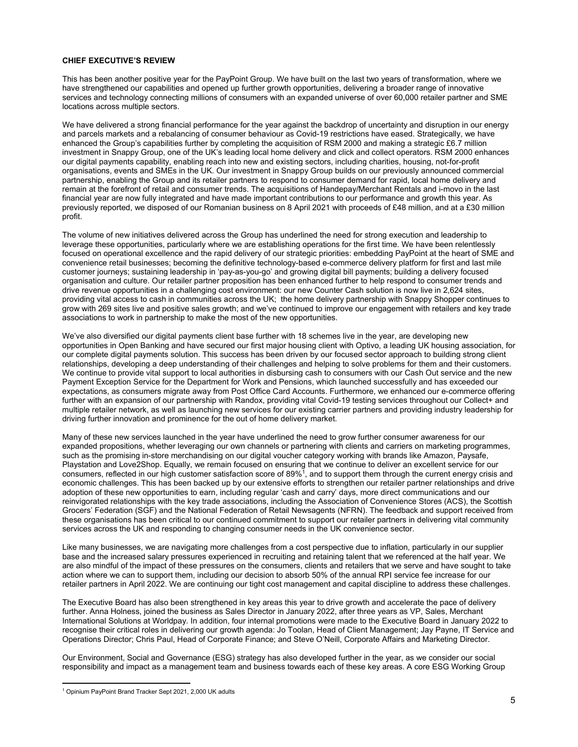#### **CHIEF EXECUTIVE'S REVIEW**

This has been another positive year for the PayPoint Group. We have built on the last two years of transformation, where we have strengthened our capabilities and opened up further growth opportunities, delivering a broader range of innovative services and technology connecting millions of consumers with an expanded universe of over 60,000 retailer partner and SME locations across multiple sectors.

We have delivered a strong financial performance for the year against the backdrop of uncertainty and disruption in our energy and parcels markets and a rebalancing of consumer behaviour as Covid-19 restrictions have eased. Strategically, we have enhanced the Group's capabilities further by completing the acquisition of RSM 2000 and making a strategic £6.7 million investment in Snappy Group, one of the UK's leading local home delivery and click and collect operators. RSM 2000 enhances our digital payments capability, enabling reach into new and existing sectors, including charities, housing, not-for-profit organisations, events and SMEs in the UK. Our investment in Snappy Group builds on our previously announced commercial partnership, enabling the Group and its retailer partners to respond to consumer demand for rapid, local home delivery and remain at the forefront of retail and consumer trends. The acquisitions of Handepay/Merchant Rentals and i-movo in the last financial year are now fully integrated and have made important contributions to our performance and growth this year. As previously reported, we disposed of our Romanian business on 8 April 2021 with proceeds of £48 million, and at a £30 million profit.

The volume of new initiatives delivered across the Group has underlined the need for strong execution and leadership to leverage these opportunities, particularly where we are establishing operations for the first time. We have been relentlessly focused on operational excellence and the rapid delivery of our strategic priorities: embedding PayPoint at the heart of SME and convenience retail businesses; becoming the definitive technology-based e-commerce delivery platform for first and last mile customer journeys; sustaining leadership in 'pay-as-you-go' and growing digital bill payments; building a delivery focused organisation and culture. Our retailer partner proposition has been enhanced further to help respond to consumer trends and drive revenue opportunities in a challenging cost environment: our new Counter Cash solution is now live in 2,624 sites, providing vital access to cash in communities across the UK; the home delivery partnership with Snappy Shopper continues to grow with 269 sites live and positive sales growth; and we've continued to improve our engagement with retailers and key trade associations to work in partnership to make the most of the new opportunities.

We've also diversified our digital payments client base further with 18 schemes live in the year, are developing new opportunities in Open Banking and have secured our first major housing client with Optivo, a leading UK housing association, for our complete digital payments solution. This success has been driven by our focused sector approach to building strong client relationships, developing a deep understanding of their challenges and helping to solve problems for them and their customers. We continue to provide vital support to local authorities in disbursing cash to consumers with our Cash Out service and the new Payment Exception Service for the Department for Work and Pensions, which launched successfully and has exceeded our expectations, as consumers migrate away from Post Office Card Accounts. Furthermore, we enhanced our e-commerce offering further with an expansion of our partnership with Randox, providing vital Covid-19 testing services throughout our Collect+ and multiple retailer network, as well as launching new services for our existing carrier partners and providing industry leadership for driving further innovation and prominence for the out of home delivery market.

Many of these new services launched in the year have underlined the need to grow further consumer awareness for our expanded propositions, whether leveraging our own channels or partnering with clients and carriers on marketing programmes, such as the promising in-store merchandising on our digital voucher category working with brands like Amazon, Paysafe, Playstation and Love2Shop. Equally, we remain focused on ensuring that we continue to deliver an excellent service for our consumers, reflected in our high customer satisfaction score of  $89\%$ <sup>1</sup>, and to support them through the current energy crisis and economic challenges. This has been backed up by our extensive efforts to strengthen our retailer partner relationships and drive adoption of these new opportunities to earn, including regular 'cash and carry' days, more direct communications and our reinvigorated relationships with the key trade associations, including the Association of Convenience Stores (ACS), the Scottish Grocers' Federation (SGF) and the National Federation of Retail Newsagents (NFRN). The feedback and support received from these organisations has been critical to our continued commitment to support our retailer partners in delivering vital community services across the UK and responding to changing consumer needs in the UK convenience sector.

Like many businesses, we are navigating more challenges from a cost perspective due to inflation, particularly in our supplier base and the increased salary pressures experienced in recruiting and retaining talent that we referenced at the half year. We are also mindful of the impact of these pressures on the consumers, clients and retailers that we serve and have sought to take action where we can to support them, including our decision to absorb 50% of the annual RPI service fee increase for our retailer partners in April 2022. We are continuing our tight cost management and capital discipline to address these challenges.

The Executive Board has also been strengthened in key areas this year to drive growth and accelerate the pace of delivery further. Anna Holness, joined the business as Sales Director in January 2022, after three years as VP, Sales, Merchant International Solutions at Worldpay. In addition, four internal promotions were made to the Executive Board in January 2022 to recognise their critical roles in delivering our growth agenda: Jo Toolan, Head of Client Management; Jay Payne, IT Service and Operations Director; Chris Paul, Head of Corporate Finance; and Steve O'Neill, Corporate Affairs and Marketing Director.

Our Environment, Social and Governance (ESG) strategy has also developed further in the year, as we consider our social responsibility and impact as a management team and business towards each of these key areas. A core ESG Working Group

l

<sup>1</sup> Opinium PayPoint Brand Tracker Sept 2021, 2,000 UK adults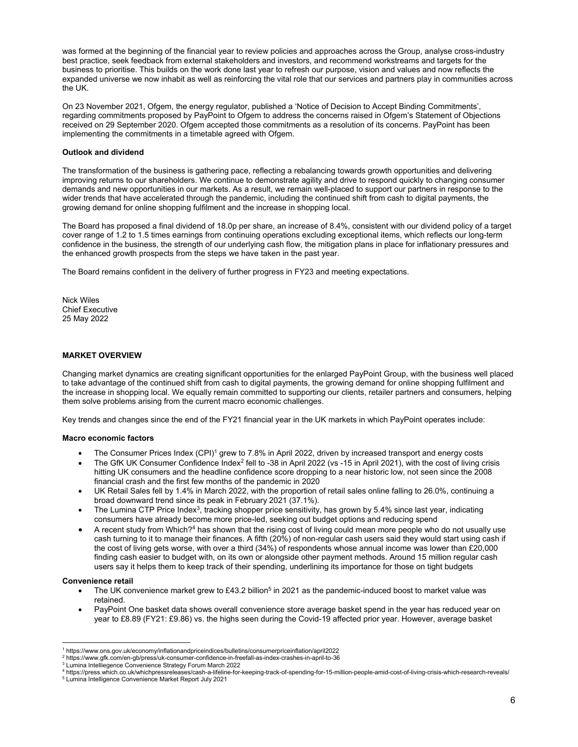was formed at the beginning of the financial year to review policies and approaches across the Group, analyse cross-industry best practice, seek feedback from external stakeholders and investors, and recommend workstreams and targets for the business to prioritise. This builds on the work done last year to refresh our purpose, vision and values and now reflects the expanded universe we now inhabit as well as reinforcing the vital role that our services and partners play in communities across the UK.

On 23 November 2021, Ofgem, the energy regulator, published a 'Notice of Decision to Accept Binding Commitments', regarding commitments proposed by PayPoint to Ofgem to address the concerns raised in Ofgem's Statement of Objections received on 29 September 2020. Ofgem accepted those commitments as a resolution of its concerns. PayPoint has been implementing the commitments in a timetable agreed with Ofgem.

## **Outlook and dividend**

The transformation of the business is gathering pace, reflecting a rebalancing towards growth opportunities and delivering improving returns to our shareholders. We continue to demonstrate agility and drive to respond quickly to changing consumer demands and new opportunities in our markets. As a result, we remain well-placed to support our partners in response to the wider trends that have accelerated through the pandemic, including the continued shift from cash to digital payments, the growing demand for online shopping fulfilment and the increase in shopping local.

The Board has proposed a final dividend of 18.0p per share, an increase of 8.4%, consistent with our dividend policy of a target cover range of 1.2 to 1.5 times earnings from continuing operations excluding exceptional items, which reflects our long-term confidence in the business, the strength of our underlying cash flow, the mitigation plans in place for inflationary pressures and the enhanced growth prospects from the steps we have taken in the past year.

The Board remains confident in the delivery of further progress in FY23 and meeting expectations.

Nick Wiles Chief Executive 25 May 2022

# **MARKET OVERVIEW**

Changing market dynamics are creating significant opportunities for the enlarged PayPoint Group, with the business well placed to take advantage of the continued shift from cash to digital payments, the growing demand for online shopping fulfilment and the increase in shopping local. We equally remain committed to supporting our clients, retailer partners and consumers, helping them solve problems arising from the current macro economic challenges.

Key trends and changes since the end of the FY21 financial year in the UK markets in which PayPoint operates include:

## **Macro economic factors**

- The Consumer Prices Index (CPI)<sup>1</sup> grew to 7.8% in April 2022, driven by increased transport and energy costs
- The GfK UK Consumer Confidence Index<sup>2</sup> fell to -38 in April 2022 (vs -15 in April 2021), with the cost of living crisis hitting UK consumers and the headline confidence score dropping to a near historic low, not seen since the 2008 financial crash and the first few months of the pandemic in 2020
- UK Retail Sales fell by 1.4% in March 2022, with the proportion of retail sales online falling to 26.0%, continuing a broad downward trend since its peak in February 2021 (37.1%).
- The Lumina CTP Price Index<sup>3</sup>, tracking shopper price sensitivity, has grown by 5.4% since last year, indicating consumers have already become more price-led, seeking out budget options and reducing spend
- A recent study from Which?4 has shown that the rising cost of living could mean more people who do not usually use cash turning to it to manage their finances. A fifth (20%) of non-regular cash users said they would start using cash if the cost of living gets worse, with over a third (34%) of respondents whose annual income was lower than £20,000 finding cash easier to budget with, on its own or alongside other payment methods. Around 15 million regular cash users say it helps them to keep track of their spending, underlining its importance for those on tight budgets

# **Convenience retail**

- The UK convenience market grew to £43.2 billion<sup>5</sup> in 2021 as the pandemic-induced boost to market value was retained.
- PayPoint One basket data shows overall convenience store average basket spend in the year has reduced year on year to £8.89 (FY21: £9.86) vs. the highs seen during the Covid-19 affected prior year. However, average basket

 1 https://www.ons.gov.uk/economy/inflationandpriceindices/bulletins/consumerpriceinflation/april2022

<sup>&</sup>lt;sup>2</sup> https://www.gfk.com/en-gb/press/uk-consumer-confidence-in-freefall-as-index-crashes-in-april-to-36<br><sup>3</sup> Lumina Intelliegence Convenience Strategy Forum March 2022

<sup>4</sup> https://press.which.co.uk/whichpressreleases/cash-a-lifeline-for-keeping-track-of-spending-for-15-million-people-amid-cost-of-living-crisis-which-research-reveals/ 5

Lumina Intelligence Convenience Market Report July 2021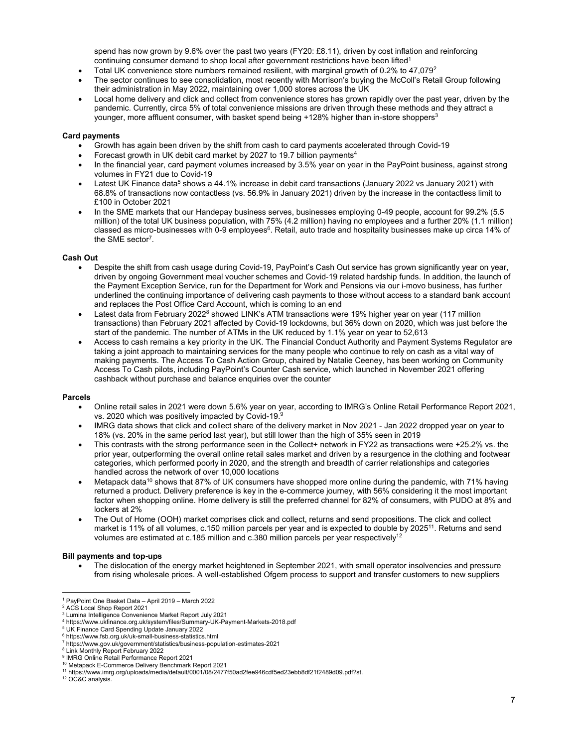spend has now grown by 9.6% over the past two years (FY20: £8.11), driven by cost inflation and reinforcing continuing consumer demand to shop local after government restrictions have been lifted<sup>1</sup>

- Total UK convenience store numbers remained resilient, with marginal growth of 0.2% to 47,079<sup>2</sup>
- The sector continues to see consolidation, most recently with Morrison's buying the McColl's Retail Group following their administration in May 2022, maintaining over 1,000 stores across the UK
- Local home delivery and click and collect from convenience stores has grown rapidly over the past year, driven by the pandemic. Currently, circa 5% of total convenience missions are driven through these methods and they attract a younger, more affluent consumer, with basket spend being +128% higher than in-store shoppers<sup>3</sup>

# **Card payments**

- Growth has again been driven by the shift from cash to card payments accelerated through Covid-19
- Forecast growth in UK debit card market by 2027 to 19.7 billion payments<sup>4</sup>
- In the financial year, card payment volumes increased by 3.5% year on year in the PayPoint business, against strong volumes in FY21 due to Covid-19
- Latest UK Finance data<sup>5</sup> shows a 44.1% increase in debit card transactions (January 2022 vs January 2021) with 68.8% of transactions now contactless (vs. 56.9% in January 2021) driven by the increase in the contactless limit to £100 in October 2021
- In the SME markets that our Handepay business serves, businesses employing 0-49 people, account for 99.2% (5.5 million) of the total UK business population, with 75% (4.2 million) having no employees and a further 20% (1.1 million) classed as micro-businesses with 0-9 employees<sup>6</sup>. Retail, auto trade and hospitality businesses make up circa 14% of the SME sector<sup>7</sup>.

# **Cash Out**

- Despite the shift from cash usage during Covid-19, PayPoint's Cash Out service has grown significantly year on year, driven by ongoing Government meal voucher schemes and Covid-19 related hardship funds. In addition, the launch of the Payment Exception Service, run for the Department for Work and Pensions via our i-movo business, has further underlined the continuing importance of delivering cash payments to those without access to a standard bank account and replaces the Post Office Card Account, which is coming to an end
- Latest data from February 2022<sup>8</sup> showed LINK's ATM transactions were 19% higher year on year (117 million transactions) than February 2021 affected by Covid-19 lockdowns, but 36% down on 2020, which was just before the start of the pandemic. The number of ATMs in the UK reduced by 1.1% year on year to 52,613
- Access to cash remains a key priority in the UK. The Financial Conduct Authority and Payment Systems Regulator are taking a joint approach to maintaining services for the many people who continue to rely on cash as a vital way of making payments. The Access To Cash Action Group, chaired by Natalie Ceeney, has been working on Community Access To Cash pilots, including PayPoint's Counter Cash service, which launched in November 2021 offering cashback without purchase and balance enquiries over the counter

## **Parcels**

- Online retail sales in 2021 were down 5.6% year on year, according to IMRG's Online Retail Performance Report 2021, vs. 2020 which was positively impacted by Covid-19.9
- IMRG data shows that click and collect share of the delivery market in Nov 2021 Jan 2022 dropped year on year to 18% (vs. 20% in the same period last year), but still lower than the high of 35% seen in 2019
- This contrasts with the strong performance seen in the Collect+ network in FY22 as transactions were +25.2% vs. the prior year, outperforming the overall online retail sales market and driven by a resurgence in the clothing and footwear categories, which performed poorly in 2020, and the strength and breadth of carrier relationships and categories handled across the network of over 10,000 locations
- Metapack data<sup>10</sup> shows that 87% of UK consumers have shopped more online during the pandemic, with 71% having returned a product. Delivery preference is key in the e-commerce journey, with 56% considering it the most important factor when shopping online. Home delivery is still the preferred channel for 82% of consumers, with PUDO at 8% and lockers at 2%
- The Out of Home (OOH) market comprises click and collect, returns and send propositions. The click and collect market is 11% of all volumes, c.150 million parcels per year and is expected to double by 202511. Returns and send volumes are estimated at c.185 million and c.380 million parcels per year respectively<sup>12</sup>

## **Bill payments and top-ups**

 The dislocation of the energy market heightened in September 2021, with small operator insolvencies and pressure from rising wholesale prices. A well-established Ofgem process to support and transfer customers to new suppliers

12 OC&C analysis.

 1 PayPoint One Basket Data – April 2019 – March 2022

<sup>2</sup> ACS Local Shop Report 2021

<sup>3</sup> Lumina Intelligence Convenience Market Report July 2021

<sup>4</sup> https://www.ukfinance.org.uk/system/files/Summary-UK-Payment-Markets-2018.pdf

<sup>5</sup> UK Finance Card Spending Update January 2022

<sup>6</sup> https://www.fsb.org.uk/uk-small-business-statistics.html

<sup>7</sup> https://www.gov.uk/government/statistics/business-population-estimates-2021 8 Link Monthly Report February 2022

<sup>9</sup> IMRG Online Retail Performance Report 2021

<sup>10</sup> Metapack E-Commerce Delivery Benchmark Report 2021

<sup>11</sup> https://www.imrg.org/uploads/media/default/0001/08/2477f50ad2fee946cdf5ed23ebb8df21f2489d09.pdf?st.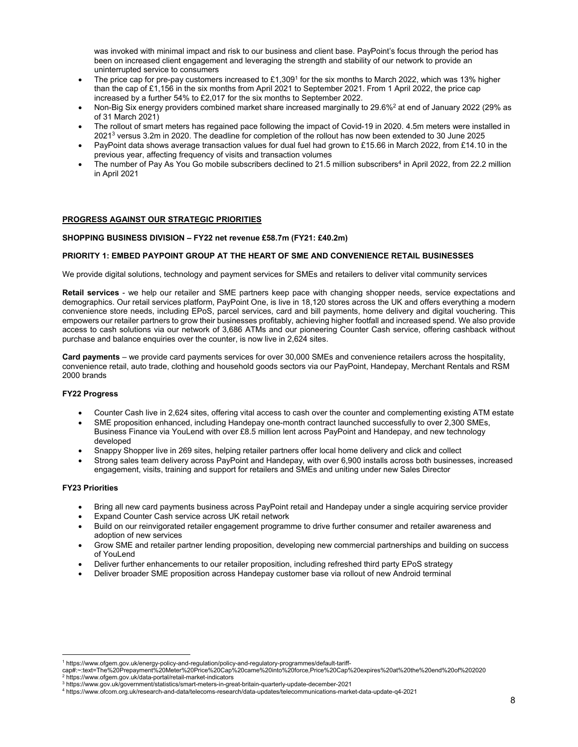was invoked with minimal impact and risk to our business and client base. PayPoint's focus through the period has been on increased client engagement and leveraging the strength and stability of our network to provide an uninterrupted service to consumers

- The price cap for pre-pay customers increased to £1,309<sup>1</sup> for the six months to March 2022, which was 13% higher than the cap of £1,156 in the six months from April 2021 to September 2021. From 1 April 2022, the price cap increased by a further 54% to £2,017 for the six months to September 2022.
- Non-Big Six energy providers combined market share increased marginally to 29.6%2 at end of January 2022 (29% as of 31 March 2021)
- The rollout of smart meters has regained pace following the impact of Covid-19 in 2020. 4.5m meters were installed in 20213 versus 3.2m in 2020. The deadline for completion of the rollout has now been extended to 30 June 2025
- PayPoint data shows average transaction values for dual fuel had grown to £15.66 in March 2022, from £14.10 in the previous year, affecting frequency of visits and transaction volumes
- The number of Pay As You Go mobile subscribers declined to 21.5 million subscribers<sup>4</sup> in April 2022, from 22.2 million in April 2021

## **PROGRESS AGAINST OUR STRATEGIC PRIORITIES**

#### **SHOPPING BUSINESS DIVISION – FY22 net revenue £58.7m (FY21: £40.2m)**

#### **PRIORITY 1: EMBED PAYPOINT GROUP AT THE HEART OF SME AND CONVENIENCE RETAIL BUSINESSES**

We provide digital solutions, technology and payment services for SMEs and retailers to deliver vital community services

**Retail services** - we help our retailer and SME partners keep pace with changing shopper needs, service expectations and demographics. Our retail services platform, PayPoint One, is live in 18,120 stores across the UK and offers everything a modern convenience store needs, including EPoS, parcel services, card and bill payments, home delivery and digital vouchering. This empowers our retailer partners to grow their businesses profitably, achieving higher footfall and increased spend. We also provide access to cash solutions via our network of 3,686 ATMs and our pioneering Counter Cash service, offering cashback without purchase and balance enquiries over the counter, is now live in 2,624 sites.

**Card payments** – we provide card payments services for over 30,000 SMEs and convenience retailers across the hospitality, convenience retail, auto trade, clothing and household goods sectors via our PayPoint, Handepay, Merchant Rentals and RSM 2000 brands

# **FY22 Progress**

- Counter Cash live in 2,624 sites, offering vital access to cash over the counter and complementing existing ATM estate
- SME proposition enhanced, including Handepay one-month contract launched successfully to over 2,300 SMEs, Business Finance via YouLend with over £8.5 million lent across PayPoint and Handepay, and new technology developed
- Snappy Shopper live in 269 sites, helping retailer partners offer local home delivery and click and collect
- Strong sales team delivery across PayPoint and Handepay, with over 6,900 installs across both businesses, increased engagement, visits, training and support for retailers and SMEs and uniting under new Sales Director

# **FY23 Priorities**

- Bring all new card payments business across PayPoint retail and Handepay under a single acquiring service provider
- Expand Counter Cash service across UK retail network
- Build on our reinvigorated retailer engagement programme to drive further consumer and retailer awareness and adoption of new services
- Grow SME and retailer partner lending proposition, developing new commercial partnerships and building on success of YouLend
- Deliver further enhancements to our retailer proposition, including refreshed third party EPoS strategy
- Deliver broader SME proposition across Handepay customer base via rollout of new Android terminal

<sup>.&</sup>lt;br>1 https://www.ofgem.gov.uk/energy-policy-and-regulation/policy-and-regulatory-programmes/default-tariff-<br>cap#:∼:text=The%20Prepayment%20Meter%20Price%20Cap%20came%20into%20force,Price%20Cap%20expires%20at%20the%20end%20 2 https://www.ofgem.gov.uk/data-portal/retail-market-indicators

<sup>3</sup> https://www.gov.uk/government/statistics/smart-meters-in-great-britain-quarterly-update-december-2021

<sup>4</sup> https://www.ofcom.org.uk/research-and-data/telecoms-research/data-updates/telecommunications-market-data-update-q4-2021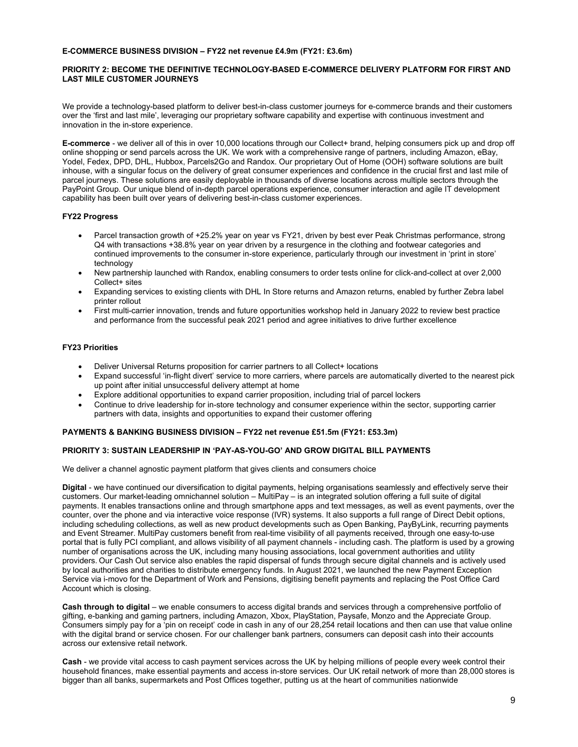# **E-COMMERCE BUSINESS DIVISION – FY22 net revenue £4.9m (FY21: £3.6m)**

# **PRIORITY 2: BECOME THE DEFINITIVE TECHNOLOGY-BASED E-COMMERCE DELIVERY PLATFORM FOR FIRST AND LAST MILE CUSTOMER JOURNEYS**

We provide a technology-based platform to deliver best-in-class customer journeys for e-commerce brands and their customers over the 'first and last mile', leveraging our proprietary software capability and expertise with continuous investment and innovation in the in-store experience.

**E-commerce** - we deliver all of this in over 10,000 locations through our Collect+ brand, helping consumers pick up and drop off online shopping or send parcels across the UK. We work with a comprehensive range of partners, including Amazon, eBay, Yodel, Fedex, DPD, DHL, Hubbox, Parcels2Go and Randox. Our proprietary Out of Home (OOH) software solutions are built inhouse, with a singular focus on the delivery of great consumer experiences and confidence in the crucial first and last mile of parcel journeys. These solutions are easily deployable in thousands of diverse locations across multiple sectors through the PayPoint Group. Our unique blend of in-depth parcel operations experience, consumer interaction and agile IT development capability has been built over years of delivering best-in-class customer experiences.

# **FY22 Progress**

- Parcel transaction growth of +25.2% year on year vs FY21, driven by best ever Peak Christmas performance, strong Q4 with transactions +38.8% year on year driven by a resurgence in the clothing and footwear categories and continued improvements to the consumer in-store experience, particularly through our investment in 'print in store' technology
- New partnership launched with Randox, enabling consumers to order tests online for click-and-collect at over 2,000 Collect+ sites
- Expanding services to existing clients with DHL In Store returns and Amazon returns, enabled by further Zebra label printer rollout
- First multi-carrier innovation, trends and future opportunities workshop held in January 2022 to review best practice and performance from the successful peak 2021 period and agree initiatives to drive further excellence

# **FY23 Priorities**

- Deliver Universal Returns proposition for carrier partners to all Collect+ locations
- Expand successful 'in-flight divert' service to more carriers, where parcels are automatically diverted to the nearest pick up point after initial unsuccessful delivery attempt at home
- Explore additional opportunities to expand carrier proposition, including trial of parcel lockers
- Continue to drive leadership for in-store technology and consumer experience within the sector, supporting carrier partners with data, insights and opportunities to expand their customer offering

## **PAYMENTS & BANKING BUSINESS DIVISION – FY22 net revenue £51.5m (FY21: £53.3m)**

# **PRIORITY 3: SUSTAIN LEADERSHIP IN 'PAY-AS-YOU-GO' AND GROW DIGITAL BILL PAYMENTS**

We deliver a channel agnostic payment platform that gives clients and consumers choice

**Digital** - we have continued our diversification to digital payments, helping organisations seamlessly and effectively serve their customers. Our market-leading omnichannel solution – MultiPay – is an integrated solution offering a full suite of digital payments. It enables transactions online and through smartphone apps and text messages, as well as event payments, over the counter, over the phone and via interactive voice response (IVR) systems. It also supports a full range of Direct Debit options, including scheduling collections, as well as new product developments such as Open Banking, PayByLink, recurring payments and Event Streamer. MultiPay customers benefit from real-time visibility of all payments received, through one easy-to-use portal that is fully PCI compliant, and allows visibility of all payment channels - including cash. The platform is used by a growing number of organisations across the UK, including many housing associations, local government authorities and utility providers. Our Cash Out service also enables the rapid dispersal of funds through secure digital channels and is actively used by local authorities and charities to distribute emergency funds. In August 2021, we launched the new Payment Exception Service via i-movo for the Department of Work and Pensions, digitising benefit payments and replacing the Post Office Card Account which is closing.

**Cash through to digital** – we enable consumers to access digital brands and services through a comprehensive portfolio of gifting, e-banking and gaming partners, including Amazon, Xbox, PlayStation, Paysafe, Monzo and the Appreciate Group. Consumers simply pay for a 'pin on receipt' code in cash in any of our 28,254 retail locations and then can use that value online with the digital brand or service chosen. For our challenger bank partners, consumers can deposit cash into their accounts across our extensive retail network.

**Cash** - we provide vital access to cash payment services across the UK by helping millions of people every week control their household finances, make essential payments and access in-store services. Our UK retail network of more than 28,000 stores is bigger than all banks, supermarkets and Post Offices together, putting us at the heart of communities nationwide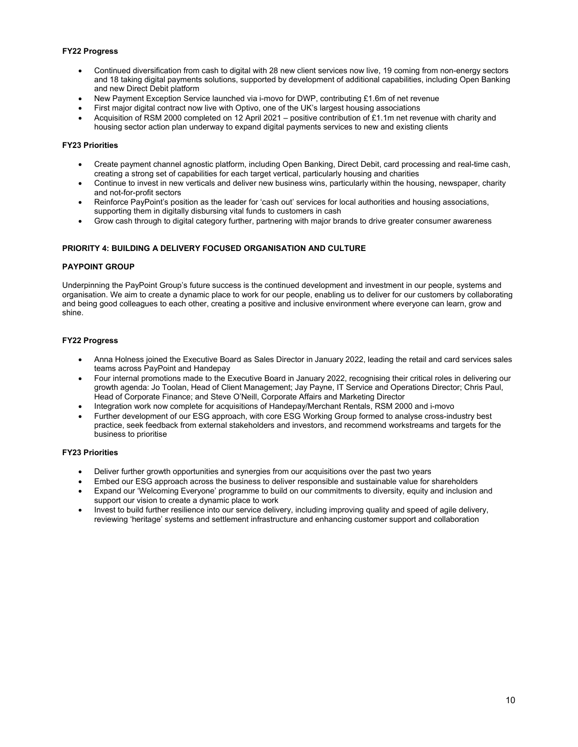# **FY22 Progress**

- Continued diversification from cash to digital with 28 new client services now live, 19 coming from non-energy sectors and 18 taking digital payments solutions, supported by development of additional capabilities, including Open Banking and new Direct Debit platform
- New Payment Exception Service launched via i-movo for DWP, contributing £1.6m of net revenue
- First major digital contract now live with Optivo, one of the UK's largest housing associations
- Acquisition of RSM 2000 completed on 12 April 2021 positive contribution of £1.1m net revenue with charity and housing sector action plan underway to expand digital payments services to new and existing clients

# **FY23 Priorities**

- Create payment channel agnostic platform, including Open Banking, Direct Debit, card processing and real-time cash, creating a strong set of capabilities for each target vertical, particularly housing and charities
- Continue to invest in new verticals and deliver new business wins, particularly within the housing, newspaper, charity and not-for-profit sectors
- Reinforce PayPoint's position as the leader for 'cash out' services for local authorities and housing associations, supporting them in digitally disbursing vital funds to customers in cash
- Grow cash through to digital category further, partnering with major brands to drive greater consumer awareness

# **PRIORITY 4: BUILDING A DELIVERY FOCUSED ORGANISATION AND CULTURE**

## **PAYPOINT GROUP**

Underpinning the PayPoint Group's future success is the continued development and investment in our people, systems and organisation. We aim to create a dynamic place to work for our people, enabling us to deliver for our customers by collaborating and being good colleagues to each other, creating a positive and inclusive environment where everyone can learn, grow and shine.

# **FY22 Progress**

- Anna Holness joined the Executive Board as Sales Director in January 2022, leading the retail and card services sales teams across PayPoint and Handepay
- Four internal promotions made to the Executive Board in January 2022, recognising their critical roles in delivering our growth agenda: Jo Toolan, Head of Client Management; Jay Payne, IT Service and Operations Director; Chris Paul, Head of Corporate Finance; and Steve O'Neill, Corporate Affairs and Marketing Director
- Integration work now complete for acquisitions of Handepay/Merchant Rentals, RSM 2000 and i-movo
- Further development of our ESG approach, with core ESG Working Group formed to analyse cross-industry best practice, seek feedback from external stakeholders and investors, and recommend workstreams and targets for the business to prioritise

## **FY23 Priorities**

- Deliver further growth opportunities and synergies from our acquisitions over the past two years
- Embed our ESG approach across the business to deliver responsible and sustainable value for shareholders
- Expand our 'Welcoming Everyone' programme to build on our commitments to diversity, equity and inclusion and support our vision to create a dynamic place to work
- Invest to build further resilience into our service delivery, including improving quality and speed of agile delivery, reviewing 'heritage' systems and settlement infrastructure and enhancing customer support and collaboration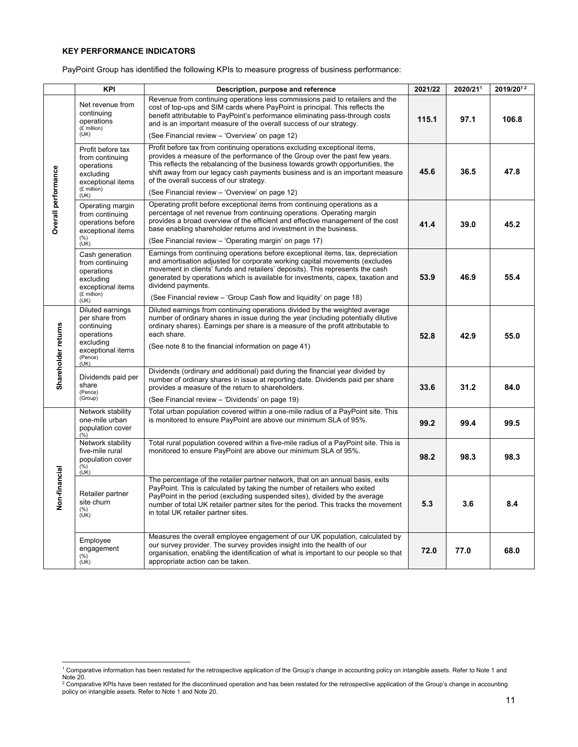# **KEY PERFORMANCE INDICATORS**

PayPoint Group has identified the following KPIs to measure progress of business performance:

|                     | <b>KPI</b>                                                                                                  | Description, purpose and reference                                                                                                                                                                                                                                                                                                                                                                                        | 2021/22 | 2020/211 | 2019/2012 |
|---------------------|-------------------------------------------------------------------------------------------------------------|---------------------------------------------------------------------------------------------------------------------------------------------------------------------------------------------------------------------------------------------------------------------------------------------------------------------------------------------------------------------------------------------------------------------------|---------|----------|-----------|
|                     | Net revenue from<br>continuing<br>operations<br>(£ million)                                                 | Revenue from continuing operations less commissions paid to retailers and the<br>cost of top-ups and SIM cards where PayPoint is principal. This reflects the<br>benefit attributable to PayPoint's performance eliminating pass-through costs<br>and is an important measure of the overall success of our strategy.                                                                                                     | 115.1   | 97.1     | 106.8     |
|                     | (UK)                                                                                                        | (See Financial review - 'Overview' on page 12)                                                                                                                                                                                                                                                                                                                                                                            |         |          |           |
|                     | Profit before tax<br>from continuing<br>operations<br>excluding<br>exceptional items<br>(£ million)         | Profit before tax from continuing operations excluding exceptional items,<br>provides a measure of the performance of the Group over the past few years.<br>This reflects the rebalancing of the business towards growth opportunities, the<br>shift away from our legacy cash payments business and is an important measure<br>of the overall success of our strategy.<br>(See Financial review - 'Overview' on page 12) | 45.6    | 36.5     | 47.8      |
| Overall performance | (UK)<br>Operating margin<br>from continuing<br>operations before                                            | Operating profit before exceptional items from continuing operations as a<br>percentage of net revenue from continuing operations. Operating margin<br>provides a broad overview of the efficient and effective management of the cost<br>base enabling shareholder returns and investment in the business.                                                                                                               | 41.4    | 39.0     | 45.2      |
|                     | exceptional items<br>(%)<br>(UK)                                                                            | (See Financial review - 'Operating margin' on page 17)                                                                                                                                                                                                                                                                                                                                                                    |         |          |           |
|                     | Cash generation<br>from continuing<br>operations<br>excluding<br>exceptional items                          | Earnings from continuing operations before exceptional items, tax, depreciation<br>and amortisation adjusted for corporate working capital movements (excludes<br>movement in clients' funds and retailers' deposits). This represents the cash<br>generated by operations which is available for investments, capex, taxation and<br>dividend payments.                                                                  | 53.9    | 46.9     | 55.4      |
|                     | (£ million)<br>(UK)                                                                                         | (See Financial review – 'Group Cash flow and liquidity' on page 18)                                                                                                                                                                                                                                                                                                                                                       |         |          |           |
| Shareholder returns | Diluted earnings<br>per share from<br>continuing<br>operations<br>excluding<br>exceptional items<br>(Pence) | Diluted earnings from continuing operations divided by the weighted average<br>number of ordinary shares in issue during the year (including potentially dilutive<br>ordinary shares). Earnings per share is a measure of the profit attributable to<br>each share.<br>(See note 8 to the financial information on page 41)                                                                                               | 52.8    | 42.9     | 55.0      |
|                     | (UK)<br>Dividends paid per<br>share<br>(Pence)<br>(Group)                                                   | Dividends (ordinary and additional) paid during the financial year divided by<br>number of ordinary shares in issue at reporting date. Dividends paid per share<br>provides a measure of the return to shareholders.<br>(See Financial review – 'Dividends' on page 19)                                                                                                                                                   | 33.6    | 31.2     | 84.0      |
|                     | Network stability<br>one-mile urban<br>population cover<br>(%)                                              | Total urban population covered within a one-mile radius of a PayPoint site. This<br>is monitored to ensure PayPoint are above our minimum SLA of 95%.                                                                                                                                                                                                                                                                     | 99.2    | 99.4     | 99.5      |
|                     | Network stability<br>five-mile rural<br>population cover<br>$\frac{(\%)}{(\text{UK})}$                      | Total rural population covered within a five-mile radius of a PayPoint site. This is<br>monitored to ensure PayPoint are above our minimum SLA of 95%.                                                                                                                                                                                                                                                                    | 98.2    | 98.3     | 98.3      |
| Non-financial       | Retailer partner<br>site churn<br>$(\%)$<br>(UK)                                                            | The percentage of the retailer partner network, that on an annual basis, exits<br>PayPoint. This is calculated by taking the number of retailers who exited<br>PayPoint in the period (excluding suspended sites), divided by the average<br>number of total UK retailer partner sites for the period. This tracks the movement<br>in total UK retailer partner sites.                                                    | 5.3     | 3.6      | 8.4       |
|                     | Employee<br>engagement<br>$(\% )$<br>(UK)                                                                   | Measures the overall employee engagement of our UK population, calculated by<br>our survey provider. The survey provides insight into the health of our<br>organisation, enabling the identification of what is important to our people so that<br>appropriate action can be taken.                                                                                                                                       | 72.0    | 77.0     | 68.0      |

<sup>—&</sup>lt;br>Note 20.<br>Note 20.<br><sup>2</sup> Comparative KPIs have been restated for the retrospective application of the Group's change in accounting policy on intangible assets. Refer to Note 1 and<br><sup>2</sup> Comparative KPIs have been restated for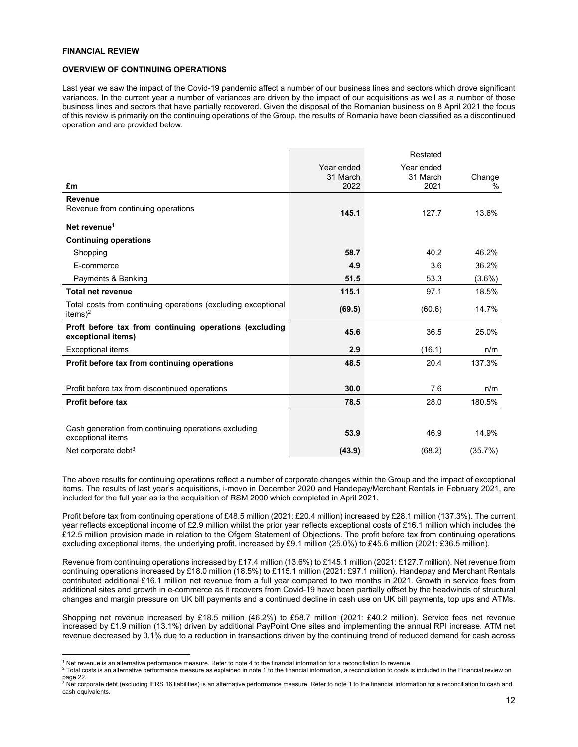## **FINANCIAL REVIEW**

 $\overline{a}$ 

## **OVERVIEW OF CONTINUING OPERATIONS**

Last year we saw the impact of the Covid-19 pandemic affect a number of our business lines and sectors which drove significant variances. In the current year a number of variances are driven by the impact of our acquisitions as well as a number of those business lines and sectors that have partially recovered. Given the disposal of the Romanian business on 8 April 2021 the focus of this review is primarily on the continuing operations of the Group, the results of Romania have been classified as a discontinued operation and are provided below.

|                                                                                      |                        | Restated               |           |
|--------------------------------------------------------------------------------------|------------------------|------------------------|-----------|
|                                                                                      | Year ended<br>31 March | Year ended<br>31 March | Change    |
| £m                                                                                   | 2022                   | 2021                   | $\%$      |
| <b>Revenue</b>                                                                       |                        |                        |           |
| Revenue from continuing operations                                                   | 145.1                  | 127.7                  | 13.6%     |
| Net revenue <sup>1</sup>                                                             |                        |                        |           |
| <b>Continuing operations</b>                                                         |                        |                        |           |
| Shopping                                                                             | 58.7                   | 40.2                   | 46.2%     |
| E-commerce                                                                           | 4.9                    | 3.6                    | 36.2%     |
| Payments & Banking                                                                   | 51.5                   | 53.3                   | $(3.6\%)$ |
| <b>Total net revenue</b>                                                             | 115.1                  | 97.1                   | 18.5%     |
| Total costs from continuing operations (excluding exceptional<br>items) <sup>2</sup> | (69.5)                 | (60.6)                 | 14.7%     |
| Proft before tax from continuing operations (excluding<br>exceptional items)         | 45.6                   | 36.5                   | 25.0%     |
| <b>Exceptional items</b>                                                             | 2.9                    | (16.1)                 | n/m       |
| Profit before tax from continuing operations                                         | 48.5                   | 20.4                   | 137.3%    |
| Profit before tax from discontinued operations                                       | 30.0                   | 7.6                    | n/m       |
| <b>Profit before tax</b>                                                             | 78.5                   | 28.0                   | 180.5%    |
|                                                                                      |                        |                        |           |
| Cash generation from continuing operations excluding<br>exceptional items            | 53.9                   | 46.9                   | 14.9%     |
| Net corporate debt $3$                                                               | (43.9)                 | (68.2)                 | (35.7%)   |

The above results for continuing operations reflect a number of corporate changes within the Group and the impact of exceptional items. The results of last year's acquisitions, i-movo in December 2020 and Handepay/Merchant Rentals in February 2021, are included for the full year as is the acquisition of RSM 2000 which completed in April 2021.

Profit before tax from continuing operations of £48.5 million (2021: £20.4 million) increased by £28.1 million (137.3%). The current year reflects exceptional income of £2.9 million whilst the prior year reflects exceptional costs of £16.1 million which includes the £12.5 million provision made in relation to the Ofgem Statement of Objections. The profit before tax from continuing operations excluding exceptional items, the underlying profit, increased by £9.1 million (25.0%) to £45.6 million (2021: £36.5 million).

Revenue from continuing operations increased by £17.4 million (13.6%) to £145.1 million (2021: £127.7 million). Net revenue from continuing operations increased by £18.0 million (18.5%) to £115.1 million (2021: £97.1 million). Handepay and Merchant Rentals contributed additional £16.1 million net revenue from a full year compared to two months in 2021. Growth in service fees from additional sites and growth in e-commerce as it recovers from Covid-19 have been partially offset by the headwinds of structural changes and margin pressure on UK bill payments and a continued decline in cash use on UK bill payments, top ups and ATMs.

Shopping net revenue increased by £18.5 million (46.2%) to £58.7 million (2021: £40.2 million). Service fees net revenue increased by £1.9 million (13.1%) driven by additional PayPoint One sites and implementing the annual RPI increase. ATM net revenue decreased by 0.1% due to a reduction in transactions driven by the continuing trend of reduced demand for cash across

<sup>&</sup>lt;sup>1</sup> Net revenue is an alternative performance measure. Refer to note 4 to the financial information for a reconciliation to revenue.

<sup>&</sup>lt;sup>1</sup> Net revenue is an alternative performance measure. Refer to note 4 to the financial information for a reconciliation to revenue.<br><sup>2</sup> Total costs is an alternative performance measure as explained in note 1 to the finan page 22.

 $^3$  Net corporate debt (excluding IFRS 16 liabilities) is an alternative performance measure. Refer to note 1 to the financial information for a reconciliation to cash and cash equivalents.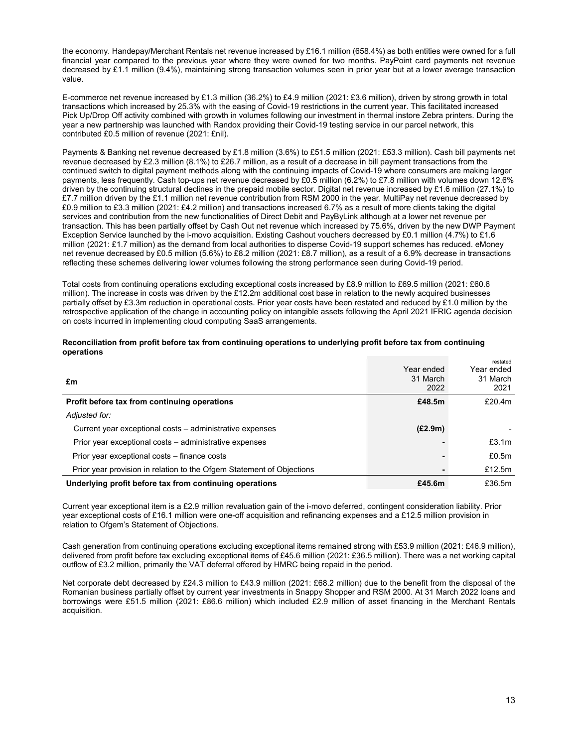the economy. Handepay/Merchant Rentals net revenue increased by £16.1 million (658.4%) as both entities were owned for a full financial year compared to the previous year where they were owned for two months. PayPoint card payments net revenue decreased by £1.1 million (9.4%), maintaining strong transaction volumes seen in prior year but at a lower average transaction value.

E-commerce net revenue increased by £1.3 million (36.2%) to £4.9 million (2021: £3.6 million), driven by strong growth in total transactions which increased by 25.3% with the easing of Covid-19 restrictions in the current year. This facilitated increased Pick Up/Drop Off activity combined with growth in volumes following our investment in thermal instore Zebra printers. During the year a new partnership was launched with Randox providing their Covid-19 testing service in our parcel network, this contributed £0.5 million of revenue (2021: £nil).

Payments & Banking net revenue decreased by £1.8 million (3.6%) to £51.5 million (2021: £53.3 million). Cash bill payments net revenue decreased by £2.3 million (8.1%) to £26.7 million, as a result of a decrease in bill payment transactions from the continued switch to digital payment methods along with the continuing impacts of Covid-19 where consumers are making larger payments, less frequently. Cash top-ups net revenue decreased by £0.5 million (6.2%) to £7.8 million with volumes down 12.6% driven by the continuing structural declines in the prepaid mobile sector. Digital net revenue increased by £1.6 million (27.1%) to £7.7 million driven by the £1.1 million net revenue contribution from RSM 2000 in the year. MultiPay net revenue decreased by £0.9 million to £3.3 million (2021: £4.2 million) and transactions increased 6.7% as a result of more clients taking the digital services and contribution from the new functionalities of Direct Debit and PayByLink although at a lower net revenue per transaction. This has been partially offset by Cash Out net revenue which increased by 75.6%, driven by the new DWP Payment Exception Service launched by the i-movo acquisition. Existing Cashout vouchers decreased by £0.1 million (4.7%) to £1.6 million (2021: £1.7 million) as the demand from local authorities to disperse Covid-19 support schemes has reduced. eMoney net revenue decreased by £0.5 million (5.6%) to £8.2 million (2021: £8.7 million), as a result of a 6.9% decrease in transactions reflecting these schemes delivering lower volumes following the strong performance seen during Covid-19 period.

Total costs from continuing operations excluding exceptional costs increased by £8.9 million to £69.5 million (2021: £60.6 million). The increase in costs was driven by the £12.2m additional cost base in relation to the newly acquired businesses partially offset by £3.3m reduction in operational costs. Prior year costs have been restated and reduced by £1.0 million by the retrospective application of the change in accounting policy on intangible assets following the April 2021 IFRIC agenda decision on costs incurred in implementing cloud computing SaaS arrangements.

| Reconciliation from profit before tax from continuing operations to underlying profit before tax from continuing |  |
|------------------------------------------------------------------------------------------------------------------|--|
| operations                                                                                                       |  |

| £m                                                                    | Year ended<br>31 March<br>2022 | restated<br>Year ended<br>31 March<br>2021 |
|-----------------------------------------------------------------------|--------------------------------|--------------------------------------------|
| Profit before tax from continuing operations                          | £48.5m                         | £20.4m                                     |
| Adjusted for:                                                         |                                |                                            |
| Current year exceptional costs – administrative expenses              | (E2.9m)                        |                                            |
| Prior year exceptional costs – administrative expenses                |                                | £3.1 <sub>m</sub>                          |
| Prior year exceptional costs – finance costs                          |                                | £0.5m                                      |
| Prior year provision in relation to the Ofgem Statement of Objections |                                | £12.5 $m$                                  |
| Underlying profit before tax from continuing operations               | £45.6m                         | £36.5m                                     |

Current year exceptional item is a £2.9 million revaluation gain of the i-movo deferred, contingent consideration liability. Prior year exceptional costs of £16.1 million were one-off acquisition and refinancing expenses and a £12.5 million provision in relation to Ofgem's Statement of Objections.

Cash generation from continuing operations excluding exceptional items remained strong with £53.9 million (2021: £46.9 million), delivered from profit before tax excluding exceptional items of £45.6 million (2021: £36.5 million). There was a net working capital outflow of £3.2 million, primarily the VAT deferral offered by HMRC being repaid in the period.

Net corporate debt decreased by £24.3 million to £43.9 million (2021: £68.2 million) due to the benefit from the disposal of the Romanian business partially offset by current year investments in Snappy Shopper and RSM 2000. At 31 March 2022 loans and borrowings were £51.5 million (2021: £86.6 million) which included £2.9 million of asset financing in the Merchant Rentals acquisition.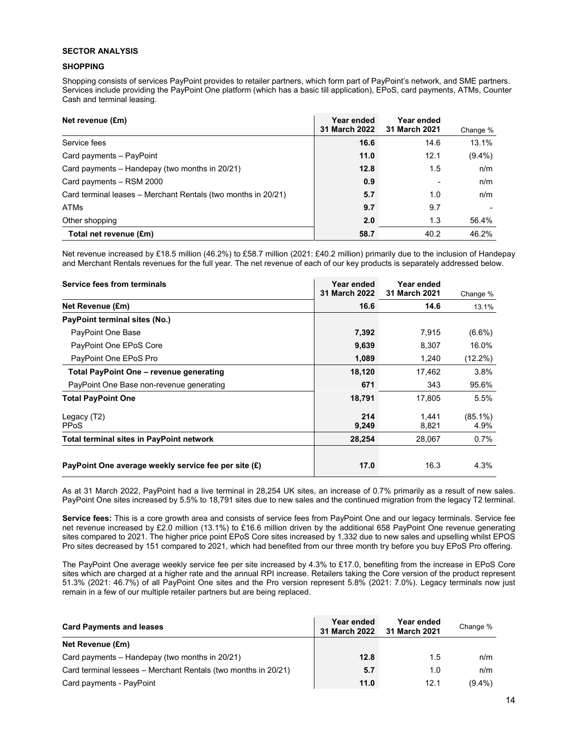# **SECTOR ANALYSIS**

# **SHOPPING**

Shopping consists of services PayPoint provides to retailer partners, which form part of PayPoint's network, and SME partners. Services include providing the PayPoint One platform (which has a basic till application), EPoS, card payments, ATMs, Counter Cash and terminal leasing.

| Net revenue (£m)                                              | Year ended<br><b>31 March 2022</b> | Year ended<br>31 March 2021 | Change %  |
|---------------------------------------------------------------|------------------------------------|-----------------------------|-----------|
| Service fees                                                  | 16.6                               | 14.6                        | 13.1%     |
| Card payments - PayPoint                                      | 11.0                               | 12.1                        | $(9.4\%)$ |
| Card payments – Handepay (two months in 20/21)                | 12.8                               | 1.5                         | n/m       |
| Card payments - RSM 2000                                      | 0.9                                |                             | n/m       |
| Card terminal leases – Merchant Rentals (two months in 20/21) | 5.7                                | 1.0                         | n/m       |
| <b>ATMs</b>                                                   | 9.7                                | 9.7                         |           |
| Other shopping                                                | 2.0                                | 1.3                         | 56.4%     |
| Total net revenue (£m)                                        | 58.7                               | 40.2                        | 46.2%     |

Net revenue increased by £18.5 million (46.2%) to £58.7 million (2021: £40.2 million) primarily due to the inclusion of Handepay and Merchant Rentals revenues for the full year. The net revenue of each of our key products is separately addressed below.

| Service fees from terminals                          | Year ended<br>31 March 2022 | Year ended<br>31 March 2021 | Change %           |
|------------------------------------------------------|-----------------------------|-----------------------------|--------------------|
| Net Revenue (£m)                                     | 16.6                        | 14.6                        | 13.1%              |
| PayPoint terminal sites (No.)                        |                             |                             |                    |
| PayPoint One Base                                    | 7,392                       | 7,915                       | $(6.6\%)$          |
| PayPoint One EPoS Core                               | 9,639                       | 8,307                       | 16.0%              |
| PayPoint One EPoS Pro                                | 1,089                       | 1,240                       | $(12.2\%)$         |
| Total PayPoint One - revenue generating              | 18,120                      | 17,462                      | 3.8%               |
| PayPoint One Base non-revenue generating             | 671                         | 343                         | 95.6%              |
| <b>Total PayPoint One</b>                            | 18,791                      | 17,805                      | 5.5%               |
| Legacy (T2)<br><b>PPoS</b>                           | 214<br>9,249                | 1.441<br>8,821              | $(85.1\%)$<br>4.9% |
| <b>Total terminal sites in PayPoint network</b>      | 28,254                      | 28,067                      | 0.7%               |
| PayPoint One average weekly service fee per site (£) | 17.0                        | 16.3                        | 4.3%               |

As at 31 March 2022, PayPoint had a live terminal in 28,254 UK sites, an increase of 0.7% primarily as a result of new sales. PayPoint One sites increased by 5.5% to 18,791 sites due to new sales and the continued migration from the legacy T2 terminal.

**Service fees:** This is a core growth area and consists of service fees from PayPoint One and our legacy terminals. Service fee net revenue increased by £2.0 million (13.1%) to £16.6 million driven by the additional 658 PayPoint One revenue generating sites compared to 2021. The higher price point EPoS Core sites increased by 1,332 due to new sales and upselling whilst EPOS Pro sites decreased by 151 compared to 2021, which had benefited from our three month try before you buy EPoS Pro offering.

The PayPoint One average weekly service fee per site increased by 4.3% to £17.0, benefiting from the increase in EPoS Core sites which are charged at a higher rate and the annual RPI increase. Retailers taking the Core version of the product represent 51.3% (2021: 46.7%) of all PayPoint One sites and the Pro version represent 5.8% (2021: 7.0%). Legacy terminals now just remain in a few of our multiple retailer partners but are being replaced.

| <b>Card Payments and leases</b>                                | Year ended<br><b>31 March 2022</b> | Year ended<br>31 March 2021 | Change %  |
|----------------------------------------------------------------|------------------------------------|-----------------------------|-----------|
| Net Revenue (£m)                                               |                                    |                             |           |
| Card payments – Handepay (two months in 20/21)                 | 12.8                               | 1.5                         | n/m       |
| Card terminal lessees – Merchant Rentals (two months in 20/21) | 5.7                                | 1.0                         | n/m       |
| Card payments - PayPoint                                       | 11.0                               | 12.1                        | $(9.4\%)$ |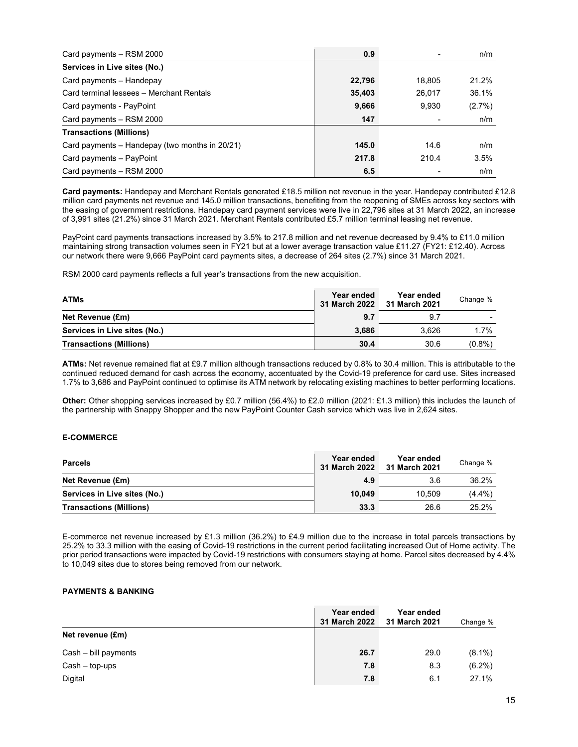| Card payments - RSM 2000                       | 0.9    |        | n/m       |
|------------------------------------------------|--------|--------|-----------|
| Services in Live sites (No.)                   |        |        |           |
| Card payments - Handepay                       | 22,796 | 18.805 | 21.2%     |
| Card terminal lessees - Merchant Rentals       | 35,403 | 26.017 | 36.1%     |
| Card payments - PayPoint                       | 9,666  | 9.930  | $(2.7\%)$ |
| Card payments - RSM 2000                       | 147    |        | n/m       |
| <b>Transactions (Millions)</b>                 |        |        |           |
| Card payments – Handepay (two months in 20/21) | 145.0  | 14.6   | n/m       |
| Card payments - PayPoint                       | 217.8  | 210.4  | 3.5%      |
| Card payments - RSM 2000                       | 6.5    |        | n/m       |

**Card payments:** Handepay and Merchant Rentals generated £18.5 million net revenue in the year. Handepay contributed £12.8 million card payments net revenue and 145.0 million transactions, benefiting from the reopening of SMEs across key sectors with the easing of government restrictions. Handepay card payment services were live in 22,796 sites at 31 March 2022, an increase of 3,991 sites (21.2%) since 31 March 2021. Merchant Rentals contributed £5.7 million terminal leasing net revenue.

PayPoint card payments transactions increased by 3.5% to 217.8 million and net revenue decreased by 9.4% to £11.0 million maintaining strong transaction volumes seen in FY21 but at a lower average transaction value £11.27 (FY21: £12.40). Across our network there were 9,666 PayPoint card payments sites, a decrease of 264 sites (2.7%) since 31 March 2021.

RSM 2000 card payments reflects a full year's transactions from the new acquisition.

| <b>ATMs</b>                    | Year ended<br>31 March 2022 | Year ended<br>31 March 2021 | Change %  |
|--------------------------------|-----------------------------|-----------------------------|-----------|
| Net Revenue (£m)               | 9.7                         | 9.7                         | -         |
| Services in Live sites (No.)   | 3.686                       | 3.626                       | 1.7%      |
| <b>Transactions (Millions)</b> | 30.4                        | 30.6                        | $(0.8\%)$ |

**ATMs:** Net revenue remained flat at £9.7 million although transactions reduced by 0.8% to 30.4 million. This is attributable to the continued reduced demand for cash across the economy, accentuated by the Covid-19 preference for card use. Sites increased 1.7% to 3,686 and PayPoint continued to optimise its ATM network by relocating existing machines to better performing locations.

**Other:** Other shopping services increased by £0.7 million (56.4%) to £2.0 million (2021: £1.3 million) this includes the launch of the partnership with Snappy Shopper and the new PayPoint Counter Cash service which was live in 2,624 sites.

## **E-COMMERCE**

| <b>Parcels</b>                 | Year ended<br>31 March 2022 | Year ended<br>31 March 2021 | Change % |
|--------------------------------|-----------------------------|-----------------------------|----------|
| Net Revenue (£m)               | 4.9                         | 3.6                         | 36.2%    |
| Services in Live sites (No.)   | 10.049                      | 10.509                      | (4.4%)   |
| <b>Transactions (Millions)</b> | 33.3                        | 26.6                        | 25.2%    |

E-commerce net revenue increased by £1.3 million (36.2%) to £4.9 million due to the increase in total parcels transactions by 25.2% to 33.3 million with the easing of Covid-19 restrictions in the current period facilitating increased Out of Home activity. The prior period transactions were impacted by Covid-19 restrictions with consumers staying at home. Parcel sites decreased by 4.4% to 10,049 sites due to stores being removed from our network.

# **PAYMENTS & BANKING**

|                      | Year ended<br>31 March 2022 | Year ended<br>31 March 2021 | Change %  |
|----------------------|-----------------------------|-----------------------------|-----------|
| Net revenue (£m)     |                             |                             |           |
| Cash - bill payments | 26.7                        | 29.0                        | $(8.1\%)$ |
| $Cash - top-ups$     | 7.8                         | 8.3                         | $(6.2\%)$ |
| Digital              | 7.8                         | 6.1                         | 27.1%     |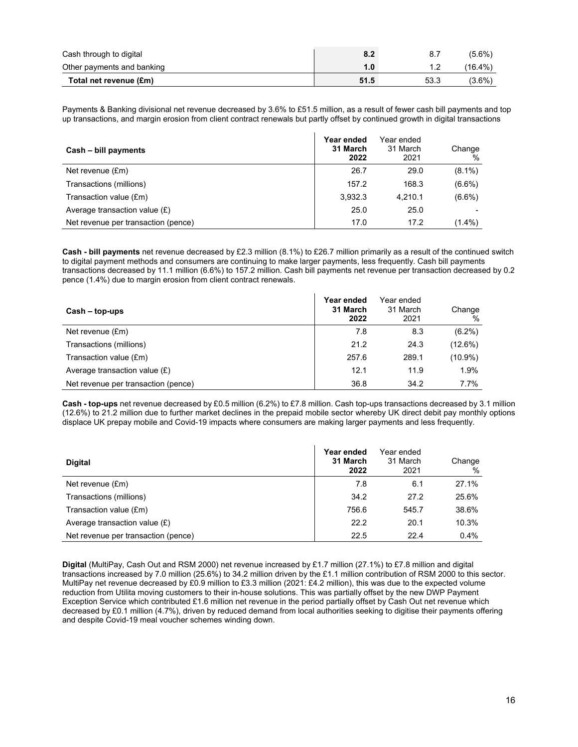| Cash through to digital    | 8.2  |      | $(5.6\%)$  |
|----------------------------|------|------|------------|
| Other payments and banking | 1.0  |      | $(16.4\%)$ |
| Total net revenue (£m)     | 51.5 | 53.3 | (3.6%)     |

Payments & Banking divisional net revenue decreased by 3.6% to £51.5 million, as a result of fewer cash bill payments and top up transactions, and margin erosion from client contract renewals but partly offset by continued growth in digital transactions

| Cash - bill payments                | Year ended<br>31 March<br>2022 | Year ended<br>31 March<br>2021 | Change<br>$\%$ |
|-------------------------------------|--------------------------------|--------------------------------|----------------|
| Net revenue (£m)                    | 26.7                           | 29.0                           | $(8.1\%)$      |
| Transactions (millions)             | 157.2                          | 168.3                          | $(6.6\%)$      |
| Transaction value (£m)              | 3,932.3                        | 4.210.1                        | $(6.6\%)$      |
| Average transaction value $(E)$     | 25.0                           | 25.0                           |                |
| Net revenue per transaction (pence) | 17.0                           | 17.2                           | $(1.4\%)$      |

**Cash - bill payments** net revenue decreased by £2.3 million (8.1%) to £26.7 million primarily as a result of the continued switch to digital payment methods and consumers are continuing to make larger payments, less frequently. Cash bill payments transactions decreased by 11.1 million (6.6%) to 157.2 million. Cash bill payments net revenue per transaction decreased by 0.2 pence (1.4%) due to margin erosion from client contract renewals.

| $Cash - top-ups$                    | Year ended<br>31 March<br>2022 | Year ended<br>31 March<br>2021 | Change<br>$\frac{0}{0}$ |
|-------------------------------------|--------------------------------|--------------------------------|-------------------------|
| Net revenue $(fm)$                  | 7.8                            | 8.3                            | $(6.2\%)$               |
| Transactions (millions)             | 21.2                           | 24.3                           | (12.6%)                 |
| Transaction value (£m)              | 257.6                          | 289.1                          | $(10.9\%)$              |
| Average transaction value $(E)$     | 12.1                           | 11.9                           | 1.9%                    |
| Net revenue per transaction (pence) | 36.8                           | 34.2                           | 7.7%                    |

**Cash - top-ups** net revenue decreased by £0.5 million (6.2%) to £7.8 million. Cash top-ups transactions decreased by 3.1 million (12.6%) to 21.2 million due to further market declines in the prepaid mobile sector whereby UK direct debit pay monthly options displace UK prepay mobile and Covid-19 impacts where consumers are making larger payments and less frequently.

| <b>Digital</b>                      | Year ended<br>31 March<br>2022 | Year ended<br>31 March<br>2021 | Change<br>$\%$ |
|-------------------------------------|--------------------------------|--------------------------------|----------------|
| Net revenue (£m)                    | 7.8                            | 6.1                            | 27.1%          |
| Transactions (millions)             | 34.2                           | 27.2                           | 25.6%          |
| Transaction value (£m)              | 756.6                          | 545.7                          | 38.6%          |
| Average transaction value $(E)$     | 22.2                           | 20.1                           | 10.3%          |
| Net revenue per transaction (pence) | 22.5                           | 22.4                           | $0.4\%$        |

**Digital** (MultiPay, Cash Out and RSM 2000) net revenue increased by £1.7 million (27.1%) to £7.8 million and digital transactions increased by 7.0 million (25.6%) to 34.2 million driven by the £1.1 million contribution of RSM 2000 to this sector. MultiPay net revenue decreased by £0.9 million to £3.3 million (2021: £4.2 million), this was due to the expected volume reduction from Utilita moving customers to their in-house solutions. This was partially offset by the new DWP Payment Exception Service which contributed £1.6 million net revenue in the period partially offset by Cash Out net revenue which decreased by £0.1 million (4.7%), driven by reduced demand from local authorities seeking to digitise their payments offering and despite Covid-19 meal voucher schemes winding down.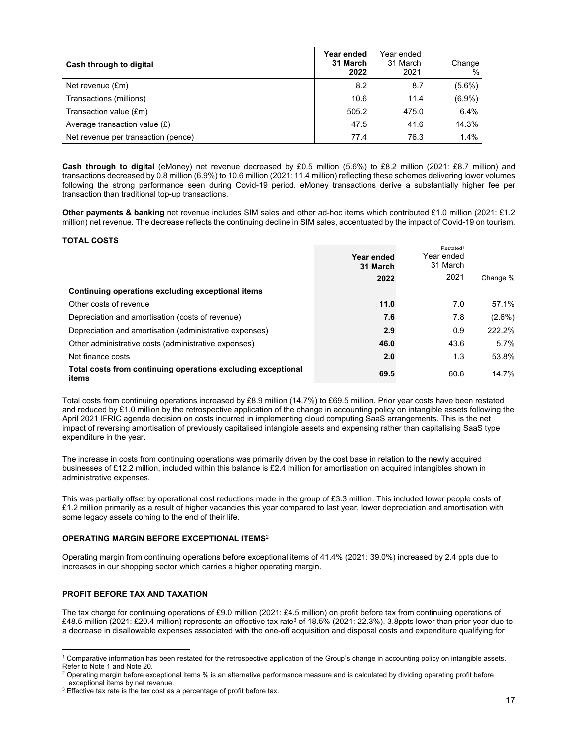| Cash through to digital             | Year ended<br>31 March<br>2022 | Year ended<br>31 March<br>2021 | Change<br>$\%$ |
|-------------------------------------|--------------------------------|--------------------------------|----------------|
| Net revenue (£m)                    | 8.2                            | 8.7                            | $(5.6\%)$      |
| Transactions (millions)             | 10.6                           | 11.4                           | $(6.9\%)$      |
| Transaction value (£m)              | 505.2                          | 475.0                          | 6.4%           |
| Average transaction value $(E)$     | 47.5                           | 41.6                           | 14.3%          |
| Net revenue per transaction (pence) | 77.4                           | 76.3                           | 1.4%           |

**Cash through to digital** (eMoney) net revenue decreased by £0.5 million (5.6%) to £8.2 million (2021: £8.7 million) and transactions decreased by 0.8 million (6.9%) to 10.6 million (2021: 11.4 million) reflecting these schemes delivering lower volumes following the strong performance seen during Covid-19 period. eMoney transactions derive a substantially higher fee per transaction than traditional top-up transactions.

 $\mathbf{I}$ 

**Other payments & banking** net revenue includes SIM sales and other ad-hoc items which contributed £1.0 million (2021: £1.2 million) net revenue. The decrease reflects the continuing decline in SIM sales, accentuated by the impact of Covid-19 on tourism.

# **TOTAL COSTS**

|                                                                       | Year ended<br>31 March | Restated <sup>1</sup><br>Year ended<br>31 March |           |
|-----------------------------------------------------------------------|------------------------|-------------------------------------------------|-----------|
|                                                                       | 2022                   | 2021                                            | Change %  |
| Continuing operations excluding exceptional items                     |                        |                                                 |           |
| Other costs of revenue                                                | 11.0                   | 7.0                                             | 57.1%     |
| Depreciation and amortisation (costs of revenue)                      | 7.6                    | 7.8                                             | $(2.6\%)$ |
| Depreciation and amortisation (administrative expenses)               | 2.9                    | 0.9                                             | 222.2%    |
| Other administrative costs (administrative expenses)                  | 46.0                   | 43.6                                            | $5.7\%$   |
| Net finance costs                                                     | 2.0                    | 1.3                                             | 53.8%     |
| Total costs from continuing operations excluding exceptional<br>items | 69.5                   | 60.6                                            | 14.7%     |

Total costs from continuing operations increased by £8.9 million (14.7%) to £69.5 million. Prior year costs have been restated and reduced by £1.0 million by the retrospective application of the change in accounting policy on intangible assets following the April 2021 IFRIC agenda decision on costs incurred in implementing cloud computing SaaS arrangements. This is the net impact of reversing amortisation of previously capitalised intangible assets and expensing rather than capitalising SaaS type expenditure in the year.

The increase in costs from continuing operations was primarily driven by the cost base in relation to the newly acquired businesses of £12.2 million, included within this balance is £2.4 million for amortisation on acquired intangibles shown in administrative expenses.

This was partially offset by operational cost reductions made in the group of £3.3 million. This included lower people costs of £1.2 million primarily as a result of higher vacancies this year compared to last year, lower depreciation and amortisation with some legacy assets coming to the end of their life.

# **OPERATING MARGIN BEFORE EXCEPTIONAL ITEMS**<sup>2</sup>

Operating margin from continuing operations before exceptional items of 41.4% (2021: 39.0%) increased by 2.4 ppts due to increases in our shopping sector which carries a higher operating margin.

# **PROFIT BEFORE TAX AND TAXATION**

The tax charge for continuing operations of £9.0 million (2021: £4.5 million) on profit before tax from continuing operations of £48.5 million (2021: £20.4 million) represents an effective tax rate<sup>3</sup> of 18.5% (2021: 22.3%). 3.8ppts lower than prior year due to a decrease in disallowable expenses associated with the one-off acquisition and disposal costs and expenditure qualifying for

 1 Comparative information has been restated for the retrospective application of the Group's change in accounting policy on intangible assets. Refer to Note 1 and Note 20.

 $^2$  Operating margin before exceptional items % is an alternative performance measure and is calculated by dividing operating profit before exceptional items by net revenue.

 $3$  Effective tax rate is the tax cost as a percentage of profit before tax.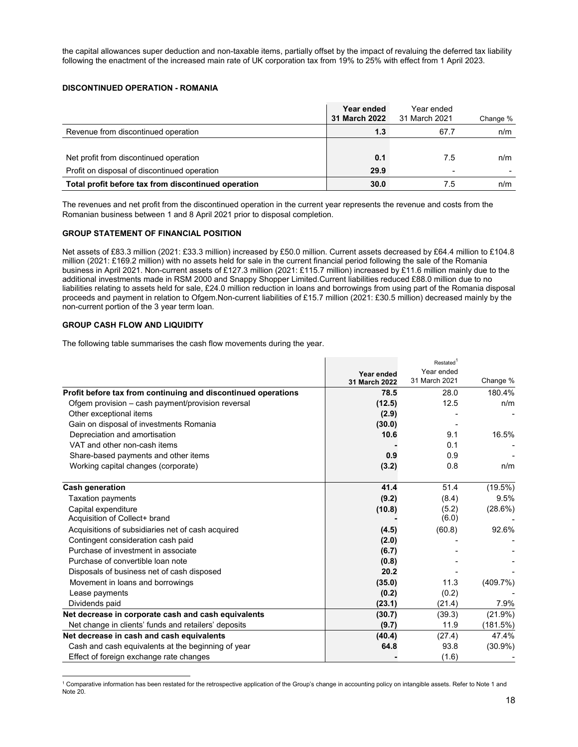the capital allowances super deduction and non-taxable items, partially offset by the impact of revaluing the deferred tax liability following the enactment of the increased main rate of UK corporation tax from 19% to 25% with effect from 1 April 2023.

# **DISCONTINUED OPERATION - ROMANIA**

|                                                     | Year ended<br>31 March 2022 | Year ended<br>31 March 2021 | Change % |
|-----------------------------------------------------|-----------------------------|-----------------------------|----------|
| Revenue from discontinued operation                 | 1.3                         | 67.7                        | n/m      |
|                                                     |                             |                             |          |
| Net profit from discontinued operation              | 0.1                         | 7.5                         | n/m      |
| Profit on disposal of discontinued operation        | 29.9                        | ۰                           |          |
| Total profit before tax from discontinued operation | 30.0                        | 7.5                         | n/m      |

The revenues and net profit from the discontinued operation in the current year represents the revenue and costs from the Romanian business between 1 and 8 April 2021 prior to disposal completion.

# **GROUP STATEMENT OF FINANCIAL POSITION**

Net assets of £83.3 million (2021: £33.3 million) increased by £50.0 million. Current assets decreased by £64.4 million to £104.8 million (2021: £169.2 million) with no assets held for sale in the current financial period following the sale of the Romania business in April 2021. Non-current assets of £127.3 million (2021: £115.7 million) increased by £11.6 million mainly due to the additional investments made in RSM 2000 and Snappy Shopper Limited.Current liabilities reduced £88.0 million due to no liabilities relating to assets held for sale, £24.0 million reduction in loans and borrowings from using part of the Romania disposal proceeds and payment in relation to Ofgem.Non-current liabilities of £15.7 million (2021: £30.5 million) decreased mainly by the non-current portion of the 3 year term loan.

# **GROUP CASH FLOW AND LIQUIDITY**

The following table summarises the cash flow movements during the year.

|                                                               | Year ended    | Restated <sup>1</sup> |            |
|---------------------------------------------------------------|---------------|-----------------------|------------|
|                                                               |               | Year ended            |            |
|                                                               | 31 March 2022 | 31 March 2021         | Change %   |
| Profit before tax from continuing and discontinued operations | 78.5          | 28.0                  | 180.4%     |
| Ofgem provision – cash payment/provision reversal             | (12.5)        | 12.5                  | n/m        |
| Other exceptional items                                       | (2.9)         |                       |            |
| Gain on disposal of investments Romania                       | (30.0)        |                       |            |
| Depreciation and amortisation                                 | 10.6          | 9.1                   | 16.5%      |
| VAT and other non-cash items                                  |               | 0.1                   |            |
| Share-based payments and other items                          | 0.9           | 0.9                   |            |
| Working capital changes (corporate)                           | (3.2)         | 0.8                   | n/m        |
| <b>Cash generation</b>                                        | 41.4          | 51.4                  | $(19.5\%)$ |
| <b>Taxation payments</b>                                      | (9.2)         | (8.4)                 | 9.5%       |
|                                                               |               |                       |            |
| Capital expenditure<br>Acquisition of Collect+ brand          | (10.8)        | (5.2)<br>(6.0)        | $(28.6\%)$ |
| Acquisitions of subsidiaries net of cash acquired             | (4.5)         | (60.8)                | 92.6%      |
| Contingent consideration cash paid                            |               |                       |            |
|                                                               | (2.0)         |                       |            |
| Purchase of investment in associate                           | (6.7)         |                       |            |
| Purchase of convertible loan note                             | (0.8)         |                       |            |
| Disposals of business net of cash disposed                    | 20.2          |                       |            |
| Movement in loans and borrowings                              | (35.0)        | 11.3                  | (409.7%)   |
| Lease payments                                                | (0.2)         | (0.2)                 |            |
| Dividends paid                                                | (23.1)        | (21.4)                | 7.9%       |
| Net decrease in corporate cash and cash equivalents           | (30.7)        | (39.3)                | $(21.9\%)$ |
| Net change in clients' funds and retailers' deposits          | (9.7)         | 11.9                  | (181.5%)   |
| Net decrease in cash and cash equivalents                     | (40.4)        | (27.4)                | 47.4%      |
| Cash and cash equivalents at the beginning of year            | 64.8          | 93.8                  | $(30.9\%)$ |
| Effect of foreign exchange rate changes                       |               | (1.6)                 |            |

l <sup>1</sup> Comparative information has been restated for the retrospective application of the Group's change in accounting policy on intangible assets. Refer to Note 1 and Note 20.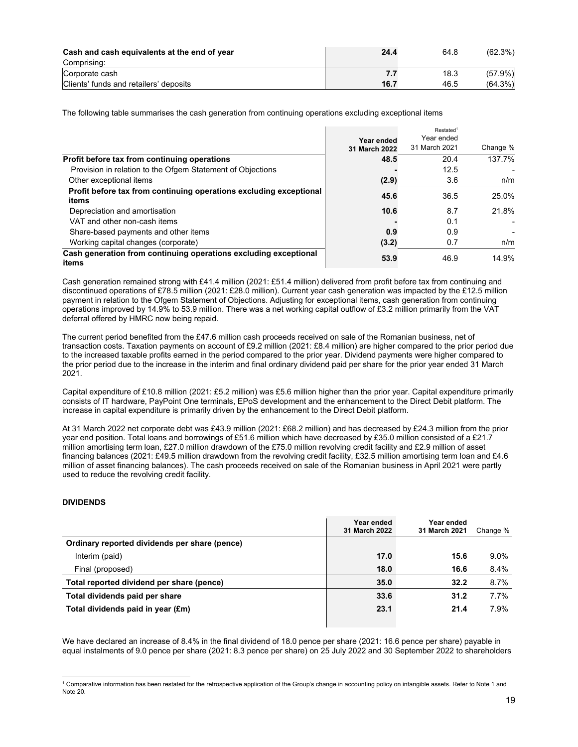| Cash and cash equivalents at the end of year | 24.4 | 64.8 | (62.3%)    |
|----------------------------------------------|------|------|------------|
| Comprising:                                  |      |      |            |
| Corporate cash                               |      | 18.3 | $(57.9\%)$ |
| Clients' funds and retailers' deposits       | 16.7 | 46.5 | (64.3%)    |

The following table summarises the cash generation from continuing operations excluding exceptional items

|                                                                             | Year ended<br>31 March 2022 | Restated <sup>1</sup><br>Year ended<br>31 March 2021 | Change % |
|-----------------------------------------------------------------------------|-----------------------------|------------------------------------------------------|----------|
| Profit before tax from continuing operations                                | 48.5                        | 20.4                                                 | 137.7%   |
| Provision in relation to the Ofgem Statement of Objections                  |                             | 12.5                                                 |          |
| Other exceptional items                                                     | (2.9)                       | 3.6                                                  | n/m      |
| Profit before tax from continuing operations excluding exceptional<br>items | 45.6                        | 36.5                                                 | 25.0%    |
| Depreciation and amortisation                                               | 10.6                        | 8.7                                                  | 21.8%    |
| VAT and other non-cash items                                                |                             | 0.1                                                  |          |
| Share-based payments and other items                                        | 0.9                         | 0.9                                                  |          |
| Working capital changes (corporate)                                         | (3.2)                       | 0.7                                                  | n/m      |
| Cash generation from continuing operations excluding exceptional<br>items   | 53.9                        | 46.9                                                 | 14.9%    |

Cash generation remained strong with £41.4 million (2021: £51.4 million) delivered from profit before tax from continuing and discontinued operations of £78.5 million (2021: £28.0 million). Current year cash generation was impacted by the £12.5 million payment in relation to the Ofgem Statement of Objections. Adjusting for exceptional items, cash generation from continuing operations improved by 14.9% to 53.9 million. There was a net working capital outflow of £3.2 million primarily from the VAT deferral offered by HMRC now being repaid.

The current period benefited from the £47.6 million cash proceeds received on sale of the Romanian business, net of transaction costs. Taxation payments on account of £9.2 million (2021: £8.4 million) are higher compared to the prior period due to the increased taxable profits earned in the period compared to the prior year. Dividend payments were higher compared to the prior period due to the increase in the interim and final ordinary dividend paid per share for the prior year ended 31 March 2021.

Capital expenditure of £10.8 million (2021: £5.2 million) was £5.6 million higher than the prior year. Capital expenditure primarily consists of IT hardware, PayPoint One terminals, EPoS development and the enhancement to the Direct Debit platform. The increase in capital expenditure is primarily driven by the enhancement to the Direct Debit platform.

At 31 March 2022 net corporate debt was £43.9 million (2021: £68.2 million) and has decreased by £24.3 million from the prior year end position. Total loans and borrowings of £51.6 million which have decreased by £35.0 million consisted of a £21.7 million amortising term loan, £27.0 million drawdown of the £75.0 million revolving credit facility and £2.9 million of asset financing balances (2021: £49.5 million drawdown from the revolving credit facility, £32.5 million amortising term loan and £4.6 million of asset financing balances). The cash proceeds received on sale of the Romanian business in April 2021 were partly used to reduce the revolving credit facility.

# **DIVIDENDS**

|                                               | Year ended<br>31 March 2022 | Year ended<br>31 March 2021 | Change % |
|-----------------------------------------------|-----------------------------|-----------------------------|----------|
| Ordinary reported dividends per share (pence) |                             |                             |          |
| Interim (paid)                                | 17.0                        | 15.6                        | $9.0\%$  |
| Final (proposed)                              | 18.0                        | 16.6                        | 8.4%     |
| Total reported dividend per share (pence)     | 35.0                        | 32.2                        | 8.7%     |
| Total dividends paid per share                | 33.6                        | 31.2                        | 7.7%     |
| Total dividends paid in year (£m)             | 23.1                        | 21.4                        | 7.9%     |
|                                               |                             |                             |          |

We have declared an increase of 8.4% in the final dividend of 18.0 pence per share (2021: 16.6 pence per share) payable in equal instalments of 9.0 pence per share (2021: 8.3 pence per share) on 25 July 2022 and 30 September 2022 to shareholders

l <sup>1</sup> Comparative information has been restated for the retrospective application of the Group's change in accounting policy on intangible assets. Refer to Note 1 and Note 20.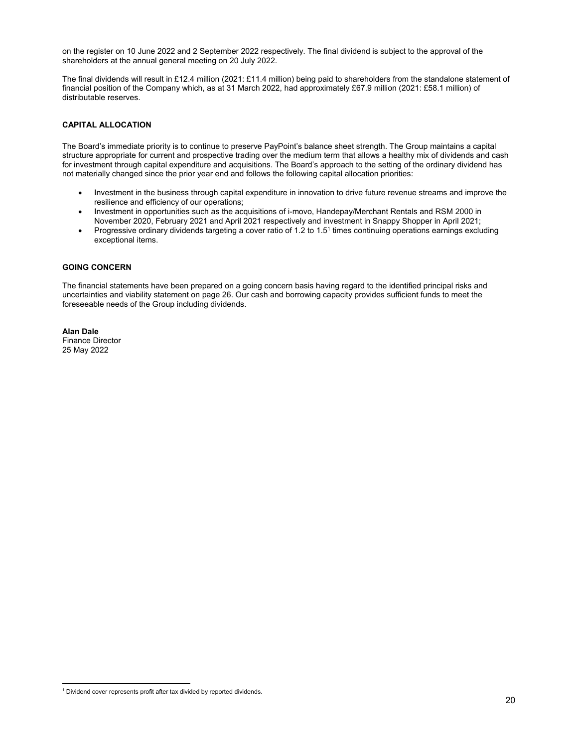on the register on 10 June 2022 and 2 September 2022 respectively. The final dividend is subject to the approval of the shareholders at the annual general meeting on 20 July 2022.

The final dividends will result in £12.4 million (2021: £11.4 million) being paid to shareholders from the standalone statement of financial position of the Company which, as at 31 March 2022, had approximately £67.9 million (2021: £58.1 million) of distributable reserves.

# **CAPITAL ALLOCATION**

The Board's immediate priority is to continue to preserve PayPoint's balance sheet strength. The Group maintains a capital structure appropriate for current and prospective trading over the medium term that allows a healthy mix of dividends and cash for investment through capital expenditure and acquisitions. The Board's approach to the setting of the ordinary dividend has not materially changed since the prior year end and follows the following capital allocation priorities:

- Investment in the business through capital expenditure in innovation to drive future revenue streams and improve the resilience and efficiency of our operations;
- Investment in opportunities such as the acquisitions of i-movo, Handepay/Merchant Rentals and RSM 2000 in November 2020, February 2021 and April 2021 respectively and investment in Snappy Shopper in April 2021;
- Progressive ordinary dividends targeting a cover ratio of 1.2 to 1.5<sup>1</sup> times continuing operations earnings excluding exceptional items.

# **GOING CONCERN**

The financial statements have been prepared on a going concern basis having regard to the identified principal risks and uncertainties and viability statement on page 26. Our cash and borrowing capacity provides sufficient funds to meet the foreseeable needs of the Group including dividends.

#### **Alan Dale**  Finance Director

l

25 May 2022

<sup>&</sup>lt;sup>1</sup> Dividend cover represents profit after tax divided by reported dividends.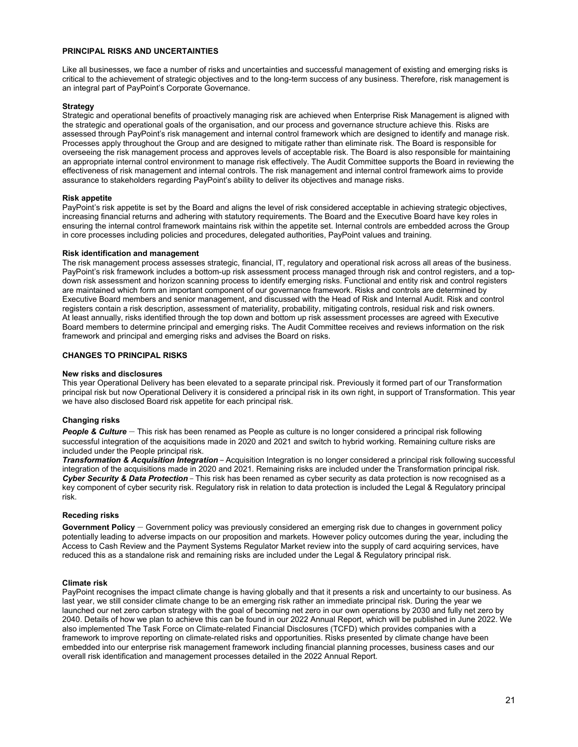# **PRINCIPAL RISKS AND UNCERTAINTIES**

Like all businesses, we face a number of risks and uncertainties and successful management of existing and emerging risks is critical to the achievement of strategic objectives and to the long-term success of any business. Therefore, risk management is an integral part of PayPoint's Corporate Governance.

# **Strategy**

Strategic and operational benefits of proactively managing risk are achieved when Enterprise Risk Management is aligned with the strategic and operational goals of the organisation, and our process and governance structure achieve this. Risks are assessed through PayPoint's risk management and internal control framework which are designed to identify and manage risk. Processes apply throughout the Group and are designed to mitigate rather than eliminate risk. The Board is responsible for overseeing the risk management process and approves levels of acceptable risk. The Board is also responsible for maintaining an appropriate internal control environment to manage risk effectively. The Audit Committee supports the Board in reviewing the effectiveness of risk management and internal controls. The risk management and internal control framework aims to provide assurance to stakeholders regarding PayPoint's ability to deliver its objectives and manage risks.

## **Risk appetite**

PayPoint's risk appetite is set by the Board and aligns the level of risk considered acceptable in achieving strategic objectives, increasing financial returns and adhering with statutory requirements. The Board and the Executive Board have key roles in ensuring the internal control framework maintains risk within the appetite set. Internal controls are embedded across the Group in core processes including policies and procedures, delegated authorities, PayPoint values and training.

## **Risk identification and management**

The risk management process assesses strategic, financial, IT, regulatory and operational risk across all areas of the business. PayPoint's risk framework includes a bottom-up risk assessment process managed through risk and control registers, and a topdown risk assessment and horizon scanning process to identify emerging risks. Functional and entity risk and control registers are maintained which form an important component of our governance framework. Risks and controls are determined by Executive Board members and senior management, and discussed with the Head of Risk and Internal Audit. Risk and control registers contain a risk description, assessment of materiality, probability, mitigating controls, residual risk and risk owners. At least annually, risks identified through the top down and bottom up risk assessment processes are agreed with Executive Board members to determine principal and emerging risks. The Audit Committee receives and reviews information on the risk framework and principal and emerging risks and advises the Board on risks.

# **CHANGES TO PRINCIPAL RISKS**

## **New risks and disclosures**

This year Operational Delivery has been elevated to a separate principal risk. Previously it formed part of our Transformation principal risk but now Operational Delivery it is considered a principal risk in its own right, in support of Transformation. This year we have also disclosed Board risk appetite for each principal risk.

## **Changing risks**

*People & Culture* – This risk has been renamed as People as culture is no longer considered a principal risk following successful integration of the acquisitions made in 2020 and 2021 and switch to hybrid working. Remaining culture risks are included under the People principal risk.

*Transformation & Acquisition Integration* – Acquisition Integration is no longer considered a principal risk following successful integration of the acquisitions made in 2020 and 2021. Remaining risks are included under the Transformation principal risk. *Cyber Security & Data Protection* – This risk has been renamed as cyber security as data protection is now recognised as a key component of cyber security risk. Regulatory risk in relation to data protection is included the Legal & Regulatory principal risk.

## **Receding risks**

**Government Policy** – Government policy was previously considered an emerging risk due to changes in government policy potentially leading to adverse impacts on our proposition and markets. However policy outcomes during the year, including the Access to Cash Review and the Payment Systems Regulator Market review into the supply of card acquiring services, have reduced this as a standalone risk and remaining risks are included under the Legal & Regulatory principal risk.

## **Climate risk**

PayPoint recognises the impact climate change is having globally and that it presents a risk and uncertainty to our business. As last year, we still consider climate change to be an emerging risk rather an immediate principal risk. During the year we launched our net zero carbon strategy with the goal of becoming net zero in our own operations by 2030 and fully net zero by 2040. Details of how we plan to achieve this can be found in our 2022 Annual Report, which will be published in June 2022. We also implemented The Task Force on Climate-related Financial Disclosures (TCFD) which provides companies with a framework to improve reporting on climate-related risks and opportunities. Risks presented by climate change have been embedded into our enterprise risk management framework including financial planning processes, business cases and our overall risk identification and management processes detailed in the 2022 Annual Report.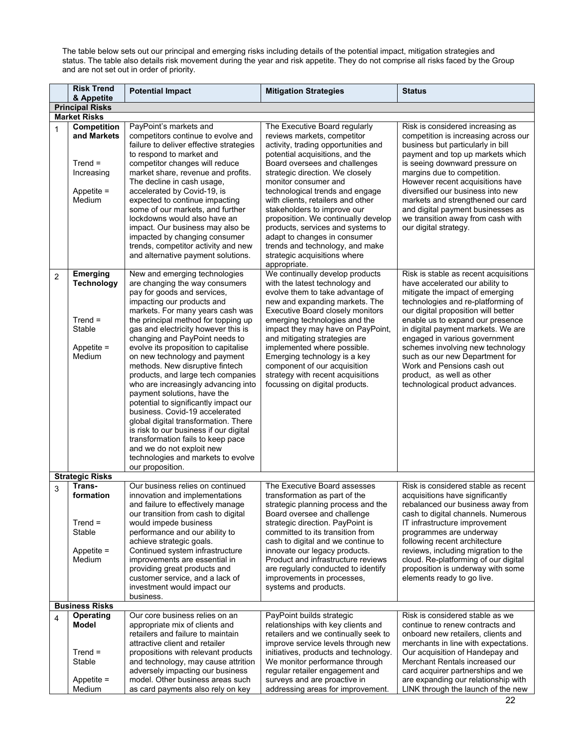The table below sets out our principal and emerging risks including details of the potential impact, mitigation strategies and status. The table also details risk movement during the year and risk appetite. They do not comprise all risks faced by the Group and are not set out in order of priority.

|                | <b>Risk Trend</b><br>& Appetite                                                        | <b>Potential Impact</b>                                                                                                                                                                                                                                                                                                                                                                                                                                                                                                                                                                                                                                                                                                                                                                           | <b>Mitigation Strategies</b>                                                                                                                                                                                                                                                                                                                                                                                                                                                                                                             | <b>Status</b>                                                                                                                                                                                                                                                                                                                                                                                                                                                           |
|----------------|----------------------------------------------------------------------------------------|---------------------------------------------------------------------------------------------------------------------------------------------------------------------------------------------------------------------------------------------------------------------------------------------------------------------------------------------------------------------------------------------------------------------------------------------------------------------------------------------------------------------------------------------------------------------------------------------------------------------------------------------------------------------------------------------------------------------------------------------------------------------------------------------------|------------------------------------------------------------------------------------------------------------------------------------------------------------------------------------------------------------------------------------------------------------------------------------------------------------------------------------------------------------------------------------------------------------------------------------------------------------------------------------------------------------------------------------------|-------------------------------------------------------------------------------------------------------------------------------------------------------------------------------------------------------------------------------------------------------------------------------------------------------------------------------------------------------------------------------------------------------------------------------------------------------------------------|
|                | <b>Principal Risks</b>                                                                 |                                                                                                                                                                                                                                                                                                                                                                                                                                                                                                                                                                                                                                                                                                                                                                                                   |                                                                                                                                                                                                                                                                                                                                                                                                                                                                                                                                          |                                                                                                                                                                                                                                                                                                                                                                                                                                                                         |
|                | <b>Market Risks</b>                                                                    |                                                                                                                                                                                                                                                                                                                                                                                                                                                                                                                                                                                                                                                                                                                                                                                                   |                                                                                                                                                                                                                                                                                                                                                                                                                                                                                                                                          |                                                                                                                                                                                                                                                                                                                                                                                                                                                                         |
| 1              | <b>Competition</b><br>and Markets<br>$Trend =$<br>Increasing<br>Appetite $=$<br>Medium | PayPoint's markets and<br>competitors continue to evolve and<br>failure to deliver effective strategies<br>to respond to market and<br>competitor changes will reduce<br>market share, revenue and profits.<br>The decline in cash usage,<br>accelerated by Covid-19, is<br>expected to continue impacting<br>some of our markets, and further<br>lockdowns would also have an<br>impact. Our business may also be<br>impacted by changing consumer<br>trends, competitor activity and new<br>and alternative payment solutions.                                                                                                                                                                                                                                                                  | The Executive Board regularly<br>reviews markets, competitor<br>activity, trading opportunities and<br>potential acquisitions, and the<br>Board oversees and challenges<br>strategic direction. We closely<br>monitor consumer and<br>technological trends and engage<br>with clients, retailers and other<br>stakeholders to improve our<br>proposition. We continually develop<br>products, services and systems to<br>adapt to changes in consumer<br>trends and technology, and make<br>strategic acquisitions where<br>appropriate. | Risk is considered increasing as<br>competition is increasing across our<br>business but particularly in bill<br>payment and top up markets which<br>is seeing downward pressure on<br>margins due to competition.<br>However recent acquisitions have<br>diversified our business into new<br>markets and strengthened our card<br>and digital payment businesses as<br>we transition away from cash with<br>our digital strategy.                                     |
| $\overline{2}$ | Emerging<br><b>Technology</b><br>$Trend =$<br>Stable<br>Appetite $=$<br>Medium         | New and emerging technologies<br>are changing the way consumers<br>pay for goods and services,<br>impacting our products and<br>markets. For many years cash was<br>the principal method for topping up<br>gas and electricity however this is<br>changing and PayPoint needs to<br>evolve its proposition to capitalise<br>on new technology and payment<br>methods. New disruptive fintech<br>products, and large tech companies<br>who are increasingly advancing into<br>payment solutions, have the<br>potential to significantly impact our<br>business. Covid-19 accelerated<br>global digital transformation. There<br>is risk to our business if our digital<br>transformation fails to keep pace<br>and we do not exploit new<br>technologies and markets to evolve<br>our proposition. | We continually develop products<br>with the latest technology and<br>evolve them to take advantage of<br>new and expanding markets. The<br><b>Executive Board closely monitors</b><br>emerging technologies and the<br>impact they may have on PayPoint,<br>and mitigating strategies are<br>implemented where possible.<br>Emerging technology is a key<br>component of our acquisition<br>strategy with recent acquisitions<br>focussing on digital products.                                                                          | Risk is stable as recent acquisitions<br>have accelerated our ability to<br>mitigate the impact of emerging<br>technologies and re-platforming of<br>our digital proposition will better<br>enable us to expand our presence<br>in digital payment markets. We are<br>engaged in various government<br>schemes involving new technology<br>such as our new Department for<br>Work and Pensions cash out<br>product, as well as other<br>technological product advances. |
|                | <b>Strategic Risks</b>                                                                 |                                                                                                                                                                                                                                                                                                                                                                                                                                                                                                                                                                                                                                                                                                                                                                                                   |                                                                                                                                                                                                                                                                                                                                                                                                                                                                                                                                          |                                                                                                                                                                                                                                                                                                                                                                                                                                                                         |
| 3              | Trans-<br>formation<br>$Trend =$<br>Stable<br>Appetite $=$<br>Medium                   | Our business relies on continued<br>innovation and implementations<br>and failure to effectively manage<br>our transition from cash to digital<br>would impede business<br>performance and our ability to<br>achieve strategic goals.<br>Continued system infrastructure<br>improvements are essential in<br>providing great products and<br>customer service, and a lack of<br>investment would impact our<br>business.                                                                                                                                                                                                                                                                                                                                                                          | The Executive Board assesses<br>transformation as part of the<br>strategic planning process and the<br>Board oversee and challenge<br>strategic direction. PayPoint is<br>committed to its transition from<br>cash to digital and we continue to<br>innovate our legacy products.<br>Product and infrastructure reviews<br>are regularly conducted to identify<br>improvements in processes,<br>systems and products.                                                                                                                    | Risk is considered stable as recent<br>acquisitions have significantly<br>rebalanced our business away from<br>cash to digital channels. Numerous<br>IT infrastructure improvement<br>programmes are underway<br>following recent architecture<br>reviews, including migration to the<br>cloud. Re-platforming of our digital<br>proposition is underway with some<br>elements ready to go live.                                                                        |
|                | <b>Business Risks</b>                                                                  |                                                                                                                                                                                                                                                                                                                                                                                                                                                                                                                                                                                                                                                                                                                                                                                                   |                                                                                                                                                                                                                                                                                                                                                                                                                                                                                                                                          |                                                                                                                                                                                                                                                                                                                                                                                                                                                                         |
| 4              | Operating<br>Model<br>$Trend =$                                                        | Our core business relies on an<br>appropriate mix of clients and<br>retailers and failure to maintain<br>attractive client and retailer<br>propositions with relevant products                                                                                                                                                                                                                                                                                                                                                                                                                                                                                                                                                                                                                    | PayPoint builds strategic<br>relationships with key clients and<br>retailers and we continually seek to<br>improve service levels through new<br>initiatives, products and technology.                                                                                                                                                                                                                                                                                                                                                   | Risk is considered stable as we<br>continue to renew contracts and<br>onboard new retailers, clients and<br>merchants in line with expectations.<br>Our acquisition of Handepay and                                                                                                                                                                                                                                                                                     |
|                | Stable<br>Appetite =<br>Medium                                                         | and technology, may cause attrition<br>adversely impacting our business<br>model. Other business areas such<br>as card payments also rely on key                                                                                                                                                                                                                                                                                                                                                                                                                                                                                                                                                                                                                                                  | We monitor performance through<br>regular retailer engagement and<br>surveys and are proactive in<br>addressing areas for improvement.                                                                                                                                                                                                                                                                                                                                                                                                   | Merchant Rentals increased our<br>card acquirer partnerships and we<br>are expanding our relationship with<br>LINK through the launch of the new                                                                                                                                                                                                                                                                                                                        |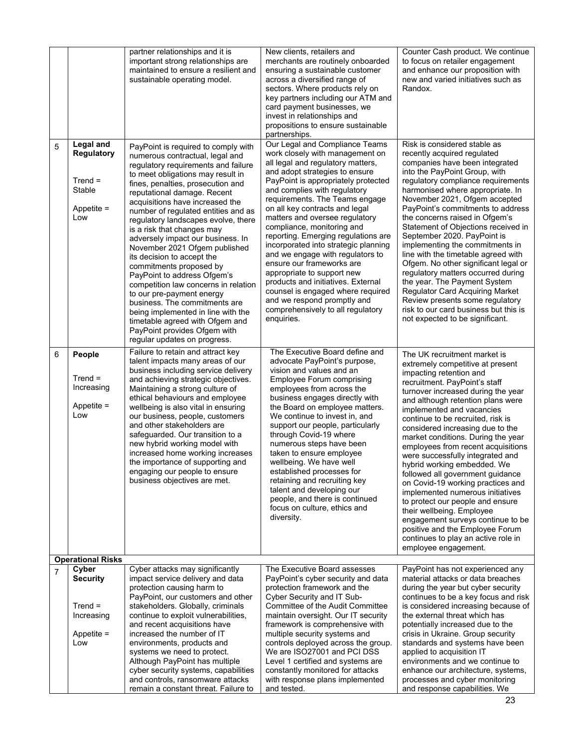|                |                                                                              | partner relationships and it is<br>important strong relationships are<br>maintained to ensure a resilient and<br>sustainable operating model.                                                                                                                                                                                                                                                                                                                                                                                                                                                                                                                                                                                                                                      | New clients, retailers and<br>merchants are routinely onboarded<br>ensuring a sustainable customer<br>across a diversified range of<br>sectors. Where products rely on<br>key partners including our ATM and<br>card payment businesses, we<br>invest in relationships and<br>propositions to ensure sustainable<br>partnerships.                                                                                                                                                                                                                                                                                                                                                              | Counter Cash product. We continue<br>to focus on retailer engagement<br>and enhance our proposition with<br>new and varied initiatives such as<br>Randox.                                                                                                                                                                                                                                                                                                                                                                                                                                                                                                                                                                                                                         |
|----------------|------------------------------------------------------------------------------|------------------------------------------------------------------------------------------------------------------------------------------------------------------------------------------------------------------------------------------------------------------------------------------------------------------------------------------------------------------------------------------------------------------------------------------------------------------------------------------------------------------------------------------------------------------------------------------------------------------------------------------------------------------------------------------------------------------------------------------------------------------------------------|------------------------------------------------------------------------------------------------------------------------------------------------------------------------------------------------------------------------------------------------------------------------------------------------------------------------------------------------------------------------------------------------------------------------------------------------------------------------------------------------------------------------------------------------------------------------------------------------------------------------------------------------------------------------------------------------|-----------------------------------------------------------------------------------------------------------------------------------------------------------------------------------------------------------------------------------------------------------------------------------------------------------------------------------------------------------------------------------------------------------------------------------------------------------------------------------------------------------------------------------------------------------------------------------------------------------------------------------------------------------------------------------------------------------------------------------------------------------------------------------|
| 5              | Legal and<br><b>Regulatory</b><br>$Trend =$<br>Stable<br>Appetite $=$<br>Low | PayPoint is required to comply with<br>numerous contractual, legal and<br>regulatory requirements and failure<br>to meet obligations may result in<br>fines, penalties, prosecution and<br>reputational damage. Recent<br>acquisitions have increased the<br>number of regulated entities and as<br>regulatory landscapes evolve, there<br>is a risk that changes may<br>adversely impact our business. In<br>November 2021 Ofgem published<br>its decision to accept the<br>commitments proposed by<br>PayPoint to address Ofgem's<br>competition law concerns in relation<br>to our pre-payment energy<br>business. The commitments are<br>being implemented in line with the<br>timetable agreed with Ofgem and<br>PayPoint provides Ofgem with<br>regular updates on progress. | Our Legal and Compliance Teams<br>work closely with management on<br>all legal and regulatory matters,<br>and adopt strategies to ensure<br>PayPoint is appropriately protected<br>and complies with regulatory<br>requirements. The Teams engage<br>on all key contracts and legal<br>matters and oversee regulatory<br>compliance, monitoring and<br>reporting. Emerging regulations are<br>incorporated into strategic planning<br>and we engage with regulators to<br>ensure our frameworks are<br>appropriate to support new<br>products and initiatives. External<br>counsel is engaged where required<br>and we respond promptly and<br>comprehensively to all regulatory<br>enquiries. | Risk is considered stable as<br>recently acquired regulated<br>companies have been integrated<br>into the PayPoint Group, with<br>regulatory compliance requirements<br>harmonised where appropriate. In<br>November 2021, Ofgem accepted<br>PayPoint's commitments to address<br>the concerns raised in Ofgem's<br>Statement of Objections received in<br>September 2020. PayPoint is<br>implementing the commitments in<br>line with the timetable agreed with<br>Ofgem. No other significant legal or<br>regulatory matters occurred during<br>the year. The Payment System<br><b>Regulator Card Acquiring Market</b><br>Review presents some regulatory<br>risk to our card business but this is<br>not expected to be significant.                                           |
| 6              | People<br>$Trend =$<br>Increasing<br>Appetite $=$<br>Low                     | Failure to retain and attract key<br>talent impacts many areas of our<br>business including service delivery<br>and achieving strategic objectives.<br>Maintaining a strong culture of<br>ethical behaviours and employee<br>wellbeing is also vital in ensuring<br>our business, people, customers<br>and other stakeholders are<br>safeguarded. Our transition to a<br>new hybrid working model with<br>increased home working increases<br>the importance of supporting and<br>engaging our people to ensure<br>business objectives are met.                                                                                                                                                                                                                                    | The Executive Board define and<br>advocate PayPoint's purpose,<br>vision and values and an<br><b>Employee Forum comprising</b><br>employees from across the<br>business engages directly with<br>the Board on employee matters.<br>We continue to invest in, and<br>support our people, particularly<br>through Covid-19 where<br>numerous steps have been<br>taken to ensure employee<br>wellbeing. We have well<br>established processes for<br>retaining and recruiting key<br>talent and developing our<br>people, and there is continued<br>focus on culture, ethics and<br>diversity.                                                                                                    | The UK recruitment market is<br>extremely competitive at present<br>impacting retention and<br>recruitment. PayPoint's staff<br>turnover increased during the year<br>and although retention plans were<br>implemented and vacancies<br>continue to be recruited, risk is<br>considered increasing due to the<br>market conditions. During the year<br>employees from recent acquisitions<br>were successfully integrated and<br>hybrid working embedded. We<br>followed all government guidance<br>on Covid-19 working practices and<br>implemented numerous initiatives<br>to protect our people and ensure<br>their wellbeing. Employee<br>engagement surveys continue to be<br>positive and the Employee Forum<br>continues to play an active role in<br>employee engagement. |
|                | <b>Operational Risks</b>                                                     |                                                                                                                                                                                                                                                                                                                                                                                                                                                                                                                                                                                                                                                                                                                                                                                    |                                                                                                                                                                                                                                                                                                                                                                                                                                                                                                                                                                                                                                                                                                |                                                                                                                                                                                                                                                                                                                                                                                                                                                                                                                                                                                                                                                                                                                                                                                   |
| $\overline{7}$ | Cyber<br><b>Security</b><br>$Trend =$<br>Increasing<br>Appetite $=$<br>Low   | Cyber attacks may significantly<br>impact service delivery and data<br>protection causing harm to<br>PayPoint, our customers and other<br>stakeholders. Globally, criminals<br>continue to exploit vulnerabilities,<br>and recent acquisitions have<br>increased the number of IT<br>environments, products and<br>systems we need to protect.<br>Although PayPoint has multiple<br>cyber security systems, capabilities                                                                                                                                                                                                                                                                                                                                                           | The Executive Board assesses<br>PayPoint's cyber security and data<br>protection framework and the<br>Cyber Security and IT Sub-<br>Committee of the Audit Committee<br>maintain oversight. Our IT security<br>framework is comprehensive with<br>multiple security systems and<br>controls deployed across the group.<br>We are ISO27001 and PCI DSS<br>Level 1 certified and systems are<br>constantly monitored for attacks                                                                                                                                                                                                                                                                 | PayPoint has not experienced any<br>material attacks or data breaches<br>during the year but cyber security<br>continues to be a key focus and risk<br>is considered increasing because of<br>the external threat which has<br>potentially increased due to the<br>crisis in Ukraine. Group security<br>standards and systems have been<br>applied to acquisition IT<br>environments and we continue to<br>enhance our architecture, systems,                                                                                                                                                                                                                                                                                                                                     |
|                |                                                                              | and controls, ransomware attacks<br>remain a constant threat. Failure to                                                                                                                                                                                                                                                                                                                                                                                                                                                                                                                                                                                                                                                                                                           | with response plans implemented<br>and tested.                                                                                                                                                                                                                                                                                                                                                                                                                                                                                                                                                                                                                                                 | processes and cyber monitoring<br>and response capabilities. We                                                                                                                                                                                                                                                                                                                                                                                                                                                                                                                                                                                                                                                                                                                   |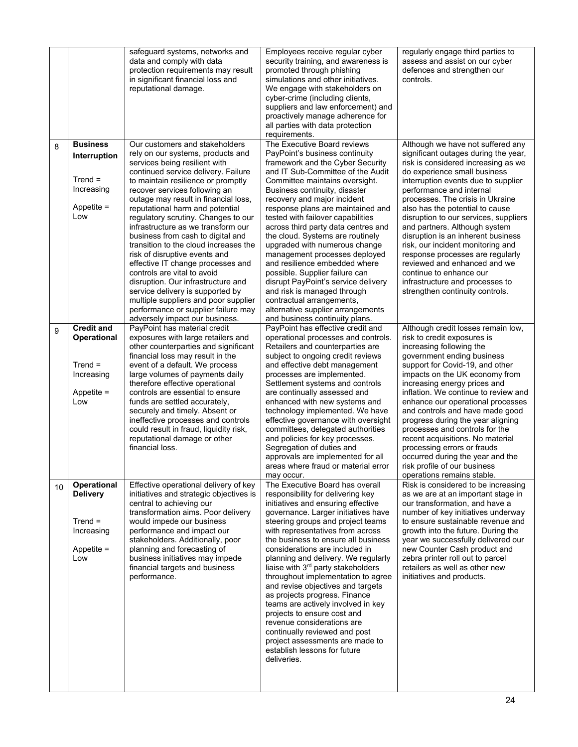|    |                                                                                    | safeguard systems, networks and<br>data and comply with data<br>protection requirements may result<br>in significant financial loss and<br>reputational damage.                                                                                                                                                                                                                                                                                                                                                                                                                                                                                                                                                        | Employees receive regular cyber<br>security training, and awareness is<br>promoted through phishing<br>simulations and other initiatives.<br>We engage with stakeholders on<br>cyber-crime (including clients,<br>suppliers and law enforcement) and<br>proactively manage adherence for<br>all parties with data protection<br>requirements.                                                                                                                                                                                                                                                                                                                                                                                                | regularly engage third parties to<br>assess and assist on our cyber<br>defences and strengthen our<br>controls.                                                                                                                                                                                                                                                                                                                                                                                                                                                                                                      |
|----|------------------------------------------------------------------------------------|------------------------------------------------------------------------------------------------------------------------------------------------------------------------------------------------------------------------------------------------------------------------------------------------------------------------------------------------------------------------------------------------------------------------------------------------------------------------------------------------------------------------------------------------------------------------------------------------------------------------------------------------------------------------------------------------------------------------|----------------------------------------------------------------------------------------------------------------------------------------------------------------------------------------------------------------------------------------------------------------------------------------------------------------------------------------------------------------------------------------------------------------------------------------------------------------------------------------------------------------------------------------------------------------------------------------------------------------------------------------------------------------------------------------------------------------------------------------------|----------------------------------------------------------------------------------------------------------------------------------------------------------------------------------------------------------------------------------------------------------------------------------------------------------------------------------------------------------------------------------------------------------------------------------------------------------------------------------------------------------------------------------------------------------------------------------------------------------------------|
| 8  | <b>Business</b><br>Interruption<br>$Trend =$<br>Increasing<br>Appetite $=$<br>Low  | Our customers and stakeholders<br>rely on our systems, products and<br>services being resilient with<br>continued service delivery. Failure<br>to maintain resilience or promptly<br>recover services following an<br>outage may result in financial loss,<br>reputational harm and potential<br>regulatory scrutiny. Changes to our<br>infrastructure as we transform our<br>business from cash to digital and<br>transition to the cloud increases the<br>risk of disruptive events and<br>effective IT change processes and<br>controls are vital to avoid<br>disruption. Our infrastructure and<br>service delivery is supported by<br>multiple suppliers and poor supplier<br>performance or supplier failure may | The Executive Board reviews<br>PayPoint's business continuity<br>framework and the Cyber Security<br>and IT Sub-Committee of the Audit<br>Committee maintains oversight.<br>Business continuity, disaster<br>recovery and major incident<br>response plans are maintained and<br>tested with failover capabilities<br>across third party data centres and<br>the cloud. Systems are routinely<br>upgraded with numerous change<br>management processes deployed<br>and resilience embedded where<br>possible. Supplier failure can<br>disrupt PayPoint's service delivery<br>and risk is managed through<br>contractual arrangements,<br>alternative supplier arrangements                                                                   | Although we have not suffered any<br>significant outages during the year,<br>risk is considered increasing as we<br>do experience small business<br>interruption events due to supplier<br>performance and internal<br>processes. The crisis in Ukraine<br>also has the potential to cause<br>disruption to our services, suppliers<br>and partners. Although system<br>disruption is an inherent business<br>risk, our incident monitoring and<br>response processes are regularly<br>reviewed and enhanced and we<br>continue to enhance our<br>infrastructure and processes to<br>strengthen continuity controls. |
| 9  | <b>Credit and</b><br>Operational<br>$Trend =$<br>Increasing<br>Appetite $=$<br>Low | adversely impact our business.<br>PayPoint has material credit<br>exposures with large retailers and<br>other counterparties and significant<br>financial loss may result in the<br>event of a default. We process<br>large volumes of payments daily<br>therefore effective operational<br>controls are essential to ensure<br>funds are settled accurately,<br>securely and timely. Absent or<br>ineffective processes and controls<br>could result in fraud, liquidity risk,<br>reputational damage or other<br>financial loss.                                                                                                                                                                                     | and business continuity plans.<br>PayPoint has effective credit and<br>operational processes and controls.<br>Retailers and counterparties are<br>subject to ongoing credit reviews<br>and effective debt management<br>processes are implemented.<br>Settlement systems and controls<br>are continually assessed and<br>enhanced with new systems and<br>technology implemented. We have<br>effective governance with oversight<br>committees, delegated authorities<br>and policies for key processes.<br>Segregation of duties and<br>approvals are implemented for all<br>areas where fraud or material error                                                                                                                            | Although credit losses remain low,<br>risk to credit exposures is<br>increasing following the<br>government ending business<br>support for Covid-19, and other<br>impacts on the UK economy from<br>increasing energy prices and<br>inflation. We continue to review and<br>enhance our operational processes<br>and controls and have made good<br>progress during the year aligning<br>processes and controls for the<br>recent acquisitions. No material<br>processing errors or frauds<br>occurred during the year and the<br>risk profile of our business<br>operations remains stable.                         |
| 10 | Operational<br><b>Delivery</b><br>$Trend =$<br>Increasing<br>Appetite $=$<br>Low   | Effective operational delivery of key<br>initiatives and strategic objectives is<br>central to achieving our<br>transformation aims. Poor delivery<br>would impede our business<br>performance and impact our<br>stakeholders. Additionally, poor<br>planning and forecasting of<br>business initiatives may impede<br>financial targets and business<br>performance.                                                                                                                                                                                                                                                                                                                                                  | may occur.<br>The Executive Board has overall<br>responsibility for delivering key<br>initiatives and ensuring effective<br>governance. Larger initiatives have<br>steering groups and project teams<br>with representatives from across<br>the business to ensure all business<br>considerations are included in<br>planning and delivery. We regularly<br>liaise with 3 <sup>rd</sup> party stakeholders<br>throughout implementation to agree<br>and revise objectives and targets<br>as projects progress. Finance<br>teams are actively involved in key<br>projects to ensure cost and<br>revenue considerations are<br>continually reviewed and post<br>project assessments are made to<br>establish lessons for future<br>deliveries. | Risk is considered to be increasing<br>as we are at an important stage in<br>our transformation, and have a<br>number of key initiatives underway<br>to ensure sustainable revenue and<br>growth into the future. During the<br>year we successfully delivered our<br>new Counter Cash product and<br>zebra printer roll out to parcel<br>retailers as well as other new<br>initiatives and products.                                                                                                                                                                                                                |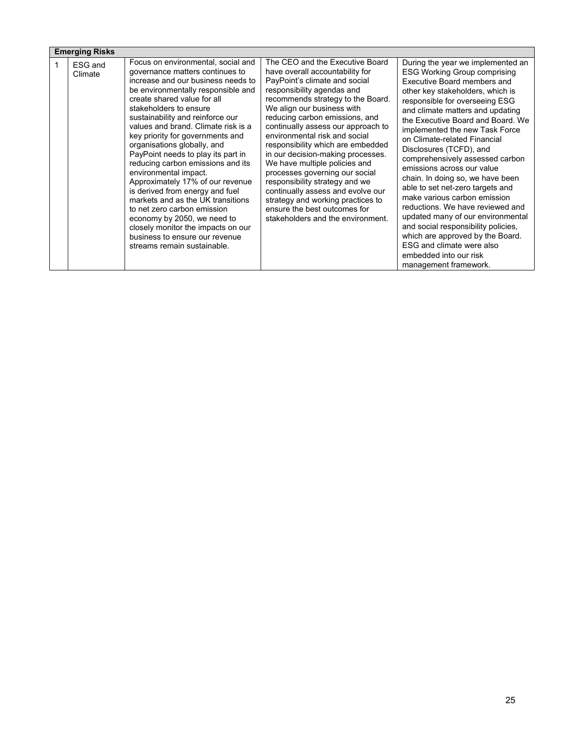| The CEO and the Executive Board<br>Focus on environmental, social and<br>During the year we implemented an<br>ESG and<br>governance matters continues to<br>have overall accountability for<br><b>ESG Working Group comprising</b><br>Climate<br>increase and our business needs to<br>PayPoint's climate and social<br>Executive Board members and<br>responsibility agendas and<br>be environmentally responsible and<br>other key stakeholders, which is<br>create shared value for all<br>recommends strategy to the Board.<br>responsible for overseeing ESG<br>We align our business with<br>stakeholders to ensure<br>and climate matters and updating<br>sustainability and reinforce our<br>reducing carbon emissions, and<br>the Executive Board and Board, We<br>values and brand. Climate risk is a<br>continually assess our approach to<br>implemented the new Task Force<br>environmental risk and social<br>key priority for governments and<br>on Climate-related Financial<br>organisations globally, and<br>responsibility which are embedded<br>Disclosures (TCFD), and<br>PayPoint needs to play its part in<br>in our decision-making processes.<br>comprehensively assessed carbon<br>reducing carbon emissions and its<br>We have multiple policies and<br>emissions across our value<br>environmental impact.<br>processes governing our social<br>chain. In doing so, we have been<br>responsibility strategy and we<br>Approximately 17% of our revenue<br>able to set net-zero targets and<br>is derived from energy and fuel<br>continually assess and evolve our<br>make various carbon emission<br>markets and as the UK transitions<br>strategy and working practices to<br>reductions. We have reviewed and<br>ensure the best outcomes for<br>to net zero carbon emission<br>updated many of our environmental<br>economy by 2050, we need to<br>stakeholders and the environment.<br>and social responsibility policies,<br>closely monitor the impacts on our<br>which are approved by the Board.<br>business to ensure our revenue<br>ESG and climate were also<br>streams remain sustainable.<br>embedded into our risk<br>management framework. |
|----------------------------------------------------------------------------------------------------------------------------------------------------------------------------------------------------------------------------------------------------------------------------------------------------------------------------------------------------------------------------------------------------------------------------------------------------------------------------------------------------------------------------------------------------------------------------------------------------------------------------------------------------------------------------------------------------------------------------------------------------------------------------------------------------------------------------------------------------------------------------------------------------------------------------------------------------------------------------------------------------------------------------------------------------------------------------------------------------------------------------------------------------------------------------------------------------------------------------------------------------------------------------------------------------------------------------------------------------------------------------------------------------------------------------------------------------------------------------------------------------------------------------------------------------------------------------------------------------------------------------------------------------------------------------------------------------------------------------------------------------------------------------------------------------------------------------------------------------------------------------------------------------------------------------------------------------------------------------------------------------------------------------------------------------------------------------------------------------------------------------------------------------------------------------------------|
|                                                                                                                                                                                                                                                                                                                                                                                                                                                                                                                                                                                                                                                                                                                                                                                                                                                                                                                                                                                                                                                                                                                                                                                                                                                                                                                                                                                                                                                                                                                                                                                                                                                                                                                                                                                                                                                                                                                                                                                                                                                                                                                                                                                        |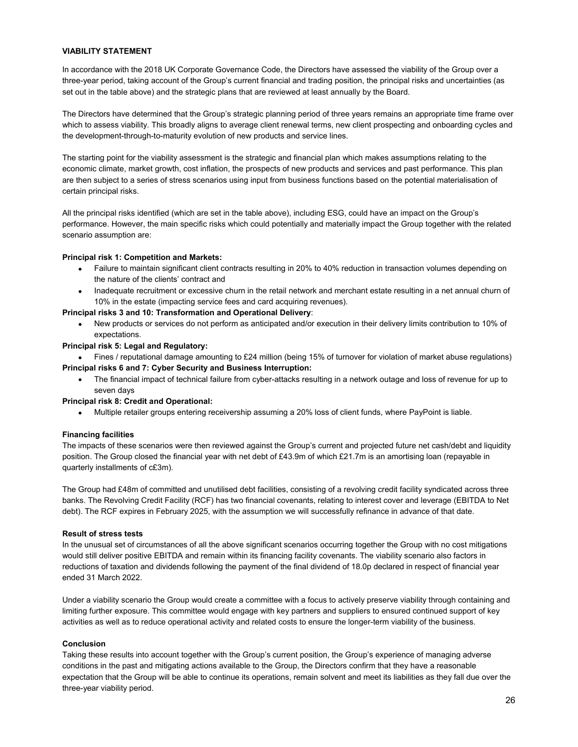# **VIABILITY STATEMENT**

In accordance with the 2018 UK Corporate Governance Code, the Directors have assessed the viability of the Group over a three-year period, taking account of the Group's current financial and trading position, the principal risks and uncertainties (as set out in the table above) and the strategic plans that are reviewed at least annually by the Board.

The Directors have determined that the Group's strategic planning period of three years remains an appropriate time frame over which to assess viability. This broadly aligns to average client renewal terms, new client prospecting and onboarding cycles and the development-through-to-maturity evolution of new products and service lines.

The starting point for the viability assessment is the strategic and financial plan which makes assumptions relating to the economic climate, market growth, cost inflation, the prospects of new products and services and past performance. This plan are then subject to a series of stress scenarios using input from business functions based on the potential materialisation of certain principal risks.

All the principal risks identified (which are set in the table above), including ESG, could have an impact on the Group's performance. However, the main specific risks which could potentially and materially impact the Group together with the related scenario assumption are:

# **Principal risk 1: Competition and Markets:**

- Failure to maintain significant client contracts resulting in 20% to 40% reduction in transaction volumes depending on the nature of the clients' contract and
- Inadequate recruitment or excessive churn in the retail network and merchant estate resulting in a net annual churn of 10% in the estate (impacting service fees and card acquiring revenues).

# **Principal risks 3 and 10: Transformation and Operational Delivery**:

 New products or services do not perform as anticipated and/or execution in their delivery limits contribution to 10% of expectations.

## **Principal risk 5: Legal and Regulatory:**

Fines / reputational damage amounting to £24 million (being 15% of turnover for violation of market abuse regulations)

- **Principal risks 6 and 7: Cyber Security and Business Interruption:** 
	- The financial impact of technical failure from cyber-attacks resulting in a network outage and loss of revenue for up to seven days

## **Principal risk 8: Credit and Operational:**

Multiple retailer groups entering receivership assuming a 20% loss of client funds, where PayPoint is liable.

## **Financing facilities**

The impacts of these scenarios were then reviewed against the Group's current and projected future net cash/debt and liquidity position. The Group closed the financial year with net debt of £43.9m of which £21.7m is an amortising loan (repayable in quarterly installments of c£3m).

The Group had £48m of committed and unutilised debt facilities, consisting of a revolving credit facility syndicated across three banks. The Revolving Credit Facility (RCF) has two financial covenants, relating to interest cover and leverage (EBITDA to Net debt). The RCF expires in February 2025, with the assumption we will successfully refinance in advance of that date.

## **Result of stress tests**

In the unusual set of circumstances of all the above significant scenarios occurring together the Group with no cost mitigations would still deliver positive EBITDA and remain within its financing facility covenants. The viability scenario also factors in reductions of taxation and dividends following the payment of the final dividend of 18.0p declared in respect of financial year ended 31 March 2022.

Under a viability scenario the Group would create a committee with a focus to actively preserve viability through containing and limiting further exposure. This committee would engage with key partners and suppliers to ensured continued support of key activities as well as to reduce operational activity and related costs to ensure the longer-term viability of the business.

# **Conclusion**

Taking these results into account together with the Group's current position, the Group's experience of managing adverse conditions in the past and mitigating actions available to the Group, the Directors confirm that they have a reasonable expectation that the Group will be able to continue its operations, remain solvent and meet its liabilities as they fall due over the three-year viability period.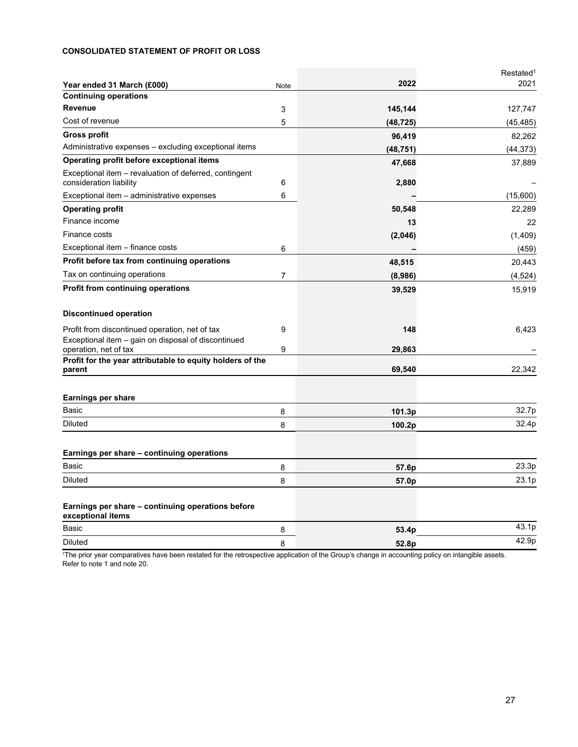# **CONSOLIDATED STATEMENT OF PROFIT OR LOSS**

|                                                                                    |      |           | Restated <sup>1</sup> |
|------------------------------------------------------------------------------------|------|-----------|-----------------------|
| Year ended 31 March (£000)                                                         | Note | 2022      | 2021                  |
| <b>Continuing operations</b>                                                       |      |           |                       |
| <b>Revenue</b>                                                                     | 3    | 145,144   | 127,747               |
| Cost of revenue                                                                    | 5    | (48, 725) | (45, 485)             |
| <b>Gross profit</b>                                                                |      | 96,419    | 82,262                |
| Administrative expenses - excluding exceptional items                              |      | (48, 751) | (44, 373)             |
| Operating profit before exceptional items                                          |      | 47,668    | 37,889                |
| Exceptional item - revaluation of deferred, contingent                             |      |           |                       |
| consideration liability                                                            | 6    | 2,880     |                       |
| Exceptional item - administrative expenses                                         | 6    |           | (15,600)              |
| <b>Operating profit</b>                                                            |      | 50,548    | 22,289                |
| Finance income                                                                     |      | 13        | 22                    |
| Finance costs                                                                      |      | (2,046)   | (1,409)               |
| Exceptional item – finance costs                                                   | 6    |           | (459)                 |
| Profit before tax from continuing operations                                       |      | 48,515    | 20,443                |
| Tax on continuing operations                                                       | 7    | (8,986)   | (4,524)               |
| <b>Profit from continuing operations</b>                                           |      | 39,529    | 15,919                |
| <b>Discontinued operation</b>                                                      |      |           |                       |
| Profit from discontinued operation, net of tax                                     | 9    | 148       | 6,423                 |
| Exceptional item – gain on disposal of discontinued                                |      |           |                       |
| operation, net of tax<br>Profit for the year attributable to equity holders of the | 9    | 29,863    |                       |
| parent                                                                             |      | 69,540    | 22,342                |
| Earnings per share                                                                 |      |           |                       |
| Basic                                                                              | 8    | 101.3p    | 32.7p                 |
| <b>Diluted</b>                                                                     | 8    | 100.2p    | 32.4p                 |
| Earnings per share – continuing operations                                         |      |           |                       |
| Basic                                                                              | 8    | 57.6p     | 23.3p                 |
| <b>Diluted</b>                                                                     | 8    | 57.0p     | 23.1p                 |
|                                                                                    |      |           |                       |
| Earnings per share – continuing operations before<br>exceptional items             |      |           |                       |
| Basic                                                                              | 8    | 53.4p     | 43.1p                 |
| <b>Diluted</b>                                                                     | 8    | 52.8p     | 42.9p                 |

1The prior year comparatives have been restated for the retrospective application of the Group's change in accounting policy on intangible assets. Refer to note 1 and note 20.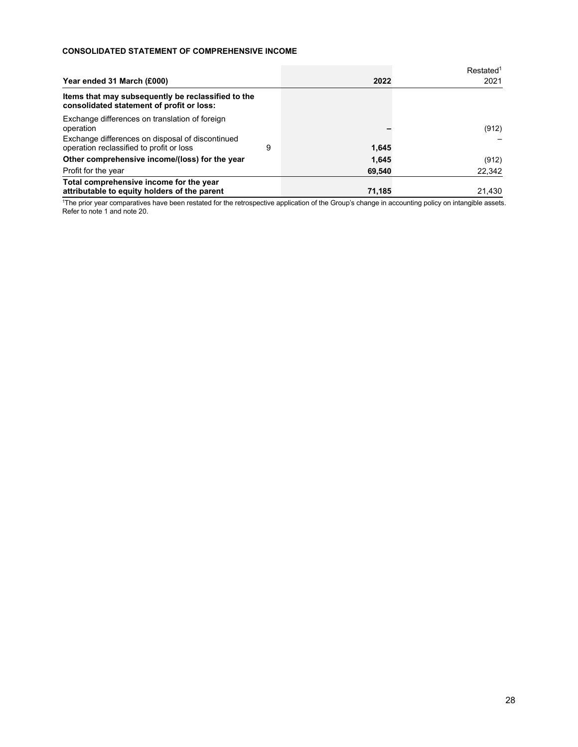# **CONSOLIDATED STATEMENT OF COMPREHENSIVE INCOME**

|                                                                                                 |   |        | Restated <sup>1</sup> |
|-------------------------------------------------------------------------------------------------|---|--------|-----------------------|
| Year ended 31 March (£000)                                                                      |   | 2022   | 2021                  |
| Items that may subsequently be reclassified to the<br>consolidated statement of profit or loss: |   |        |                       |
| Exchange differences on translation of foreign<br>operation                                     |   |        | (912)                 |
| Exchange differences on disposal of discontinued<br>operation reclassified to profit or loss    | 9 | 1.645  |                       |
| Other comprehensive income/(loss) for the year                                                  |   | 1,645  | (912)                 |
| Profit for the year                                                                             |   | 69,540 | 22,342                |
| Total comprehensive income for the year<br>attributable to equity holders of the parent         |   | 71.185 | 21.430                |

1The prior year comparatives have been restated for the retrospective application of the Group's change in accounting policy on intangible assets. Refer to note 1 and note 20.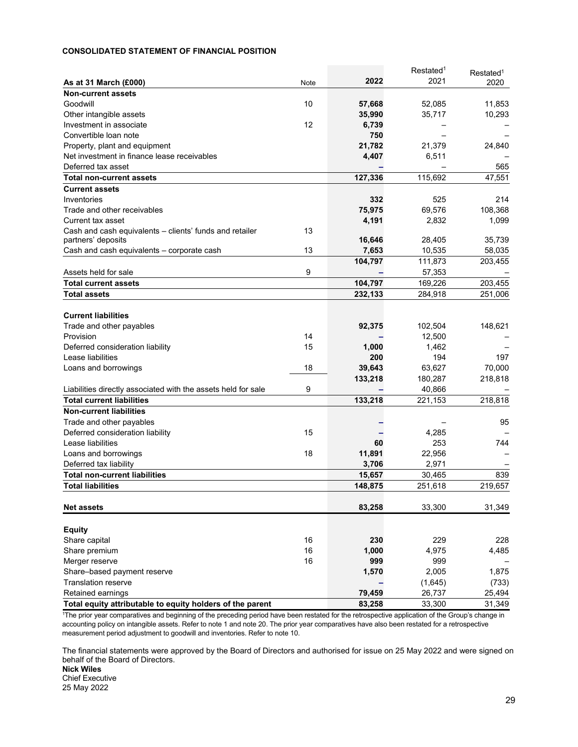# **CONSOLIDATED STATEMENT OF FINANCIAL POSITION**

|                                                               |      |         | Restated <sup>1</sup> | Restated <sup>1</sup> |
|---------------------------------------------------------------|------|---------|-----------------------|-----------------------|
| As at 31 March (£000)                                         | Note | 2022    | 2021                  | 2020                  |
| <b>Non-current assets</b>                                     |      |         |                       |                       |
| Goodwill                                                      | 10   | 57,668  | 52,085                | 11,853                |
| Other intangible assets                                       |      | 35,990  | 35,717                | 10,293                |
| Investment in associate                                       | 12   | 6,739   |                       |                       |
| Convertible loan note                                         |      | 750     |                       |                       |
| Property, plant and equipment                                 |      | 21,782  | 21,379                | 24,840                |
| Net investment in finance lease receivables                   |      | 4,407   | 6,511                 |                       |
| Deferred tax asset                                            |      |         |                       | 565                   |
| <b>Total non-current assets</b>                               |      | 127,336 | 115,692               | 47,551                |
| <b>Current assets</b>                                         |      |         |                       |                       |
| Inventories                                                   |      | 332     | 525                   | 214                   |
| Trade and other receivables                                   |      | 75,975  | 69,576                | 108,368               |
| Current tax asset                                             |      | 4,191   | 2,832                 | 1,099                 |
| Cash and cash equivalents – clients' funds and retailer       | 13   |         |                       |                       |
| partners' deposits                                            |      | 16,646  | 28,405                | 35,739                |
| Cash and cash equivalents - corporate cash                    | 13   | 7,653   | 10,535                | 58,035                |
|                                                               |      | 104,797 | 111,873               | 203,455               |
| Assets held for sale                                          | 9    |         | 57,353                |                       |
| <b>Total current assets</b>                                   |      | 104,797 | 169,226               | 203,455               |
| <b>Total assets</b>                                           |      | 232,133 | 284,918               | 251,006               |
|                                                               |      |         |                       |                       |
| <b>Current liabilities</b>                                    |      |         |                       |                       |
| Trade and other payables                                      |      | 92,375  | 102,504               | 148,621               |
| Provision                                                     | 14   |         | 12.500                |                       |
| Deferred consideration liability                              | 15   | 1,000   | 1,462                 |                       |
| Lease liabilities                                             |      | 200     | 194                   | 197                   |
| Loans and borrowings                                          | 18   | 39,643  | 63,627                | 70,000                |
|                                                               |      | 133,218 | 180,287               | 218,818               |
| Liabilities directly associated with the assets held for sale | 9    |         | 40,866                |                       |
| <b>Total current liabilities</b>                              |      | 133,218 | 221,153               | 218,818               |
| <b>Non-current liabilities</b>                                |      |         |                       |                       |
| Trade and other payables                                      |      |         |                       | 95                    |
| Deferred consideration liability                              | 15   |         | 4,285                 |                       |
| Lease liabilities                                             |      | 60      | 253                   | 744                   |
| Loans and borrowings                                          | 18   | 11,891  | 22,956                |                       |
| Deferred tax liability                                        |      | 3,706   | 2.971                 |                       |
| <b>Total non-current liabilities</b>                          |      | 15,657  | 30,465                | 839                   |
| <b>Total liabilities</b>                                      |      | 148,875 | 251,618               | 219,657               |
|                                                               |      |         |                       |                       |
| <b>Net assets</b>                                             |      | 83,258  | 33,300                | 31,349                |
|                                                               |      |         |                       |                       |
| <b>Equity</b>                                                 |      |         |                       |                       |
| Share capital                                                 | 16   | 230     | 229                   | 228                   |
| Share premium                                                 | 16   | 1,000   | 4,975                 | 4,485                 |
| Merger reserve                                                | 16   | 999     | 999                   |                       |
| Share-based payment reserve                                   |      | 1,570   | 2,005                 | 1,875                 |
| <b>Translation reserve</b>                                    |      |         |                       | (733)                 |
| <b>Retained earnings</b>                                      |      | 79,459  | (1,645)<br>26,737     | 25,494                |
| Total equity attributable to equity holders of the parent     |      |         |                       |                       |
|                                                               |      | 83,258  | 33,300                | 31,349                |

<sup>1</sup>The prior year comparatives and beginning of the preceding period have been restated for the retrospective application of the Group's change in accounting policy on intangible assets. Refer to note 1 and note 20. The prior year comparatives have also been restated for a retrospective measurement period adjustment to goodwill and inventories. Refer to note 10.

The financial statements were approved by the Board of Directors and authorised for issue on 25 May 2022 and were signed on behalf of the Board of Directors.

**Nick Wiles**  Chief Executive 25 May 2022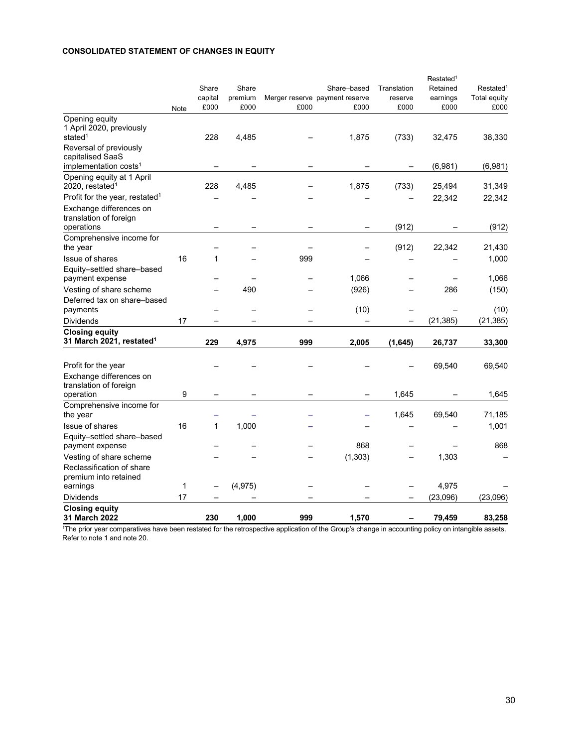# **CONSOLIDATED STATEMENT OF CHANGES IN EQUITY**

|                                                                               | Note | Share<br>capital<br>£000 | Share<br>premium<br>£000 | £000 | Share-based<br>Merger reserve payment reserve<br>£000 | Translation<br>reserve<br>£000 | Restated <sup>1</sup><br>Retained<br>earnings<br>£000 | Restated <sup>1</sup><br>Total equity<br>£000 |
|-------------------------------------------------------------------------------|------|--------------------------|--------------------------|------|-------------------------------------------------------|--------------------------------|-------------------------------------------------------|-----------------------------------------------|
| Opening equity                                                                |      |                          |                          |      |                                                       |                                |                                                       |                                               |
| 1 April 2020, previously<br>stated <sup>1</sup>                               |      | 228                      | 4,485                    |      | 1,875                                                 | (733)                          | 32,475                                                | 38,330                                        |
| Reversal of previously<br>capitalised SaaS                                    |      |                          |                          |      |                                                       |                                |                                                       |                                               |
| implementation costs <sup>1</sup>                                             |      |                          |                          |      |                                                       |                                | (6,981)                                               | (6,981)                                       |
| Opening equity at 1 April<br>2020, restated <sup>1</sup>                      |      | 228                      | 4,485                    |      | 1,875                                                 | (733)                          | 25,494                                                | 31,349                                        |
| Profit for the year, restated <sup>1</sup>                                    |      |                          |                          |      |                                                       |                                | 22,342                                                | 22,342                                        |
| Exchange differences on<br>translation of foreign                             |      |                          |                          |      |                                                       |                                |                                                       |                                               |
| operations<br>Comprehensive income for                                        |      |                          |                          |      |                                                       | (912)                          |                                                       | (912)                                         |
| the year                                                                      |      |                          |                          |      |                                                       | (912)                          | 22,342                                                | 21,430                                        |
| <b>Issue of shares</b>                                                        | 16   | 1                        |                          | 999  |                                                       |                                |                                                       | 1,000                                         |
| Equity-settled share-based<br>payment expense                                 |      |                          |                          |      | 1,066                                                 |                                |                                                       | 1,066                                         |
| Vesting of share scheme                                                       |      |                          | 490                      |      | (926)                                                 |                                | 286                                                   | (150)                                         |
| Deferred tax on share-based<br>payments                                       |      |                          |                          |      | (10)                                                  |                                |                                                       | (10)                                          |
| <b>Dividends</b>                                                              | 17   |                          |                          |      |                                                       |                                | (21, 385)                                             | (21, 385)                                     |
| <b>Closing equity</b><br>31 March 2021, restated <sup>1</sup>                 |      | 229                      | 4,975                    | 999  | 2,005                                                 | (1,645)                        | 26,737                                                | 33,300                                        |
|                                                                               |      |                          |                          |      |                                                       |                                |                                                       |                                               |
| Profit for the year                                                           |      |                          |                          |      |                                                       |                                | 69,540                                                | 69,540                                        |
| Exchange differences on<br>translation of foreign                             |      |                          |                          |      |                                                       |                                |                                                       |                                               |
| operation                                                                     | 9    |                          |                          |      |                                                       | 1,645                          |                                                       | 1,645                                         |
| Comprehensive income for<br>the year                                          |      |                          |                          |      |                                                       | 1,645                          | 69,540                                                | 71,185                                        |
| <b>Issue of shares</b>                                                        | 16   | $\mathbf 1$              | 1,000                    |      |                                                       |                                |                                                       | 1,001                                         |
| Equity-settled share-based<br>payment expense                                 |      |                          |                          |      | 868                                                   |                                |                                                       | 868                                           |
| Vesting of share scheme<br>Reclassification of share<br>premium into retained |      |                          |                          |      | (1, 303)                                              |                                | 1,303                                                 |                                               |
| earnings                                                                      | 1    |                          | (4, 975)                 |      |                                                       |                                | 4,975                                                 |                                               |
| Dividends                                                                     | 17   |                          |                          |      |                                                       |                                | (23,096)                                              | (23,096)                                      |
| <b>Closing equity</b><br>31 March 2022                                        |      | 230                      | 1.000                    | 999  | 1,570                                                 |                                | 79.459                                                | 83,258                                        |

1The prior year comparatives have been restated for the retrospective application of the Group's change in accounting policy on intangible assets. Refer to note 1 and note 20.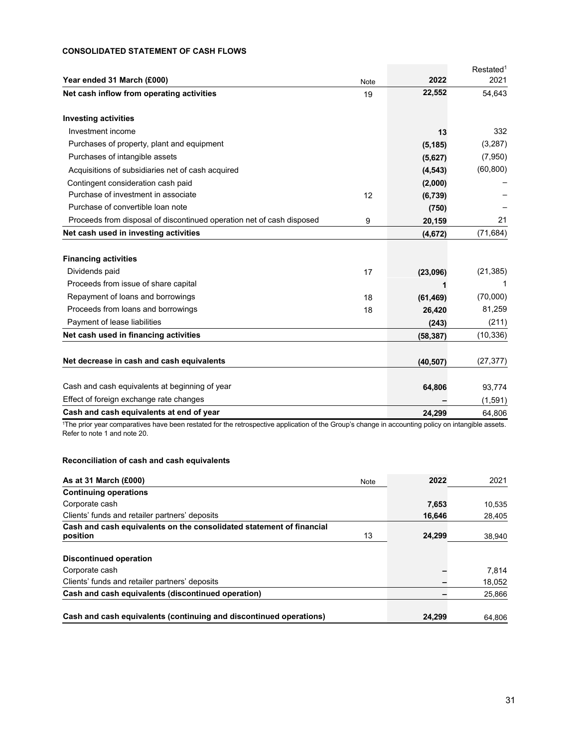# **CONSOLIDATED STATEMENT OF CASH FLOWS**

|                                                                       |      |           | Restated <sup>1</sup> |
|-----------------------------------------------------------------------|------|-----------|-----------------------|
| Year ended 31 March (£000)                                            | Note | 2022      | 2021                  |
| Net cash inflow from operating activities                             | 19   | 22,552    | 54,643                |
| <b>Investing activities</b>                                           |      |           |                       |
| Investment income                                                     |      | 13        | 332                   |
| Purchases of property, plant and equipment                            |      | (5, 185)  | (3,287)               |
| Purchases of intangible assets                                        |      | (5,627)   | (7,950)               |
| Acquisitions of subsidiaries net of cash acquired                     |      | (4,543)   | (60, 800)             |
| Contingent consideration cash paid                                    |      | (2,000)   |                       |
| Purchase of investment in associate                                   | 12   | (6,739)   |                       |
| Purchase of convertible loan note                                     |      | (750)     |                       |
| Proceeds from disposal of discontinued operation net of cash disposed | 9    | 20,159    | 21                    |
| Net cash used in investing activities                                 |      | (4,672)   | (71, 684)             |
|                                                                       |      |           |                       |
| <b>Financing activities</b>                                           |      |           |                       |
| Dividends paid                                                        | 17   | (23,096)  | (21, 385)             |
| Proceeds from issue of share capital                                  |      |           | 1                     |
| Repayment of loans and borrowings                                     | 18   | (61, 469) | (70,000)              |
| Proceeds from loans and borrowings                                    | 18   | 26,420    | 81,259                |
| Payment of lease liabilities                                          |      | (243)     | (211)                 |
| Net cash used in financing activities                                 |      | (58, 387) | (10, 336)             |
| Net decrease in cash and cash equivalents                             |      | (40, 507) | (27, 377)             |
|                                                                       |      |           |                       |
| Cash and cash equivalents at beginning of year                        |      | 64,806    | 93,774                |
| Effect of foreign exchange rate changes                               |      |           | (1,591)               |
| Cash and cash equivalents at end of year                              |      | 24.299    | 64.806                |

1The prior year comparatives have been restated for the retrospective application of the Group's change in accounting policy on intangible assets. Refer to note 1 and note 20.

# **Reconciliation of cash and cash equivalents**

| As at 31 March $(E000)$                                                          | Note | 2022   | 2021   |
|----------------------------------------------------------------------------------|------|--------|--------|
| <b>Continuing operations</b>                                                     |      |        |        |
| Corporate cash                                                                   |      | 7,653  | 10,535 |
| Clients' funds and retailer partners' deposits                                   |      | 16,646 | 28,405 |
| Cash and cash equivalents on the consolidated statement of financial<br>position | 13   | 24,299 | 38,940 |
| <b>Discontinued operation</b>                                                    |      |        |        |
| Corporate cash                                                                   |      |        | 7.814  |
| Clients' funds and retailer partners' deposits                                   |      |        | 18,052 |
| Cash and cash equivalents (discontinued operation)                               |      |        | 25,866 |
| Cash and cash equivalents (continuing and discontinued operations)               |      | 24.299 | 64.806 |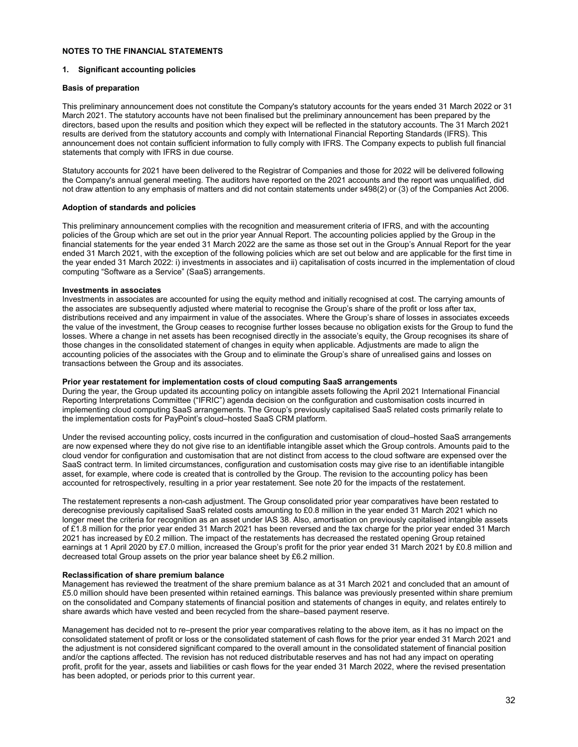# **NOTES TO THE FINANCIAL STATEMENTS**

#### **1. Significant accounting policies**

#### **Basis of preparation**

This preliminary announcement does not constitute the Company's statutory accounts for the years ended 31 March 2022 or 31 March 2021. The statutory accounts have not been finalised but the preliminary announcement has been prepared by the directors, based upon the results and position which they expect will be reflected in the statutory accounts. The 31 March 2021 results are derived from the statutory accounts and comply with International Financial Reporting Standards (IFRS). This announcement does not contain sufficient information to fully comply with IFRS. The Company expects to publish full financial statements that comply with IFRS in due course.

Statutory accounts for 2021 have been delivered to the Registrar of Companies and those for 2022 will be delivered following the Company's annual general meeting. The auditors have reported on the 2021 accounts and the report was unqualified, did not draw attention to any emphasis of matters and did not contain statements under s498(2) or (3) of the Companies Act 2006.

## **Adoption of standards and policies**

This preliminary announcement complies with the recognition and measurement criteria of IFRS, and with the accounting policies of the Group which are set out in the prior year Annual Report. The accounting policies applied by the Group in the financial statements for the year ended 31 March 2022 are the same as those set out in the Group's Annual Report for the year ended 31 March 2021, with the exception of the following policies which are set out below and are applicable for the first time in the year ended 31 March 2022: i) investments in associates and ii) capitalisation of costs incurred in the implementation of cloud computing "Software as a Service" (SaaS) arrangements.

#### **Investments in associates**

Investments in associates are accounted for using the equity method and initially recognised at cost. The carrying amounts of the associates are subsequently adjusted where material to recognise the Group's share of the profit or loss after tax, distributions received and any impairment in value of the associates. Where the Group's share of losses in associates exceeds the value of the investment, the Group ceases to recognise further losses because no obligation exists for the Group to fund the losses. Where a change in net assets has been recognised directly in the associate's equity, the Group recognises its share of those changes in the consolidated statement of changes in equity when applicable. Adjustments are made to align the accounting policies of the associates with the Group and to eliminate the Group's share of unrealised gains and losses on transactions between the Group and its associates.

#### **Prior year restatement for implementation costs of cloud computing SaaS arrangements**

During the year, the Group updated its accounting policy on intangible assets following the April 2021 International Financial Reporting Interpretations Committee ("IFRIC") agenda decision on the configuration and customisation costs incurred in implementing cloud computing SaaS arrangements. The Group's previously capitalised SaaS related costs primarily relate to the implementation costs for PayPoint's cloud–hosted SaaS CRM platform.

Under the revised accounting policy, costs incurred in the configuration and customisation of cloud–hosted SaaS arrangements are now expensed where they do not give rise to an identifiable intangible asset which the Group controls. Amounts paid to the cloud vendor for configuration and customisation that are not distinct from access to the cloud software are expensed over the SaaS contract term. In limited circumstances, configuration and customisation costs may give rise to an identifiable intangible asset, for example, where code is created that is controlled by the Group. The revision to the accounting policy has been accounted for retrospectively, resulting in a prior year restatement. See note 20 for the impacts of the restatement.

The restatement represents a non-cash adjustment. The Group consolidated prior year comparatives have been restated to derecognise previously capitalised SaaS related costs amounting to £0.8 million in the year ended 31 March 2021 which no longer meet the criteria for recognition as an asset under IAS 38. Also, amortisation on previously capitalised intangible assets of £1.8 million for the prior year ended 31 March 2021 has been reversed and the tax charge for the prior year ended 31 March 2021 has increased by £0.2 million. The impact of the restatements has decreased the restated opening Group retained earnings at 1 April 2020 by £7.0 million, increased the Group's profit for the prior year ended 31 March 2021 by £0.8 million and decreased total Group assets on the prior year balance sheet by £6.2 million.

## **Reclassification of share premium balance**

Management has reviewed the treatment of the share premium balance as at 31 March 2021 and concluded that an amount of £5.0 million should have been presented within retained earnings. This balance was previously presented within share premium on the consolidated and Company statements of financial position and statements of changes in equity, and relates entirely to share awards which have vested and been recycled from the share–based payment reserve.

Management has decided not to re–present the prior year comparatives relating to the above item, as it has no impact on the consolidated statement of profit or loss or the consolidated statement of cash flows for the prior year ended 31 March 2021 and the adjustment is not considered significant compared to the overall amount in the consolidated statement of financial position and/or the captions affected. The revision has not reduced distributable reserves and has not had any impact on operating profit, profit for the year, assets and liabilities or cash flows for the year ended 31 March 2022, where the revised presentation has been adopted, or periods prior to this current year.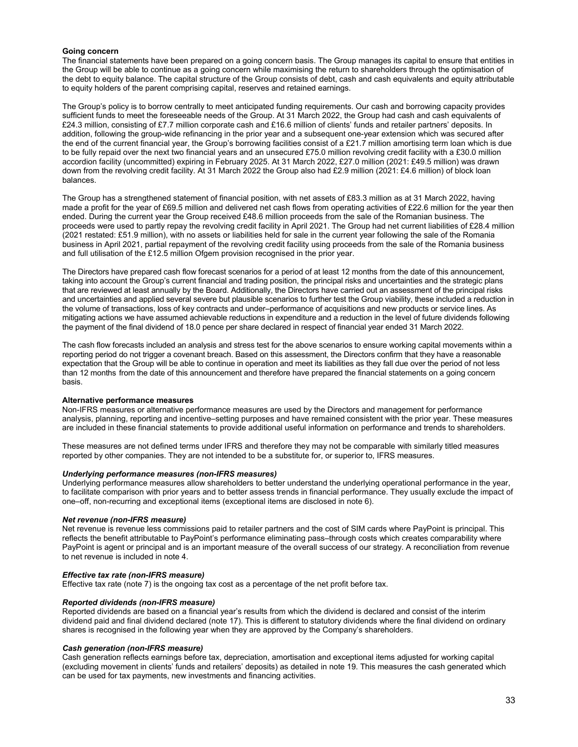#### **Going concern**

The financial statements have been prepared on a going concern basis. The Group manages its capital to ensure that entities in the Group will be able to continue as a going concern while maximising the return to shareholders through the optimisation of the debt to equity balance. The capital structure of the Group consists of debt, cash and cash equivalents and equity attributable to equity holders of the parent comprising capital, reserves and retained earnings.

The Group's policy is to borrow centrally to meet anticipated funding requirements. Our cash and borrowing capacity provides sufficient funds to meet the foreseeable needs of the Group. At 31 March 2022, the Group had cash and cash equivalents of £24.3 million, consisting of £7.7 million corporate cash and £16.6 million of clients' funds and retailer partners' deposits. In addition, following the group-wide refinancing in the prior year and a subsequent one-year extension which was secured after the end of the current financial year, the Group's borrowing facilities consist of a £21.7 million amortising term loan which is due to be fully repaid over the next two financial years and an unsecured £75.0 million revolving credit facility with a £30.0 million accordion facility (uncommitted) expiring in February 2025. At 31 March 2022, £27.0 million (2021: £49.5 million) was drawn down from the revolving credit facility. At 31 March 2022 the Group also had £2.9 million (2021: £4.6 million) of block loan balances.

The Group has a strengthened statement of financial position, with net assets of £83.3 million as at 31 March 2022, having made a profit for the year of £69.5 million and delivered net cash flows from operating activities of £22.6 million for the year then ended. During the current year the Group received £48.6 million proceeds from the sale of the Romanian business. The proceeds were used to partly repay the revolving credit facility in April 2021. The Group had net current liabilities of £28.4 million (2021 restated: £51.9 million), with no assets or liabilities held for sale in the current year following the sale of the Romania business in April 2021, partial repayment of the revolving credit facility using proceeds from the sale of the Romania business and full utilisation of the £12.5 million Ofgem provision recognised in the prior year.

The Directors have prepared cash flow forecast scenarios for a period of at least 12 months from the date of this announcement, taking into account the Group's current financial and trading position, the principal risks and uncertainties and the strategic plans that are reviewed at least annually by the Board. Additionally, the Directors have carried out an assessment of the principal risks and uncertainties and applied several severe but plausible scenarios to further test the Group viability, these included a reduction in the volume of transactions, loss of key contracts and under–performance of acquisitions and new products or service lines. As mitigating actions we have assumed achievable reductions in expenditure and a reduction in the level of future dividends following the payment of the final dividend of 18.0 pence per share declared in respect of financial year ended 31 March 2022.

The cash flow forecasts included an analysis and stress test for the above scenarios to ensure working capital movements within a reporting period do not trigger a covenant breach. Based on this assessment, the Directors confirm that they have a reasonable expectation that the Group will be able to continue in operation and meet its liabilities as they fall due over the period of not less than 12 months from the date of this announcement and therefore have prepared the financial statements on a going concern basis.

## **Alternative performance measures**

Non-IFRS measures or alternative performance measures are used by the Directors and management for performance analysis, planning, reporting and incentive–setting purposes and have remained consistent with the prior year. These measures are included in these financial statements to provide additional useful information on performance and trends to shareholders.

These measures are not defined terms under IFRS and therefore they may not be comparable with similarly titled measures reported by other companies. They are not intended to be a substitute for, or superior to, IFRS measures.

#### *Underlying performance measures (non-IFRS measures)*

Underlying performance measures allow shareholders to better understand the underlying operational performance in the year, to facilitate comparison with prior years and to better assess trends in financial performance. They usually exclude the impact of one–off, non-recurring and exceptional items (exceptional items are disclosed in note 6).

## *Net revenue (non-IFRS measure)*

Net revenue is revenue less commissions paid to retailer partners and the cost of SIM cards where PayPoint is principal. This reflects the benefit attributable to PayPoint's performance eliminating pass–through costs which creates comparability where PayPoint is agent or principal and is an important measure of the overall success of our strategy. A reconciliation from revenue to net revenue is included in note 4.

#### *Effective tax rate (non-IFRS measure)*

Effective tax rate (note 7) is the ongoing tax cost as a percentage of the net profit before tax.

# *Reported dividends (non-IFRS measure)*

Reported dividends are based on a financial year's results from which the dividend is declared and consist of the interim dividend paid and final dividend declared (note 17). This is different to statutory dividends where the final dividend on ordinary shares is recognised in the following year when they are approved by the Company's shareholders.

#### *Cash generation (non-IFRS measure)*

Cash generation reflects earnings before tax, depreciation, amortisation and exceptional items adjusted for working capital (excluding movement in clients' funds and retailers' deposits) as detailed in note 19. This measures the cash generated which can be used for tax payments, new investments and financing activities.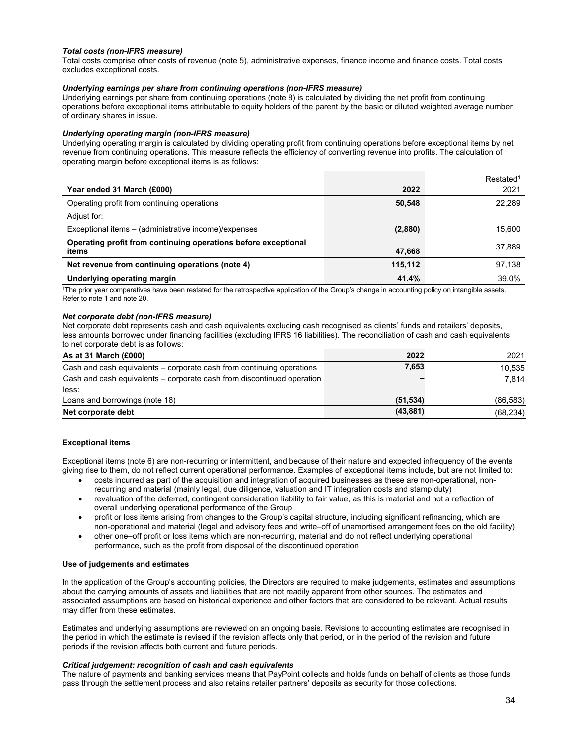# *Total costs (non-IFRS measure)*

Total costs comprise other costs of revenue (note 5), administrative expenses, finance income and finance costs. Total costs excludes exceptional costs.

# *Underlying earnings per share from continuing operations (non-IFRS measure)*

Underlying earnings per share from continuing operations (note 8) is calculated by dividing the net profit from continuing operations before exceptional items attributable to equity holders of the parent by the basic or diluted weighted average number of ordinary shares in issue.

# *Underlying operating margin (non-IFRS measure)*

Underlying operating margin is calculated by dividing operating profit from continuing operations before exceptional items by net revenue from continuing operations. This measure reflects the efficiency of converting revenue into profits. The calculation of operating margin before exceptional items is as follows:

|                                                                |         | Restated <sup>1</sup> |
|----------------------------------------------------------------|---------|-----------------------|
| Year ended 31 March (£000)                                     | 2022    | 2021                  |
| Operating profit from continuing operations                    | 50,548  | 22,289                |
| Adjust for:                                                    |         |                       |
| Exceptional items - (administrative income)/expenses           | (2,880) | 15,600                |
| Operating profit from continuing operations before exceptional |         | 37.889                |
| items                                                          | 47,668  |                       |
| Net revenue from continuing operations (note 4)                | 115,112 | 97,138                |
| <b>Underlying operating margin</b>                             | 41.4%   | 39.0%                 |

1The prior year comparatives have been restated for the retrospective application of the Group's change in accounting policy on intangible assets. Refer to note 1 and note 20.

# *Net corporate debt (non-IFRS measure)*

Net corporate debt represents cash and cash equivalents excluding cash recognised as clients' funds and retailers' deposits, less amounts borrowed under financing facilities (excluding IFRS 16 liabilities). The reconciliation of cash and cash equivalents to net corporate debt is as follows:

| As at 31 March $(E000)$                                                | 2022      | 2021      |
|------------------------------------------------------------------------|-----------|-----------|
| Cash and cash equivalents – corporate cash from continuing operations  | 7,653     | 10,535    |
| Cash and cash equivalents – corporate cash from discontinued operation |           | 7.814     |
| less:                                                                  |           |           |
| Loans and borrowings (note 18)                                         | (51, 534) | (86, 583) |
| Net corporate debt                                                     | (43, 881) | (68, 234) |

# **Exceptional items**

Exceptional items (note 6) are non-recurring or intermittent, and because of their nature and expected infrequency of the events giving rise to them, do not reflect current operational performance. Examples of exceptional items include, but are not limited to:

- costs incurred as part of the acquisition and integration of acquired businesses as these are non-operational, nonrecurring and material (mainly legal, due diligence, valuation and IT integration costs and stamp duty)
- revaluation of the deferred, contingent consideration liability to fair value, as this is material and not a reflection of overall underlying operational performance of the Group
- profit or loss items arising from changes to the Group's capital structure, including significant refinancing, which are non-operational and material (legal and advisory fees and write–off of unamortised arrangement fees on the old facility)
- other one–off profit or loss items which are non-recurring, material and do not reflect underlying operational performance, such as the profit from disposal of the discontinued operation

## **Use of judgements and estimates**

In the application of the Group's accounting policies, the Directors are required to make judgements, estimates and assumptions about the carrying amounts of assets and liabilities that are not readily apparent from other sources. The estimates and associated assumptions are based on historical experience and other factors that are considered to be relevant. Actual results may differ from these estimates.

Estimates and underlying assumptions are reviewed on an ongoing basis. Revisions to accounting estimates are recognised in the period in which the estimate is revised if the revision affects only that period, or in the period of the revision and future periods if the revision affects both current and future periods.

# *Critical judgement: recognition of cash and cash equivalents*

The nature of payments and banking services means that PayPoint collects and holds funds on behalf of clients as those funds pass through the settlement process and also retains retailer partners' deposits as security for those collections.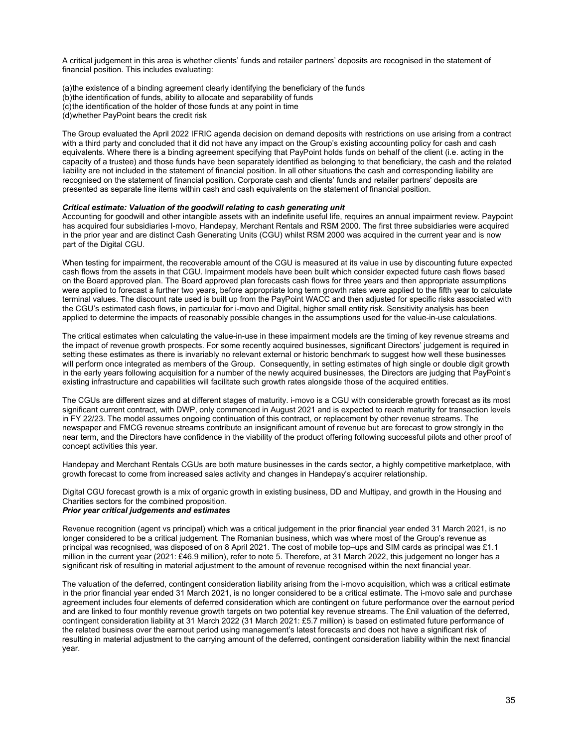A critical judgement in this area is whether clients' funds and retailer partners' deposits are recognised in the statement of financial position. This includes evaluating:

(a) the existence of a binding agreement clearly identifying the beneficiary of the funds (b) the identification of funds, ability to allocate and separability of funds (c) the identification of the holder of those funds at any point in time (d) whether PayPoint bears the credit risk

The Group evaluated the April 2022 IFRIC agenda decision on demand deposits with restrictions on use arising from a contract with a third party and concluded that it did not have any impact on the Group's existing accounting policy for cash and cash equivalents. Where there is a binding agreement specifying that PayPoint holds funds on behalf of the client (i.e. acting in the capacity of a trustee) and those funds have been separately identified as belonging to that beneficiary, the cash and the related liability are not included in the statement of financial position. In all other situations the cash and corresponding liability are recognised on the statement of financial position. Corporate cash and clients' funds and retailer partners' deposits are presented as separate line items within cash and cash equivalents on the statement of financial position.

#### *Critical estimate: Valuation of the goodwill relating to cash generating unit*

Accounting for goodwill and other intangible assets with an indefinite useful life, requires an annual impairment review. Paypoint has acquired four subsidiaries I-movo, Handepay, Merchant Rentals and RSM 2000. The first three subsidiaries were acquired in the prior year and are distinct Cash Generating Units (CGU) whilst RSM 2000 was acquired in the current year and is now part of the Digital CGU.

When testing for impairment, the recoverable amount of the CGU is measured at its value in use by discounting future expected cash flows from the assets in that CGU. Impairment models have been built which consider expected future cash flows based on the Board approved plan. The Board approved plan forecasts cash flows for three years and then appropriate assumptions were applied to forecast a further two years, before appropriate long term growth rates were applied to the fifth year to calculate terminal values. The discount rate used is built up from the PayPoint WACC and then adjusted for specific risks associated with the CGU's estimated cash flows, in particular for i-movo and Digital, higher small entity risk. Sensitivity analysis has been applied to determine the impacts of reasonably possible changes in the assumptions used for the value-in-use calculations.

The critical estimates when calculating the value-in-use in these impairment models are the timing of key revenue streams and the impact of revenue growth prospects. For some recently acquired businesses, significant Directors' judgement is required in setting these estimates as there is invariably no relevant external or historic benchmark to suggest how well these businesses will perform once integrated as members of the Group. Consequently, in setting estimates of high single or double digit growth in the early years following acquisition for a number of the newly acquired businesses, the Directors are judging that PayPoint's existing infrastructure and capabilities will facilitate such growth rates alongside those of the acquired entities.

The CGUs are different sizes and at different stages of maturity. i-movo is a CGU with considerable growth forecast as its most significant current contract, with DWP, only commenced in August 2021 and is expected to reach maturity for transaction levels in FY 22/23. The model assumes ongoing continuation of this contract, or replacement by other revenue streams. The newspaper and FMCG revenue streams contribute an insignificant amount of revenue but are forecast to grow strongly in the near term, and the Directors have confidence in the viability of the product offering following successful pilots and other proof of concept activities this year.

Handepay and Merchant Rentals CGUs are both mature businesses in the cards sector, a highly competitive marketplace, with growth forecast to come from increased sales activity and changes in Handepay's acquirer relationship.

Digital CGU forecast growth is a mix of organic growth in existing business, DD and Multipay, and growth in the Housing and Charities sectors for the combined proposition.

# *Prior year critical judgements and estimates*

Revenue recognition (agent vs principal) which was a critical judgement in the prior financial year ended 31 March 2021, is no longer considered to be a critical judgement. The Romanian business, which was where most of the Group's revenue as principal was recognised, was disposed of on 8 April 2021. The cost of mobile top–ups and SIM cards as principal was £1.1 million in the current year (2021: £46.9 million), refer to note 5. Therefore, at 31 March 2022, this judgement no longer has a significant risk of resulting in material adjustment to the amount of revenue recognised within the next financial year.

The valuation of the deferred, contingent consideration liability arising from the i-movo acquisition, which was a critical estimate in the prior financial year ended 31 March 2021, is no longer considered to be a critical estimate. The i-movo sale and purchase agreement includes four elements of deferred consideration which are contingent on future performance over the earnout period and are linked to four monthly revenue growth targets on two potential key revenue streams. The £nil valuation of the deferred, contingent consideration liability at 31 March 2022 (31 March 2021: £5.7 million) is based on estimated future performance of the related business over the earnout period using management's latest forecasts and does not have a significant risk of resulting in material adjustment to the carrying amount of the deferred, contingent consideration liability within the next financial year.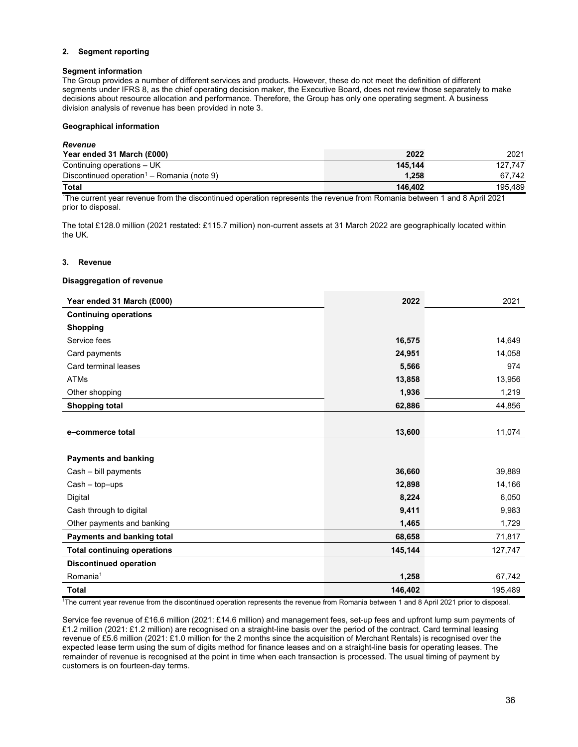# **2. Segment reporting**

# **Segment information**

The Group provides a number of different services and products. However, these do not meet the definition of different segments under IFRS 8, as the chief operating decision maker, the Executive Board, does not review those separately to make decisions about resource allocation and performance. Therefore, the Group has only one operating segment. A business division analysis of revenue has been provided in note 3.

## **Geographical information**

| <b>Revenue</b>                                         |         |         |
|--------------------------------------------------------|---------|---------|
| Year ended 31 March (£000)                             | 2022    | 2021    |
| Continuing operations – UK                             | 145.144 | 127.747 |
| Discontinued operation <sup>1</sup> – Romania (note 9) | 1.258   | 67.742  |
| <b>Total</b>                                           | 146.402 | 195.489 |

1The current year revenue from the discontinued operation represents the revenue from Romania between 1 and 8 April 2021 prior to disposal.

The total £128.0 million (2021 restated: £115.7 million) non-current assets at 31 March 2022 are geographically located within the UK.

# **3. Revenue**

## **Disaggregation of revenue**

| Year ended 31 March (£000)         | 2022    | 2021    |
|------------------------------------|---------|---------|
| <b>Continuing operations</b>       |         |         |
| <b>Shopping</b>                    |         |         |
| Service fees                       | 16,575  | 14,649  |
| Card payments                      | 24,951  | 14,058  |
| Card terminal leases               | 5,566   | 974     |
| <b>ATMs</b>                        | 13,858  | 13,956  |
| Other shopping                     | 1,936   | 1,219   |
| <b>Shopping total</b>              | 62,886  | 44,856  |
|                                    |         |         |
| e-commerce total                   | 13,600  | 11,074  |
|                                    |         |         |
| <b>Payments and banking</b>        |         |         |
| Cash - bill payments               | 36,660  | 39,889  |
| $Cash - top -ups$                  | 12,898  | 14,166  |
| Digital                            | 8,224   | 6,050   |
| Cash through to digital            | 9,411   | 9,983   |
| Other payments and banking         | 1,465   | 1,729   |
| Payments and banking total         | 68,658  | 71,817  |
| <b>Total continuing operations</b> | 145,144 | 127,747 |
| <b>Discontinued operation</b>      |         |         |
| Romania <sup>1</sup>               | 1,258   | 67,742  |
| <b>Total</b>                       | 146,402 | 195,489 |

1 The current year revenue from the discontinued operation represents the revenue from Romania between 1 and 8 April 2021 prior to disposal.

Service fee revenue of £16.6 million (2021: £14.6 million) and management fees, set-up fees and upfront lump sum payments of £1.2 million (2021: £1.2 million) are recognised on a straight-line basis over the period of the contract. Card terminal leasing revenue of £5.6 million (2021: £1.0 million for the 2 months since the acquisition of Merchant Rentals) is recognised over the expected lease term using the sum of digits method for finance leases and on a straight-line basis for operating leases. The remainder of revenue is recognised at the point in time when each transaction is processed. The usual timing of payment by customers is on fourteen-day terms.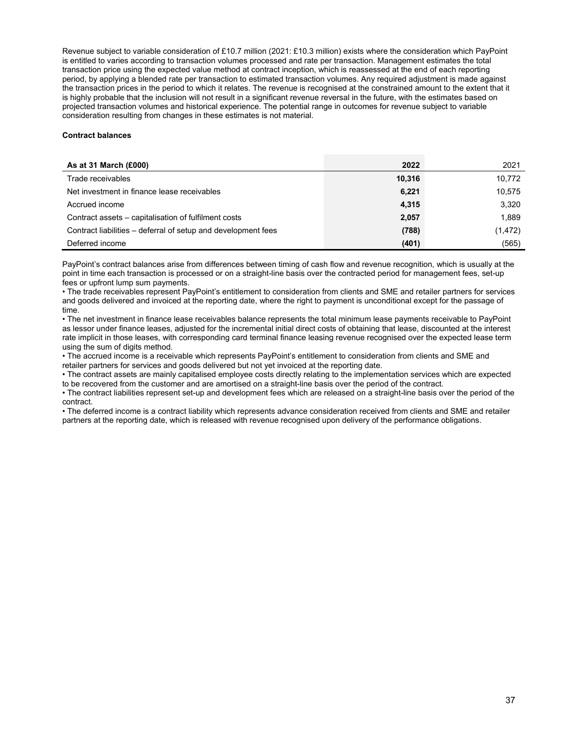Revenue subject to variable consideration of £10.7 million (2021: £10.3 million) exists where the consideration which PayPoint is entitled to varies according to transaction volumes processed and rate per transaction. Management estimates the total transaction price using the expected value method at contract inception, which is reassessed at the end of each reporting period, by applying a blended rate per transaction to estimated transaction volumes. Any required adjustment is made against the transaction prices in the period to which it relates. The revenue is recognised at the constrained amount to the extent that it is highly probable that the inclusion will not result in a significant revenue reversal in the future, with the estimates based on projected transaction volumes and historical experience. The potential range in outcomes for revenue subject to variable consideration resulting from changes in these estimates is not material.

# **Contract balances**

| As at 31 March (£000)                                         | 2022   | 2021     |
|---------------------------------------------------------------|--------|----------|
| Trade receivables                                             | 10,316 | 10,772   |
| Net investment in finance lease receivables                   | 6,221  | 10,575   |
| Accrued income                                                | 4,315  | 3,320    |
| Contract assets – capitalisation of fulfilment costs          | 2,057  | 1.889    |
| Contract liabilities - deferral of setup and development fees | (788)  | (1, 472) |
| Deferred income                                               | (401)  | (565)    |

PayPoint's contract balances arise from differences between timing of cash flow and revenue recognition, which is usually at the point in time each transaction is processed or on a straight-line basis over the contracted period for management fees, set-up fees or upfront lump sum payments.

• The trade receivables represent PayPoint's entitlement to consideration from clients and SME and retailer partners for services and goods delivered and invoiced at the reporting date, where the right to payment is unconditional except for the passage of time.

• The net investment in finance lease receivables balance represents the total minimum lease payments receivable to PayPoint as lessor under finance leases, adjusted for the incremental initial direct costs of obtaining that lease, discounted at the interest rate implicit in those leases, with corresponding card terminal finance leasing revenue recognised over the expected lease term using the sum of digits method.

• The accrued income is a receivable which represents PayPoint's entitlement to consideration from clients and SME and retailer partners for services and goods delivered but not yet invoiced at the reporting date.

• The contract assets are mainly capitalised employee costs directly relating to the implementation services which are expected to be recovered from the customer and are amortised on a straight-line basis over the period of the contract.

• The contract liabilities represent set-up and development fees which are released on a straight-line basis over the period of the contract.

• The deferred income is a contract liability which represents advance consideration received from clients and SME and retailer partners at the reporting date, which is released with revenue recognised upon delivery of the performance obligations.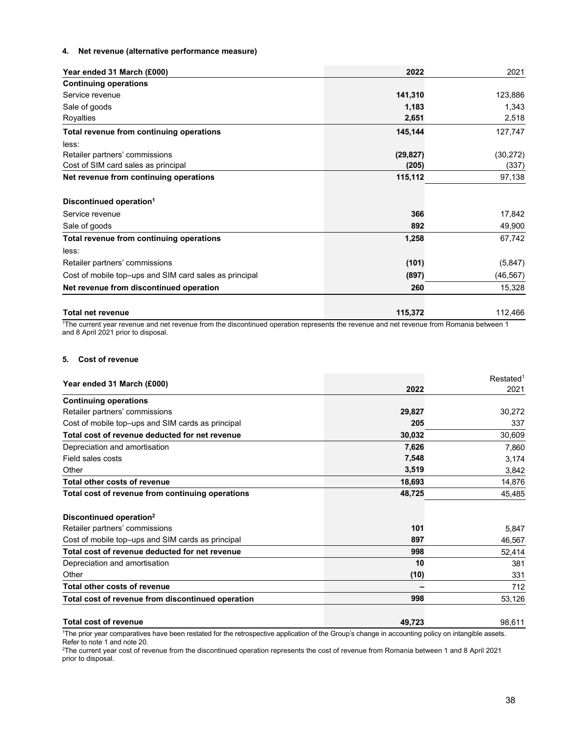# **4. Net revenue (alternative performance measure)**

| Year ended 31 March (£000)                             | 2022      | 2021      |
|--------------------------------------------------------|-----------|-----------|
| <b>Continuing operations</b>                           |           |           |
| Service revenue                                        | 141,310   | 123,886   |
| Sale of goods                                          | 1,183     | 1,343     |
| Royalties                                              | 2,651     | 2,518     |
| Total revenue from continuing operations               | 145,144   | 127,747   |
| less:                                                  |           |           |
| Retailer partners' commissions                         | (29, 827) | (30, 272) |
| Cost of SIM card sales as principal                    | (205)     | (337)     |
| Net revenue from continuing operations                 | 115,112   | 97,138    |
| Discontinued operation <sup>1</sup>                    |           |           |
| Service revenue                                        | 366       | 17,842    |
| Sale of goods                                          | 892       | 49,900    |
| Total revenue from continuing operations               | 1,258     | 67,742    |
| less:                                                  |           |           |
| Retailer partners' commissions                         | (101)     | (5, 847)  |
| Cost of mobile top-ups and SIM card sales as principal | (897)     | (46, 567) |
| Net revenue from discontinued operation                | 260       | 15,328    |
| <b>Total net revenue</b>                               | 115,372   | 112,466   |

1 The current year revenue and net revenue from the discontinued operation represents the revenue and net revenue from Romania between 1 and 8 April 2021 prior to disposal.

# **5. Cost of revenue**

|                                                   |        | Restated <sup>1</sup> |
|---------------------------------------------------|--------|-----------------------|
| Year ended 31 March (£000)                        | 2022   | 2021                  |
| <b>Continuing operations</b>                      |        |                       |
| Retailer partners' commissions                    | 29,827 | 30,272                |
| Cost of mobile top-ups and SIM cards as principal | 205    | 337                   |
| Total cost of revenue deducted for net revenue    | 30,032 | 30,609                |
| Depreciation and amortisation                     | 7,626  | 7,860                 |
| Field sales costs                                 | 7,548  | 3,174                 |
| Other                                             | 3,519  | 3,842                 |
| Total other costs of revenue                      | 18,693 | 14,876                |
| Total cost of revenue from continuing operations  | 48,725 | 45,485                |
| Discontinued operation <sup>2</sup>               |        |                       |
| Retailer partners' commissions                    | 101    | 5,847                 |
| Cost of mobile top-ups and SIM cards as principal | 897    | 46,567                |
| Total cost of revenue deducted for net revenue    | 998    | 52,414                |
| Depreciation and amortisation                     | 10     | 381                   |
| Other                                             | (10)   | 331                   |
| Total other costs of revenue                      |        | 712                   |
| Total cost of revenue from discontinued operation | 998    | 53,126                |
| <b>Total cost of revenue</b>                      | 49,723 | 98,611                |

<sup>1</sup>The prior year comparatives have been restated for the retrospective application of the Group's change in accounting policy on intangible assets.

Refer to note 1 and note 20. 2 The current year cost of revenue from the discontinued operation represents the cost of revenue from Romania between 1 and 8 April 2021 prior to disposal.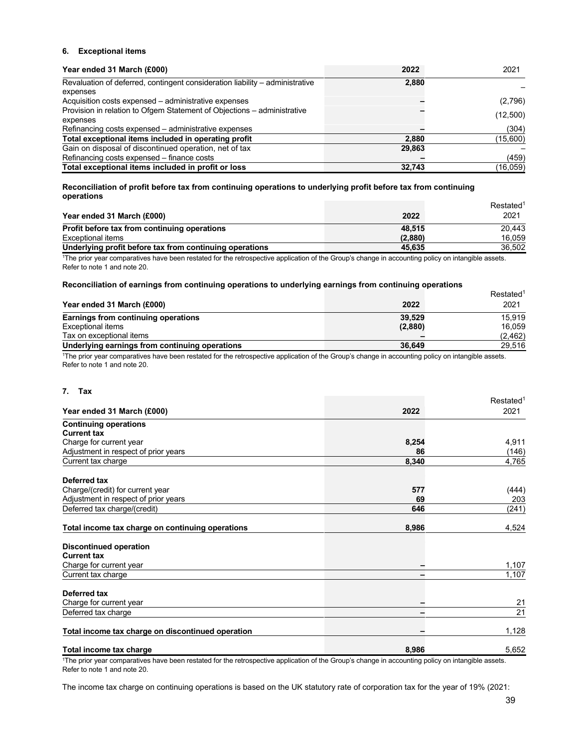# **6. Exceptional items**

| Year ended 31 March (£000)                                                   | 2022   | 2021     |
|------------------------------------------------------------------------------|--------|----------|
| Revaluation of deferred, contingent consideration liability – administrative | 2,880  |          |
| expenses                                                                     |        |          |
| Acquisition costs expensed – administrative expenses                         |        | (2,796)  |
| Provision in relation to Ofgem Statement of Objections - administrative      |        | (12,500) |
| expenses                                                                     |        |          |
| Refinancing costs expensed - administrative expenses                         |        | (304)    |
| Total exceptional items included in operating profit                         | 2,880  | (15,600) |
| Gain on disposal of discontinued operation, net of tax                       | 29,863 |          |
| Refinancing costs expensed - finance costs                                   |        | (459)    |
| Total exceptional items included in profit or loss                           | 32.743 | (16,059) |

**Reconciliation of profit before tax from continuing operations to underlying profit before tax from continuing operations** 

| <b>UNULULIUI</b>                                        |         | Restated <sup>1</sup> |
|---------------------------------------------------------|---------|-----------------------|
| Year ended 31 March (£000)                              | 2022    | 2021                  |
| Profit before tax from continuing operations            | 48.515  | 20.443                |
| Exceptional items                                       | (2,880) | 16.059                |
| Underlying profit before tax from continuing operations | 45.635  | 36.502                |

The prior year comparatives have been restated for the retrospective application of the Group's change in accounting policy on intangible assets. Refer to note 1 and note 20.

# **Reconciliation of earnings from continuing operations to underlying earnings from continuing operations**

| <u>, waanamanan al aarmiida main aanamanid abaramana ta amaarfiind aarmiida main aanamad abaramana</u> |                       |
|--------------------------------------------------------------------------------------------------------|-----------------------|
|                                                                                                        | Restated <sup>1</sup> |
| 2022                                                                                                   | 2021                  |
| 39.529                                                                                                 | 15.919                |
| (2,880)                                                                                                | 16.059                |
|                                                                                                        | (2, 462)              |
| 36.649                                                                                                 | 29.516                |
|                                                                                                        |                       |

1The prior year comparatives have been restated for the retrospective application of the Group's change in accounting policy on intangible assets. Refer to note 1 and note 20.

## **7. Tax**

|                                                   |       | Restated <sup>1</sup> |
|---------------------------------------------------|-------|-----------------------|
| Year ended 31 March (£000)                        | 2022  | 2021                  |
| <b>Continuing operations</b>                      |       |                       |
| <b>Current tax</b>                                |       |                       |
| Charge for current year                           | 8,254 | 4,911                 |
| Adjustment in respect of prior years              | 86    | (146)                 |
| Current tax charge                                | 8,340 | 4,765                 |
| Deferred tax                                      |       |                       |
| Charge/(credit) for current year                  | 577   | (444)                 |
| Adjustment in respect of prior years              | 69    | 203                   |
| Deferred tax charge/(credit)                      | 646   | (241)                 |
| Total income tax charge on continuing operations  | 8,986 | 4,524                 |
| <b>Discontinued operation</b>                     |       |                       |
| <b>Current tax</b>                                |       |                       |
| Charge for current year                           |       | 1,107                 |
| Current tax charge                                |       | 1,107                 |
| Deferred tax                                      |       |                       |
| Charge for current year                           |       | 21                    |
| Deferred tax charge                               |       | 21                    |
| Total income tax charge on discontinued operation |       | 1,128                 |
| Total income tax charge                           | 8,986 | 5,652                 |

1The prior year comparatives have been restated for the retrospective application of the Group's change in accounting policy on intangible assets. Refer to note 1 and note 20.

The income tax charge on continuing operations is based on the UK statutory rate of corporation tax for the year of 19% (2021: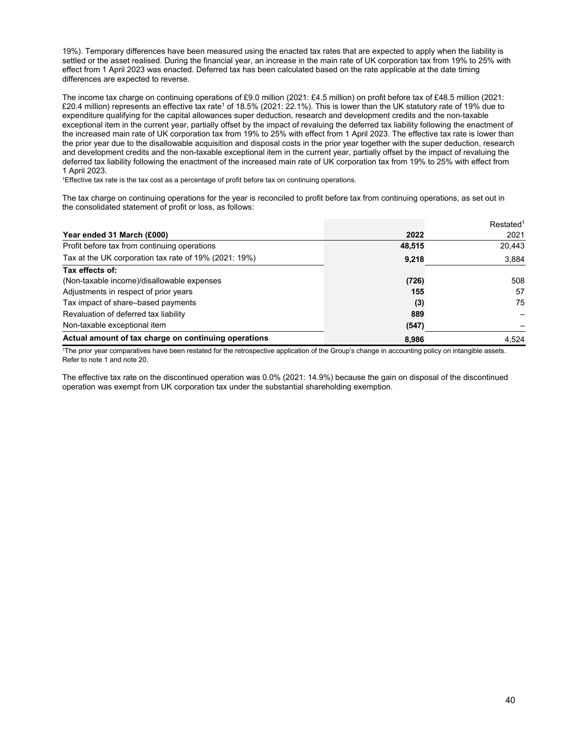19%). Temporary differences have been measured using the enacted tax rates that are expected to apply when the liability is settled or the asset realised. During the financial year, an increase in the main rate of UK corporation tax from 19% to 25% with effect from 1 April 2023 was enacted. Deferred tax has been calculated based on the rate applicable at the date timing differences are expected to reverse.

The income tax charge on continuing operations of £9.0 million (2021: £4.5 million) on profit before tax of £48.5 million (2021: £20.4 million) represents an effective tax rate<sup>1</sup> of 18.5% (2021: 22.1%). This is lower than the UK statutory rate of 19% due to expenditure qualifying for the capital allowances super deduction, research and development credits and the non-taxable exceptional item in the current year, partially offset by the impact of revaluing the deferred tax liability following the enactment of the increased main rate of UK corporation tax from 19% to 25% with effect from 1 April 2023. The effective tax rate is lower than the prior year due to the disallowable acquisition and disposal costs in the prior year together with the super deduction, research and development credits and the non-taxable exceptional item in the current year, partially offset by the impact of revaluing the deferred tax liability following the enactment of the increased main rate of UK corporation tax from 19% to 25% with effect from 1 April 2023.

1Effective tax rate is the tax cost as a percentage of profit before tax on continuing operations.

The tax charge on continuing operations for the year is reconciled to profit before tax from continuing operations, as set out in the consolidated statement of profit or loss, as follows:

|                                                       |        | Restated <sup>1</sup> |
|-------------------------------------------------------|--------|-----------------------|
| Year ended 31 March (£000)                            | 2022   | 2021                  |
| Profit before tax from continuing operations          | 48,515 | 20,443                |
| Tax at the UK corporation tax rate of 19% (2021: 19%) | 9,218  | 3,884                 |
| Tax effects of:                                       |        |                       |
| (Non-taxable income)/disallowable expenses            | (726)  | 508                   |
| Adjustments in respect of prior years                 | 155    | 57                    |
| Tax impact of share-based payments                    | (3)    | 75                    |
| Revaluation of deferred tax liability                 | 889    |                       |
| Non-taxable exceptional item                          | (547)  |                       |
| Actual amount of tax charge on continuing operations  | 8,986  | 4.524                 |

1The prior year comparatives have been restated for the retrospective application of the Group's change in accounting policy on intangible assets. Refer to note 1 and note 20.

The effective tax rate on the discontinued operation was 0.0% (2021: 14.9%) because the gain on disposal of the discontinued operation was exempt from UK corporation tax under the substantial shareholding exemption.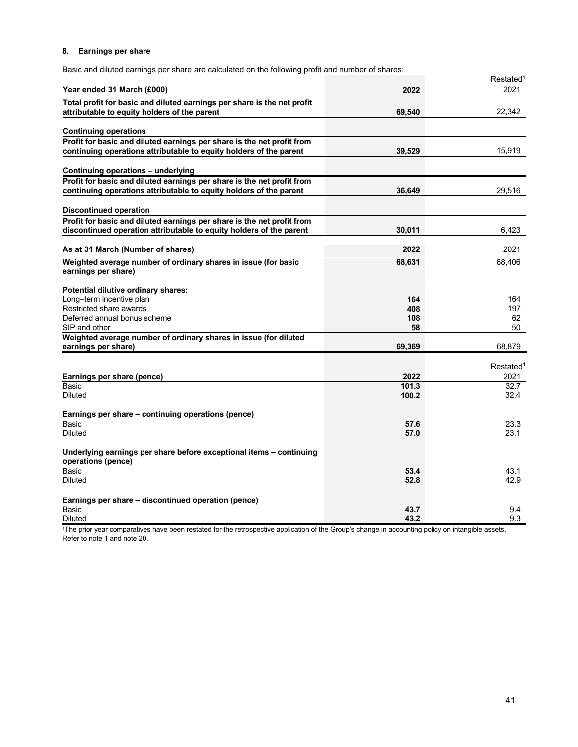# **8. Earnings per share**

Basic and diluted earnings per share are calculated on the following profit and number of shares:

|                                                                                                                                               |            | Restated <sup>1</sup>         |
|-----------------------------------------------------------------------------------------------------------------------------------------------|------------|-------------------------------|
| Year ended 31 March (£000)                                                                                                                    | 2022       | 2021                          |
| Total profit for basic and diluted earnings per share is the net profit<br>attributable to equity holders of the parent                       | 69,540     | 22,342                        |
| <b>Continuing operations</b>                                                                                                                  |            |                               |
| Profit for basic and diluted earnings per share is the net profit from<br>continuing operations attributable to equity holders of the parent  | 39,529     | 15,919                        |
| Continuing operations - underlying                                                                                                            |            |                               |
| Profit for basic and diluted earnings per share is the net profit from<br>continuing operations attributable to equity holders of the parent  | 36.649     | 29,516                        |
| <b>Discontinued operation</b>                                                                                                                 |            |                               |
| Profit for basic and diluted earnings per share is the net profit from<br>discontinued operation attributable to equity holders of the parent | 30,011     | 6,423                         |
| As at 31 March (Number of shares)                                                                                                             | 2022       | 2021                          |
| Weighted average number of ordinary shares in issue (for basic<br>earnings per share)                                                         | 68,631     | 68,406                        |
| Potential dilutive ordinary shares:                                                                                                           |            |                               |
| Long-term incentive plan<br>Restricted share awards                                                                                           | 164<br>408 | 164<br>197                    |
| Deferred annual bonus scheme                                                                                                                  | 108        | 62                            |
| SIP and other                                                                                                                                 | 58         | 50                            |
| Weighted average number of ordinary shares in issue (for diluted<br>earnings per share)                                                       | 69,369     | 68,879                        |
|                                                                                                                                               |            |                               |
| Earnings per share (pence)                                                                                                                    | 2022       | Restated <sup>1</sup><br>2021 |
| Basic                                                                                                                                         | 101.3      | 32.7                          |
| Diluted                                                                                                                                       | 100.2      | 32.4                          |
| Earnings per share - continuing operations (pence)                                                                                            |            |                               |
| Basic                                                                                                                                         | 57.6       | 23.3                          |
| <b>Diluted</b>                                                                                                                                | 57.0       | 23.1                          |
| Underlying earnings per share before exceptional items - continuing<br>operations (pence)                                                     |            |                               |
| <b>Basic</b>                                                                                                                                  | 53.4       | 43.1                          |
| <b>Diluted</b>                                                                                                                                | 52.8       | 42.9                          |
| Earnings per share - discontinued operation (pence)                                                                                           |            |                               |
| <b>Basic</b>                                                                                                                                  | 43.7       | 9.4                           |
| <b>Diluted</b>                                                                                                                                | 43.2       | 9.3                           |

<sup>1</sup>The prior year comparatives have been restated for the retrospective application of the Group's change in accounting policy on intangible assets. Refer to note 1 and note 20.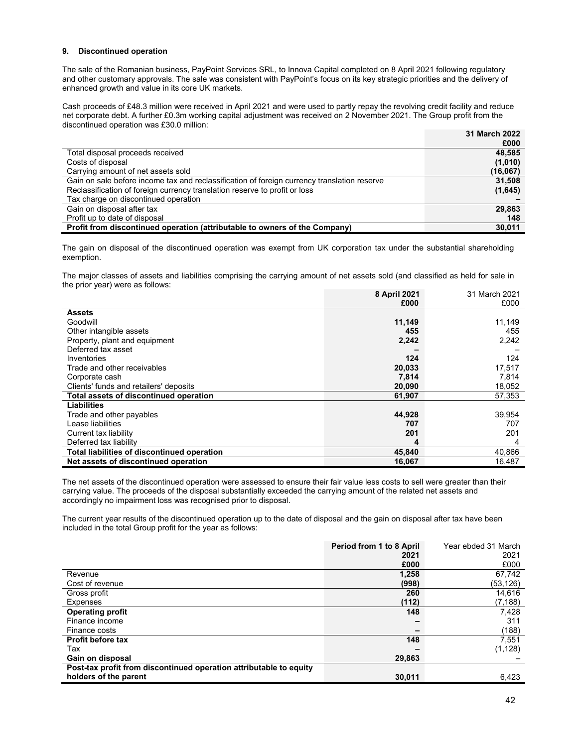# **9. Discontinued operation**

The sale of the Romanian business, PayPoint Services SRL, to Innova Capital completed on 8 April 2021 following regulatory and other customary approvals. The sale was consistent with PayPoint's focus on its key strategic priorities and the delivery of enhanced growth and value in its core UK markets.

Cash proceeds of £48.3 million were received in April 2021 and were used to partly repay the revolving credit facility and reduce net corporate debt. A further £0.3m working capital adjustment was received on 2 November 2021. The Group profit from the discontinued operation was £30.0 million:

|                                                                                             | <b>31 March 2022</b> |
|---------------------------------------------------------------------------------------------|----------------------|
|                                                                                             | £000                 |
| Total disposal proceeds received                                                            | 48.585               |
| Costs of disposal                                                                           | (1,010)              |
| Carrying amount of net assets sold                                                          | (16,067)             |
| Gain on sale before income tax and reclassification of foreign currency translation reserve | 31,508               |
| Reclassification of foreign currency translation reserve to profit or loss                  | (1,645)              |
| Tax charge on discontinued operation                                                        |                      |
| Gain on disposal after tax                                                                  | 29.863               |
| Profit up to date of disposal                                                               | 148                  |
| Profit from discontinued operation (attributable to owners of the Company)                  | 30.011               |

The gain on disposal of the discontinued operation was exempt from UK corporation tax under the substantial shareholding exemption.

The major classes of assets and liabilities comprising the carrying amount of net assets sold (and classified as held for sale in the prior year) were as follows:

|                                             | 8 April 2021 | 31 March 2021 |
|---------------------------------------------|--------------|---------------|
|                                             | £000         | £000          |
| <b>Assets</b>                               |              |               |
| Goodwill                                    | 11,149       | 11,149        |
| Other intangible assets                     | 455          | 455           |
| Property, plant and equipment               | 2,242        | 2,242         |
| Deferred tax asset                          |              |               |
| Inventories                                 | 124          | 124           |
| Trade and other receivables                 | 20,033       | 17,517        |
| Corporate cash                              | 7,814        | 7,814         |
| Clients' funds and retailers' deposits      | 20,090       | 18,052        |
| Total assets of discontinued operation      | 61,907       | 57,353        |
| <b>Liabilities</b>                          |              |               |
| Trade and other payables                    | 44,928       | 39,954        |
| Lease liabilities                           | 707          | 707           |
| Current tax liability                       | 201          | 201           |
| Deferred tax liability                      | 4            | 4             |
| Total liabilities of discontinued operation | 45,840       | 40,866        |
| Net assets of discontinued operation        | 16,067       | 16,487        |

The net assets of the discontinued operation were assessed to ensure their fair value less costs to sell were greater than their carrying value. The proceeds of the disposal substantially exceeded the carrying amount of the related net assets and accordingly no impairment loss was recognised prior to disposal.

The current year results of the discontinued operation up to the date of disposal and the gain on disposal after tax have been included in the total Group profit for the year as follows:

|                                                                    | Period from 1 to 8 April | Year ebded 31 March |
|--------------------------------------------------------------------|--------------------------|---------------------|
|                                                                    | 2021                     | 2021                |
|                                                                    | £000                     | £000                |
| Revenue                                                            | 1,258                    | 67,742              |
| Cost of revenue                                                    | (998)                    | (53,126)            |
| Gross profit                                                       | 260                      | 14,616              |
| Expenses                                                           | (112)                    | (7,188)             |
| <b>Operating profit</b>                                            | 148                      | 7,428               |
| Finance income                                                     |                          | 311                 |
| Finance costs                                                      |                          | (188)               |
| <b>Profit before tax</b>                                           | 148                      | 7,551               |
| Tax                                                                |                          | (1, 128)            |
| Gain on disposal                                                   | 29,863                   |                     |
| Post-tax profit from discontinued operation attributable to equity |                          |                     |
| holders of the parent                                              | 30.011                   | 6,423               |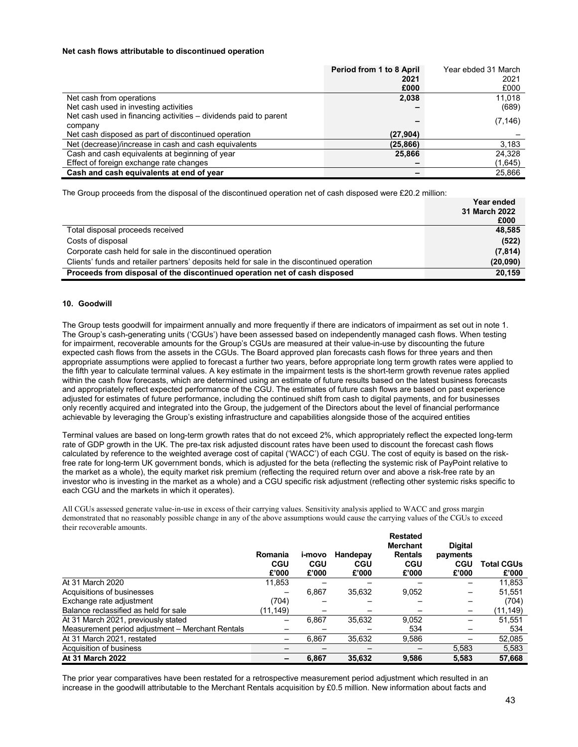## **Net cash flows attributable to discontinued operation**

|                                                                  | Period from 1 to 8 April | Year ebded 31 March |
|------------------------------------------------------------------|--------------------------|---------------------|
|                                                                  | 2021                     | 2021                |
|                                                                  | £000                     | £000                |
| Net cash from operations                                         | 2,038                    | 11,018              |
| Net cash used in investing activities                            |                          | (689)               |
| Net cash used in financing activities – dividends paid to parent |                          | (7, 146)            |
| company                                                          |                          |                     |
| Net cash disposed as part of discontinued operation              | (27, 904)                |                     |
| Net (decrease)/increase in cash and cash equivalents             | (25, 866)                | 3,183               |
| Cash and cash equivalents at beginning of year                   | 25,866                   | 24,328              |
| Effect of foreign exchange rate changes                          |                          | (1,645)             |
| Cash and cash equivalents at end of year                         |                          | 25.866              |

The Group proceeds from the disposal of the discontinued operation net of cash disposed were £20.2 million:

|                                                                                            | Year ended    |
|--------------------------------------------------------------------------------------------|---------------|
|                                                                                            | 31 March 2022 |
|                                                                                            | £000          |
| Total disposal proceeds received                                                           | 48.585        |
| Costs of disposal                                                                          | (522)         |
| Corporate cash held for sale in the discontinued operation                                 | (7, 814)      |
| Clients' funds and retailer partners' deposits held for sale in the discontinued operation | (20,090)      |
| Proceeds from disposal of the discontinued operation net of cash disposed                  | 20.159        |

## **10. Goodwill**

The Group tests goodwill for impairment annually and more frequently if there are indicators of impairment as set out in note 1. The Group's cash-generating units ('CGUs') have been assessed based on independently managed cash flows. When testing for impairment, recoverable amounts for the Group's CGUs are measured at their value-in-use by discounting the future expected cash flows from the assets in the CGUs. The Board approved plan forecasts cash flows for three years and then appropriate assumptions were applied to forecast a further two years, before appropriate long term growth rates were applied to the fifth year to calculate terminal values. A key estimate in the impairment tests is the short-term growth revenue rates applied within the cash flow forecasts, which are determined using an estimate of future results based on the latest business forecasts and appropriately reflect expected performance of the CGU. The estimates of future cash flows are based on past experience adjusted for estimates of future performance, including the continued shift from cash to digital payments, and for businesses only recently acquired and integrated into the Group, the judgement of the Directors about the level of financial performance achievable by leveraging the Group's existing infrastructure and capabilities alongside those of the acquired entities

Terminal values are based on long-term growth rates that do not exceed 2%, which appropriately reflect the expected long-term rate of GDP growth in the UK. The pre-tax risk adjusted discount rates have been used to discount the forecast cash flows calculated by reference to the weighted average cost of capital ('WACC') of each CGU. The cost of equity is based on the riskfree rate for long-term UK government bonds, which is adjusted for the beta (reflecting the systemic risk of PayPoint relative to the market as a whole), the equity market risk premium (reflecting the required return over and above a risk-free rate by an investor who is investing in the market as a whole) and a CGU specific risk adjustment (reflecting other systemic risks specific to each CGU and the markets in which it operates).

All CGUs assessed generate value-in-use in excess of their carrying values. Sensitivity analysis applied to WACC and gross margin demonstrated that no reasonably possible change in any of the above assumptions would cause the carrying values of the CGUs to exceed their recoverable amounts.

|                                                  | Romania<br><b>CGU</b> | i-movo<br><b>CGU</b> | Handepay            | <b>Restated</b><br><b>Merchant</b><br><b>Rentals</b><br>CGU | <b>Digital</b><br>payments<br>CGU | <b>Total CGUs</b> |
|--------------------------------------------------|-----------------------|----------------------|---------------------|-------------------------------------------------------------|-----------------------------------|-------------------|
|                                                  | £'000                 | £'000                | <b>CGU</b><br>£'000 | £'000                                                       | £'000                             | £'000             |
| At 31 March 2020                                 | 11,853                |                      |                     |                                                             |                                   | 11,853            |
| Acquisitions of businesses                       |                       | 6,867                | 35,632              | 9,052                                                       |                                   | 51,551            |
| Exchange rate adjustment                         | (704)                 |                      |                     |                                                             |                                   | (704)             |
| Balance reclassified as held for sale            | (11, 149)             |                      |                     |                                                             | -                                 | (11,149)          |
| At 31 March 2021, previously stated              |                       | 6,867                | 35,632              | 9,052                                                       |                                   | 51,551            |
| Measurement period adjustment - Merchant Rentals |                       |                      |                     | 534                                                         |                                   | 534               |
| At 31 March 2021, restated                       |                       | 6,867                | 35.632              | 9,586                                                       |                                   | 52,085            |
| Acquisition of business                          |                       |                      |                     |                                                             | 5,583                             | 5,583             |
| <b>At 31 March 2022</b>                          |                       | 6.867                | 35.632              | 9,586                                                       | 5.583                             | 57,668            |

The prior year comparatives have been restated for a retrospective measurement period adjustment which resulted in an increase in the goodwill attributable to the Merchant Rentals acquisition by £0.5 million. New information about facts and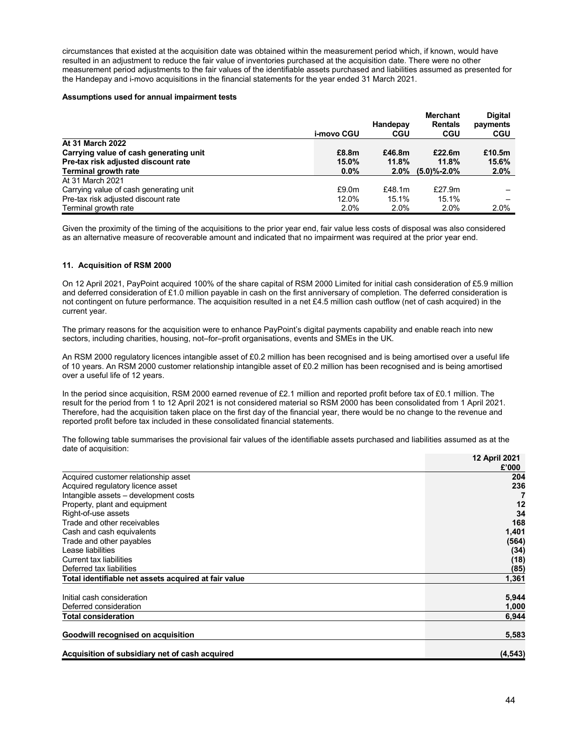circumstances that existed at the acquisition date was obtained within the measurement period which, if known, would have resulted in an adjustment to reduce the fair value of inventories purchased at the acquisition date. There were no other measurement period adjustments to the fair values of the identifiable assets purchased and liabilities assumed as presented for the Handepay and i-movo acquisitions in the financial statements for the year ended 31 March 2021.

#### **Assumptions used for annual impairment tests**

|                                        |            |            | <b>Merchant</b>   | <b>Digital</b> |
|----------------------------------------|------------|------------|-------------------|----------------|
|                                        |            | Handepay   | <b>Rentals</b>    | payments       |
|                                        | i-movo CGU | <b>CGU</b> | <b>CGU</b>        | <b>CGU</b>     |
| At 31 March 2022                       |            |            |                   |                |
| Carrying value of cash generating unit | £8.8m      | £46.8m     | £22.6m            | £10.5m         |
| Pre-tax risk adjusted discount rate    | 15.0%      | 11.8%      | 11.8%             | 15.6%          |
| <b>Terminal growth rate</b>            | $0.0\%$    | $2.0\%$    | $(5.0)\% - 2.0\%$ | 2.0%           |
| At 31 March 2021                       |            |            |                   |                |
| Carrying value of cash generating unit | £9.0m      | £48.1 $m$  | £27.9 $m$         |                |
| Pre-tax risk adjusted discount rate    | 12.0%      | 15.1%      | 15.1%             | -              |
| Terminal growth rate                   | 2.0%       | 2.0%       | 2.0%              | 2.0%           |

Given the proximity of the timing of the acquisitions to the prior year end, fair value less costs of disposal was also considered as an alternative measure of recoverable amount and indicated that no impairment was required at the prior year end.

# **11. Acquisition of RSM 2000**

On 12 April 2021, PayPoint acquired 100% of the share capital of RSM 2000 Limited for initial cash consideration of £5.9 million and deferred consideration of £1.0 million payable in cash on the first anniversary of completion. The deferred consideration is not contingent on future performance. The acquisition resulted in a net £4.5 million cash outflow (net of cash acquired) in the current year.

The primary reasons for the acquisition were to enhance PayPoint's digital payments capability and enable reach into new sectors, including charities, housing, not–for–profit organisations, events and SMEs in the UK.

An RSM 2000 regulatory licences intangible asset of £0.2 million has been recognised and is being amortised over a useful life of 10 years. An RSM 2000 customer relationship intangible asset of £0.2 million has been recognised and is being amortised over a useful life of 12 years.

In the period since acquisition, RSM 2000 earned revenue of £2.1 million and reported profit before tax of £0.1 million. The result for the period from 1 to 12 April 2021 is not considered material so RSM 2000 has been consolidated from 1 April 2021. Therefore, had the acquisition taken place on the first day of the financial year, there would be no change to the revenue and reported profit before tax included in these consolidated financial statements.

The following table summarises the provisional fair values of the identifiable assets purchased and liabilities assumed as at the date of acquisition:

|                                                      | 12 April 2021 |
|------------------------------------------------------|---------------|
|                                                      | £'000         |
| Acquired customer relationship asset                 | 204           |
| Acquired regulatory licence asset                    | 236           |
| Intangible assets - development costs                |               |
| Property, plant and equipment                        | 12            |
| Right-of-use assets                                  | 34            |
| Trade and other receivables                          | 168           |
| Cash and cash equivalents                            | 1,401         |
| Trade and other payables                             | (564)         |
| Lease liabilities                                    | (34)          |
| Current tax liabilities                              | (18)          |
| Deferred tax liabilities                             | (85)          |
| Total identifiable net assets acquired at fair value | 1,361         |
| Initial cash consideration                           | 5,944         |
| Deferred consideration                               | 1,000         |
| <b>Total consideration</b>                           | 6,944         |
| Goodwill recognised on acquisition                   | 5,583         |
| Acquisition of subsidiary net of cash acquired       | (4, 543)      |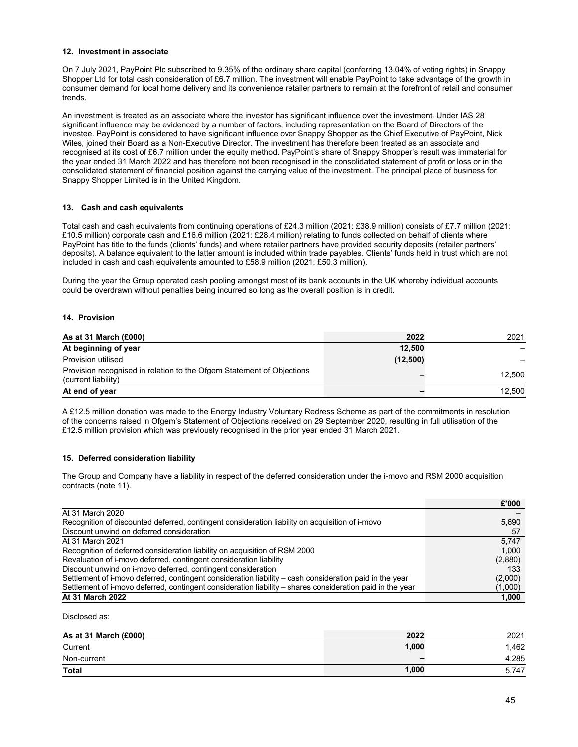# **12. Investment in associate**

On 7 July 2021, PayPoint Plc subscribed to 9.35% of the ordinary share capital (conferring 13.04% of voting rights) in Snappy Shopper Ltd for total cash consideration of £6.7 million. The investment will enable PayPoint to take advantage of the growth in consumer demand for local home delivery and its convenience retailer partners to remain at the forefront of retail and consumer trends.

An investment is treated as an associate where the investor has significant influence over the investment. Under IAS 28 significant influence may be evidenced by a number of factors, including representation on the Board of Directors of the investee. PayPoint is considered to have significant influence over Snappy Shopper as the Chief Executive of PayPoint, Nick Wiles, joined their Board as a Non-Executive Director. The investment has therefore been treated as an associate and recognised at its cost of £6.7 million under the equity method. PayPoint's share of Snappy Shopper's result was immaterial for the year ended 31 March 2022 and has therefore not been recognised in the consolidated statement of profit or loss or in the consolidated statement of financial position against the carrying value of the investment. The principal place of business for Snappy Shopper Limited is in the United Kingdom.

# **13. Cash and cash equivalents**

Total cash and cash equivalents from continuing operations of £24.3 million (2021: £38.9 million) consists of £7.7 million (2021: £10.5 million) corporate cash and £16.6 million (2021: £28.4 million) relating to funds collected on behalf of clients where PayPoint has title to the funds (clients' funds) and where retailer partners have provided security deposits (retailer partners' deposits). A balance equivalent to the latter amount is included within trade payables. Clients' funds held in trust which are not included in cash and cash equivalents amounted to £58.9 million (2021: £50.3 million).

During the year the Group operated cash pooling amongst most of its bank accounts in the UK whereby individual accounts could be overdrawn without penalties being incurred so long as the overall position is in credit.

## **14. Provision**

| As at 31 March (£000)                                                                        | 2022     | 2021   |
|----------------------------------------------------------------------------------------------|----------|--------|
| At beginning of year                                                                         | 12.500   |        |
| Provision utilised                                                                           | (12,500) |        |
| Provision recognised in relation to the Ofgem Statement of Objections<br>(current liability) |          | 12.500 |
| At end of year                                                                               |          | 12.500 |

A £12.5 million donation was made to the Energy Industry Voluntary Redress Scheme as part of the commitments in resolution of the concerns raised in Ofgem's Statement of Objections received on 29 September 2020, resulting in full utilisation of the £12.5 million provision which was previously recognised in the prior year ended 31 March 2021.

## **15. Deferred consideration liability**

The Group and Company have a liability in respect of the deferred consideration under the i-movo and RSM 2000 acquisition contracts (note 11).

|                                                                                                           | £'000   |
|-----------------------------------------------------------------------------------------------------------|---------|
| At 31 March 2020                                                                                          |         |
| Recognition of discounted deferred, contingent consideration liability on acquisition of i-movo           | 5,690   |
| Discount unwind on deferred consideration                                                                 | -57     |
| At 31 March 2021                                                                                          | 5.747   |
| Recognition of deferred consideration liability on acquisition of RSM 2000                                | 1.000   |
| Revaluation of i-movo deferred, contingent consideration liability                                        | (2,880) |
| Discount unwind on i-movo deferred, contingent consideration                                              | 133     |
| Settlement of i-movo deferred, contingent consideration liability - cash consideration paid in the year   | (2,000) |
| Settlement of i-movo deferred, contingent consideration liability – shares consideration paid in the year | (1,000) |
| At 31 March 2022                                                                                          | 1,000   |

Disclosed as:

| As at 31 March (£000) | 2022  | 2021  |
|-----------------------|-------|-------|
| Current               | 1,000 | 1.462 |
| Non-current           | -     | 4,285 |
| <b>Total</b>          | 1,000 | 5,747 |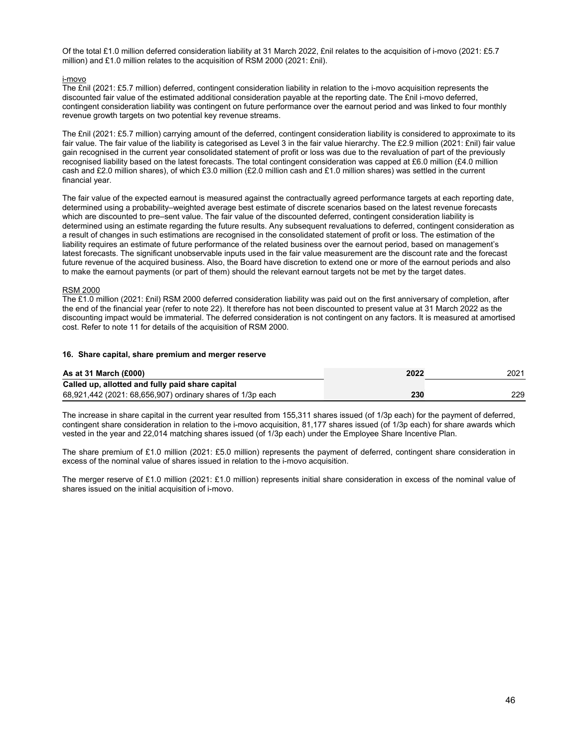Of the total £1.0 million deferred consideration liability at 31 March 2022, £nil relates to the acquisition of i-movo (2021: £5.7 million) and £1.0 million relates to the acquisition of RSM 2000 (2021: £nil).

# i-movo

The £nil (2021: £5.7 million) deferred, contingent consideration liability in relation to the i-movo acquisition represents the discounted fair value of the estimated additional consideration payable at the reporting date. The £nil i-movo deferred, contingent consideration liability was contingent on future performance over the earnout period and was linked to four monthly revenue growth targets on two potential key revenue streams.

The £nil (2021: £5.7 million) carrying amount of the deferred, contingent consideration liability is considered to approximate to its fair value. The fair value of the liability is categorised as Level 3 in the fair value hierarchy. The £2.9 million (2021: £nil) fair value gain recognised in the current year consolidated statement of profit or loss was due to the revaluation of part of the previously recognised liability based on the latest forecasts. The total contingent consideration was capped at £6.0 million (£4.0 million cash and £2.0 million shares), of which £3.0 million (£2.0 million cash and £1.0 million shares) was settled in the current financial year.

The fair value of the expected earnout is measured against the contractually agreed performance targets at each reporting date, determined using a probability–weighted average best estimate of discrete scenarios based on the latest revenue forecasts which are discounted to pre–sent value. The fair value of the discounted deferred, contingent consideration liability is determined using an estimate regarding the future results. Any subsequent revaluations to deferred, contingent consideration as a result of changes in such estimations are recognised in the consolidated statement of profit or loss. The estimation of the liability requires an estimate of future performance of the related business over the earnout period, based on management's latest forecasts. The significant unobservable inputs used in the fair value measurement are the discount rate and the forecast future revenue of the acquired business. Also, the Board have discretion to extend one or more of the earnout periods and also to make the earnout payments (or part of them) should the relevant earnout targets not be met by the target dates.

# RSM 2000

The £1.0 million (2021: £nil) RSM 2000 deferred consideration liability was paid out on the first anniversary of completion, after the end of the financial year (refer to note 22). It therefore has not been discounted to present value at 31 March 2022 as the discounting impact would be immaterial. The deferred consideration is not contingent on any factors. It is measured at amortised cost. Refer to note 11 for details of the acquisition of RSM 2000.

## **16. Share capital, share premium and merger reserve**

| As at 31 March $(E000)$                                    | 2022 | 2021 |
|------------------------------------------------------------|------|------|
| Called up, allotted and fully paid share capital           |      |      |
| 68,921,442 (2021: 68,656,907) ordinary shares of 1/3p each | 230  | 229  |

The increase in share capital in the current year resulted from 155,311 shares issued (of 1/3p each) for the payment of deferred, contingent share consideration in relation to the i-movo acquisition, 81,177 shares issued (of 1/3p each) for share awards which vested in the year and 22,014 matching shares issued (of 1/3p each) under the Employee Share Incentive Plan.

The share premium of £1.0 million (2021: £5.0 million) represents the payment of deferred, contingent share consideration in excess of the nominal value of shares issued in relation to the i-movo acquisition.

The merger reserve of £1.0 million (2021: £1.0 million) represents initial share consideration in excess of the nominal value of shares issued on the initial acquisition of i-movo.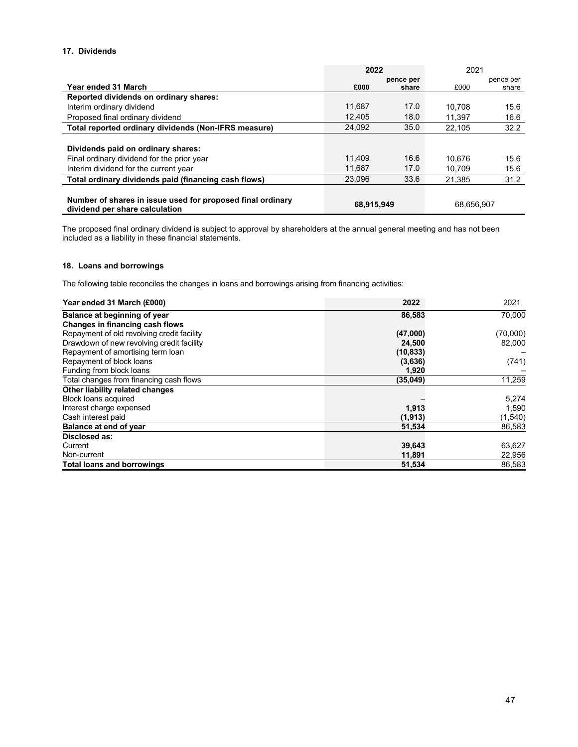# **17. Dividends**

|                                                                                              | 2022       |           | 2021       |           |
|----------------------------------------------------------------------------------------------|------------|-----------|------------|-----------|
|                                                                                              |            | pence per |            | pence per |
| Year ended 31 March                                                                          | £000       | share     | £000       | share     |
| Reported dividends on ordinary shares:                                                       |            |           |            |           |
| Interim ordinary dividend                                                                    | 11.687     | 17.0      | 10.708     | 15.6      |
| Proposed final ordinary dividend                                                             | 12,405     | 18.0      | 11.397     | 16.6      |
| Total reported ordinary dividends (Non-IFRS measure)                                         | 24.092     | 35.0      | 22.105     | 32.2      |
|                                                                                              |            |           |            |           |
| Dividends paid on ordinary shares:                                                           |            |           |            |           |
| Final ordinary dividend for the prior year                                                   | 11.409     | 16.6      | 10.676     | 15.6      |
| Interim dividend for the current year                                                        | 11.687     | 17.0      | 10.709     | 15.6      |
| Total ordinary dividends paid (financing cash flows)                                         | 23,096     | 33.6      | 21,385     | 31.2      |
|                                                                                              |            |           |            |           |
| Number of shares in issue used for proposed final ordinary<br>dividend per share calculation | 68,915,949 |           | 68,656,907 |           |

The proposed final ordinary dividend is subject to approval by shareholders at the annual general meeting and has not been included as a liability in these financial statements.

# **18. Loans and borrowings**

The following table reconciles the changes in loans and borrowings arising from financing activities:

| Year ended 31 March (£000)                 | 2022      | 2021     |
|--------------------------------------------|-----------|----------|
| Balance at beginning of year               | 86,583    | 70,000   |
| <b>Changes in financing cash flows</b>     |           |          |
| Repayment of old revolving credit facility | (47,000)  | (70,000) |
| Drawdown of new revolving credit facility  | 24,500    | 82,000   |
| Repayment of amortising term loan          | (10, 833) |          |
| Repayment of block loans                   | (3,636)   | (741)    |
| Funding from block loans                   | 1,920     |          |
| Total changes from financing cash flows    | (35,049)  | 11,259   |
| Other liability related changes            |           |          |
| Block loans acquired                       |           | 5,274    |
| Interest charge expensed                   | 1,913     | 1,590    |
| Cash interest paid                         | (1, 913)  | (1, 540) |
| Balance at end of year                     | 51,534    | 86,583   |
| Disclosed as:                              |           |          |
| Current                                    | 39,643    | 63,627   |
| Non-current                                | 11,891    | 22,956   |
| <b>Total loans and borrowings</b>          | 51,534    | 86,583   |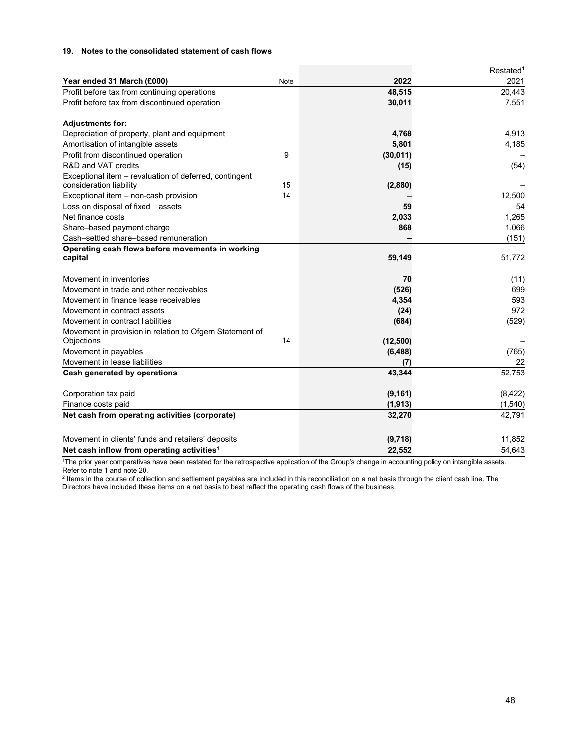# **19. Notes to the consolidated statement of cash flows**

|                                                             |      |           | Restated <sup>1</sup> |
|-------------------------------------------------------------|------|-----------|-----------------------|
| Year ended 31 March (£000)                                  | Note | 2022      | 2021                  |
| Profit before tax from continuing operations                |      | 48,515    | 20,443                |
| Profit before tax from discontinued operation               |      | 30,011    | 7,551                 |
| <b>Adjustments for:</b>                                     |      |           |                       |
| Depreciation of property, plant and equipment               |      | 4,768     | 4,913                 |
| Amortisation of intangible assets                           |      | 5,801     | 4,185                 |
| Profit from discontinued operation                          | 9    | (30, 011) |                       |
| R&D and VAT credits                                         |      | (15)      | (54)                  |
| Exceptional item - revaluation of deferred, contingent      |      |           |                       |
| consideration liability                                     | 15   | (2,880)   |                       |
| Exceptional item - non-cash provision                       | 14   |           | 12,500                |
| Loss on disposal of fixed assets                            |      | 59        | 54                    |
| Net finance costs                                           |      | 2,033     | 1,265                 |
| Share-based payment charge                                  |      | 868       | 1,066                 |
| Cash-settled share-based remuneration                       |      |           | (151)                 |
| Operating cash flows before movements in working<br>capital |      | 59,149    | 51,772                |
| Movement in inventories                                     |      | 70        | (11)                  |
| Movement in trade and other receivables                     |      | (526)     | 699                   |
| Movement in finance lease receivables                       |      | 4,354     | 593                   |
| Movement in contract assets                                 |      | (24)      | 972                   |
| Movement in contract liabilities                            |      | (684)     | (529)                 |
| Movement in provision in relation to Ofgem Statement of     |      |           |                       |
| Objections                                                  | 14   | (12,500)  |                       |
| Movement in payables                                        |      | (6, 488)  | (765)                 |
| Movement in lease liabilities                               |      | (7)       | 22                    |
| Cash generated by operations                                |      | 43,344    | 52,753                |
| Corporation tax paid                                        |      | (9, 161)  | (8,422)               |
| Finance costs paid                                          |      | (1, 913)  | (1,540)               |
| Net cash from operating activities (corporate)              |      | 32,270    | 42,791                |
| Movement in clients' funds and retailers' deposits          |      | (9,718)   | 11,852                |
| Net cash inflow from operating activities <sup>1</sup>      |      | 22,552    | 54,643                |

<sup>1</sup>The prior year comparatives have been restated for the retrospective application of the Group's change in accounting policy on intangible assets.

Refer to note 1 and note 20.<br><sup>2</sup> Items in the course of collection and settlement payables are included in this reconciliation on a net basis through the client cash line. The Directors have included these items on a net basis to best reflect the operating cash flows of the business.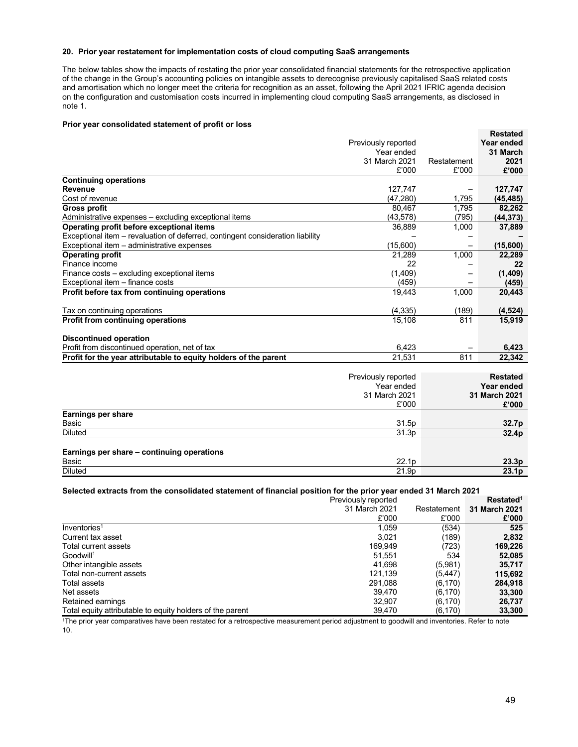# **20. Prior year restatement for implementation costs of cloud computing SaaS arrangements**

The below tables show the impacts of restating the prior year consolidated financial statements for the retrospective application of the change in the Group's accounting policies on intangible assets to derecognise previously capitalised SaaS related costs and amortisation which no longer meet the criteria for recognition as an asset, following the April 2021 IFRIC agenda decision on the configuration and customisation costs incurred in implementing cloud computing SaaS arrangements, as disclosed in note 1.

## **Prior year consolidated statement of profit or loss**

| Year ended<br>Previously reported<br>Year ended<br>31 March<br>31 March 2021<br>2021<br>Restatement<br>£'000<br>£'000<br>£'000<br><b>Continuing operations</b><br>127,747<br>127,747<br>(47, 280)<br>1,795<br>(45, 485)<br>80.467<br>1.795<br>82,262<br>(43, 578)<br>(795)<br>(44, 373)<br>36,889<br>1,000<br>37,889<br>(15,600)<br>(15,600)<br>21.289<br>1,000<br>22,289<br>22<br>22<br>(1,409)<br>(1,409)<br>(459)<br>(459)<br>19.443<br>1.000<br>20,443<br>(4, 335)<br>(189)<br>(4, 524)<br>15,108<br>811<br>15,919<br><b>Discontinued operation</b><br>Profit from discontinued operation, net of tax<br>6,423<br>6,423<br>Profit for the year attributable to equity holders of the parent<br>811<br>21,531<br>22,342<br>Previously reported<br><b>Restated</b><br>Year ended<br>Year ended<br>31 March 2021<br>31 March 2021<br>£'000<br>£'000<br><b>Earnings per share</b><br>Basic<br>31.5p<br>32.7p<br>31.3p<br><b>Diluted</b><br>32.4p |                                                                                |  | <b>Restated</b> |
|--------------------------------------------------------------------------------------------------------------------------------------------------------------------------------------------------------------------------------------------------------------------------------------------------------------------------------------------------------------------------------------------------------------------------------------------------------------------------------------------------------------------------------------------------------------------------------------------------------------------------------------------------------------------------------------------------------------------------------------------------------------------------------------------------------------------------------------------------------------------------------------------------------------------------------------------------|--------------------------------------------------------------------------------|--|-----------------|
|                                                                                                                                                                                                                                                                                                                                                                                                                                                                                                                                                                                                                                                                                                                                                                                                                                                                                                                                                  |                                                                                |  |                 |
|                                                                                                                                                                                                                                                                                                                                                                                                                                                                                                                                                                                                                                                                                                                                                                                                                                                                                                                                                  |                                                                                |  |                 |
|                                                                                                                                                                                                                                                                                                                                                                                                                                                                                                                                                                                                                                                                                                                                                                                                                                                                                                                                                  |                                                                                |  |                 |
|                                                                                                                                                                                                                                                                                                                                                                                                                                                                                                                                                                                                                                                                                                                                                                                                                                                                                                                                                  |                                                                                |  |                 |
|                                                                                                                                                                                                                                                                                                                                                                                                                                                                                                                                                                                                                                                                                                                                                                                                                                                                                                                                                  |                                                                                |  |                 |
|                                                                                                                                                                                                                                                                                                                                                                                                                                                                                                                                                                                                                                                                                                                                                                                                                                                                                                                                                  | Revenue                                                                        |  |                 |
|                                                                                                                                                                                                                                                                                                                                                                                                                                                                                                                                                                                                                                                                                                                                                                                                                                                                                                                                                  | Cost of revenue                                                                |  |                 |
|                                                                                                                                                                                                                                                                                                                                                                                                                                                                                                                                                                                                                                                                                                                                                                                                                                                                                                                                                  | <b>Gross profit</b>                                                            |  |                 |
|                                                                                                                                                                                                                                                                                                                                                                                                                                                                                                                                                                                                                                                                                                                                                                                                                                                                                                                                                  | Administrative expenses - excluding exceptional items                          |  |                 |
|                                                                                                                                                                                                                                                                                                                                                                                                                                                                                                                                                                                                                                                                                                                                                                                                                                                                                                                                                  | Operating profit before exceptional items                                      |  |                 |
|                                                                                                                                                                                                                                                                                                                                                                                                                                                                                                                                                                                                                                                                                                                                                                                                                                                                                                                                                  | Exceptional item - revaluation of deferred, contingent consideration liability |  |                 |
|                                                                                                                                                                                                                                                                                                                                                                                                                                                                                                                                                                                                                                                                                                                                                                                                                                                                                                                                                  | Exceptional item - administrative expenses                                     |  |                 |
|                                                                                                                                                                                                                                                                                                                                                                                                                                                                                                                                                                                                                                                                                                                                                                                                                                                                                                                                                  | <b>Operating profit</b>                                                        |  |                 |
|                                                                                                                                                                                                                                                                                                                                                                                                                                                                                                                                                                                                                                                                                                                                                                                                                                                                                                                                                  | Finance income                                                                 |  |                 |
|                                                                                                                                                                                                                                                                                                                                                                                                                                                                                                                                                                                                                                                                                                                                                                                                                                                                                                                                                  | Finance costs – excluding exceptional items                                    |  |                 |
|                                                                                                                                                                                                                                                                                                                                                                                                                                                                                                                                                                                                                                                                                                                                                                                                                                                                                                                                                  | Exceptional item - finance costs                                               |  |                 |
|                                                                                                                                                                                                                                                                                                                                                                                                                                                                                                                                                                                                                                                                                                                                                                                                                                                                                                                                                  | Profit before tax from continuing operations                                   |  |                 |
|                                                                                                                                                                                                                                                                                                                                                                                                                                                                                                                                                                                                                                                                                                                                                                                                                                                                                                                                                  |                                                                                |  |                 |
|                                                                                                                                                                                                                                                                                                                                                                                                                                                                                                                                                                                                                                                                                                                                                                                                                                                                                                                                                  | Tax on continuing operations                                                   |  |                 |
|                                                                                                                                                                                                                                                                                                                                                                                                                                                                                                                                                                                                                                                                                                                                                                                                                                                                                                                                                  | <b>Profit from continuing operations</b>                                       |  |                 |
|                                                                                                                                                                                                                                                                                                                                                                                                                                                                                                                                                                                                                                                                                                                                                                                                                                                                                                                                                  |                                                                                |  |                 |
|                                                                                                                                                                                                                                                                                                                                                                                                                                                                                                                                                                                                                                                                                                                                                                                                                                                                                                                                                  |                                                                                |  |                 |
|                                                                                                                                                                                                                                                                                                                                                                                                                                                                                                                                                                                                                                                                                                                                                                                                                                                                                                                                                  |                                                                                |  |                 |
|                                                                                                                                                                                                                                                                                                                                                                                                                                                                                                                                                                                                                                                                                                                                                                                                                                                                                                                                                  |                                                                                |  |                 |
|                                                                                                                                                                                                                                                                                                                                                                                                                                                                                                                                                                                                                                                                                                                                                                                                                                                                                                                                                  |                                                                                |  |                 |
|                                                                                                                                                                                                                                                                                                                                                                                                                                                                                                                                                                                                                                                                                                                                                                                                                                                                                                                                                  |                                                                                |  |                 |
|                                                                                                                                                                                                                                                                                                                                                                                                                                                                                                                                                                                                                                                                                                                                                                                                                                                                                                                                                  |                                                                                |  |                 |
|                                                                                                                                                                                                                                                                                                                                                                                                                                                                                                                                                                                                                                                                                                                                                                                                                                                                                                                                                  |                                                                                |  |                 |
|                                                                                                                                                                                                                                                                                                                                                                                                                                                                                                                                                                                                                                                                                                                                                                                                                                                                                                                                                  |                                                                                |  |                 |
|                                                                                                                                                                                                                                                                                                                                                                                                                                                                                                                                                                                                                                                                                                                                                                                                                                                                                                                                                  |                                                                                |  |                 |
|                                                                                                                                                                                                                                                                                                                                                                                                                                                                                                                                                                                                                                                                                                                                                                                                                                                                                                                                                  |                                                                                |  |                 |
|                                                                                                                                                                                                                                                                                                                                                                                                                                                                                                                                                                                                                                                                                                                                                                                                                                                                                                                                                  |                                                                                |  |                 |
|                                                                                                                                                                                                                                                                                                                                                                                                                                                                                                                                                                                                                                                                                                                                                                                                                                                                                                                                                  | Earnings per share – continuing operations                                     |  |                 |
| 22.1p<br>23.3p                                                                                                                                                                                                                                                                                                                                                                                                                                                                                                                                                                                                                                                                                                                                                                                                                                                                                                                                   | <b>Basic</b>                                                                   |  |                 |
| 21.9 <sub>p</sub><br>23.1p                                                                                                                                                                                                                                                                                                                                                                                                                                                                                                                                                                                                                                                                                                                                                                                                                                                                                                                       | <b>Diluted</b>                                                                 |  |                 |

#### **Selected extracts from the consolidated statement of financial position for the prior year ended 31 March 2021**

|                                                           | Previously reported |             | Restated <sup>1</sup> |
|-----------------------------------------------------------|---------------------|-------------|-----------------------|
|                                                           | 31 March 2021       | Restatement | 31 March 2021         |
|                                                           | £'000               | £'000       | £'000                 |
| Inventories <sup>1</sup>                                  | 1,059               | (534)       | 525                   |
| Current tax asset                                         | 3.021               | (189)       | 2,832                 |
| Total current assets                                      | 169,949             | (723)       | 169,226               |
| Goodwill <sup>1</sup>                                     | 51,551              | 534         | 52,085                |
| Other intangible assets                                   | 41,698              | (5,981)     | 35,717                |
| Total non-current assets                                  | 121.139             | (5,447)     | 115,692               |
| Total assets                                              | 291,088             | (6, 170)    | 284,918               |
| Net assets                                                | 39.470              | (6, 170)    | 33,300                |
| Retained earnings                                         | 32,907              | (6, 170)    | 26,737                |
| Total equity attributable to equity holders of the parent | 39,470              | (6, 170)    | 33,300                |

1The prior year comparatives have been restated for a retrospective measurement period adjustment to goodwill and inventories. Refer to note 10.